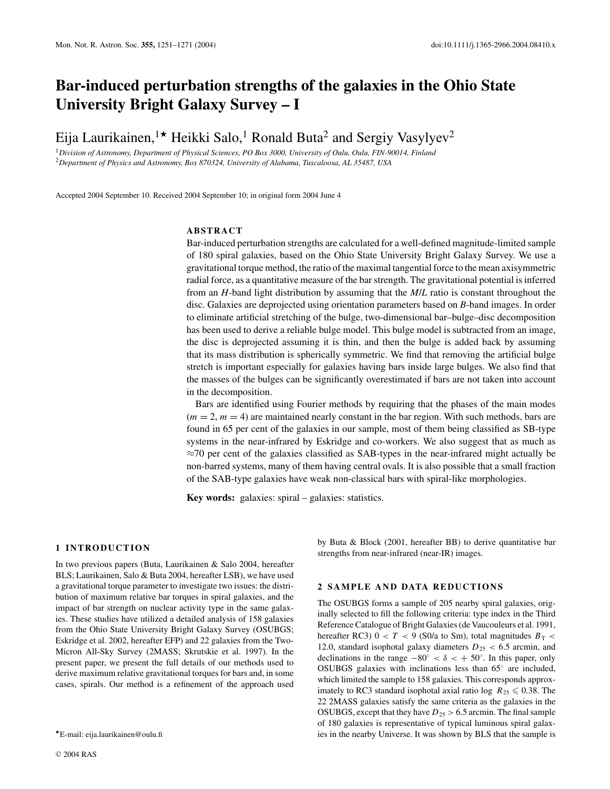# **Bar-induced perturbation strengths of the galaxies in the Ohio State University Bright Galaxy Survey – I**

Eija Laurikainen,<sup>1\*</sup> Heikki Salo,<sup>1</sup> Ronald Buta<sup>2</sup> and Sergiy Vasylyev<sup>2</sup>

<sup>1</sup>*Division of Astronomy, Department of Physical Sciences, PO Box 3000, University of Oulu, Oulu, FIN-90014, Finland* <sup>2</sup>*Department of Physics and Astronomy, Box 870324, University of Alabama, Tuscaloosa, AL 35487, USA*

Accepted 2004 September 10. Received 2004 September 10; in original form 2004 June 4

### **ABSTRACT**

Bar-induced perturbation strengths are calculated for a well-defined magnitude-limited sample of 180 spiral galaxies, based on the Ohio State University Bright Galaxy Survey. We use a gravitational torque method, the ratio of the maximal tangential force to the mean axisymmetric radial force, as a quantitative measure of the bar strength. The gravitational potential is inferred from an *H*-band light distribution by assuming that the *M*/*L* ratio is constant throughout the disc. Galaxies are deprojected using orientation parameters based on *B*-band images. In order to eliminate artificial stretching of the bulge, two-dimensional bar–bulge–disc decomposition has been used to derive a reliable bulge model. This bulge model is subtracted from an image, the disc is deprojected assuming it is thin, and then the bulge is added back by assuming that its mass distribution is spherically symmetric. We find that removing the artificial bulge stretch is important especially for galaxies having bars inside large bulges. We also find that the masses of the bulges can be significantly overestimated if bars are not taken into account in the decomposition.

Bars are identified using Fourier methods by requiring that the phases of the main modes  $(m = 2, m = 4)$  are maintained nearly constant in the bar region. With such methods, bars are found in 65 per cent of the galaxies in our sample, most of them being classified as SB-type systems in the near-infrared by Eskridge and co-workers. We also suggest that as much as  $\approx$ 70 per cent of the galaxies classified as SAB-types in the near-infrared might actually be non-barred systems, many of them having central ovals. It is also possible that a small fraction of the SAB-type galaxies have weak non-classical bars with spiral-like morphologies.

**Key words:** galaxies: spiral – galaxies: statistics.

#### **1 INTRODUCTION**

In two previous papers (Buta, Laurikainen & Salo 2004, hereafter BLS; Laurikainen, Salo & Buta 2004, hereafter LSB), we have used a gravitational torque parameter to investigate two issues: the distribution of maximum relative bar torques in spiral galaxies, and the impact of bar strength on nuclear activity type in the same galaxies. These studies have utilized a detailed analysis of 158 galaxies from the Ohio State University Bright Galaxy Survey (OSUBGS; Eskridge et al. 2002, hereafter EFP) and 22 galaxies from the Two-Micron All-Sky Survey (2MASS; Skrutskie et al. 1997). In the present paper, we present the full details of our methods used to derive maximum relative gravitational torques for bars and, in some cases, spirals. Our method is a refinement of the approach used

by Buta & Block (2001, hereafter BB) to derive quantitative bar strengths from near-infrared (near-IR) images.

## **2 SAMPLE AND DATA REDUCTIONS**

The OSUBGS forms a sample of 205 nearby spiral galaxies, originally selected to fill the following criteria: type index in the Third Reference Catalogue of Bright Galaxies (de Vaucouleurs et al. 1991, hereafter RC3)  $0 < T < 9$  (S0/a to Sm), total magnitudes  $B_T <$ 12.0, standard isophotal galaxy diameters  $D_{25} < 6.5$  arcmin, and declinations in the range  $-80° < \delta < +50°$ . In this paper, only OSUBGS galaxies with inclinations less than 65◦ are included, which limited the sample to 158 galaxies. This corresponds approximately to RC3 standard isophotal axial ratio log  $R_{25} \le 0.38$ . The 22 2MASS galaxies satisfy the same criteria as the galaxies in the OSUBGS, except that they have  $D_{25} > 6.5$  arcmin. The final sample of 180 galaxies is representative of typical luminous spiral galaxies in the nearby Universe. It was shown by BLS that the sample is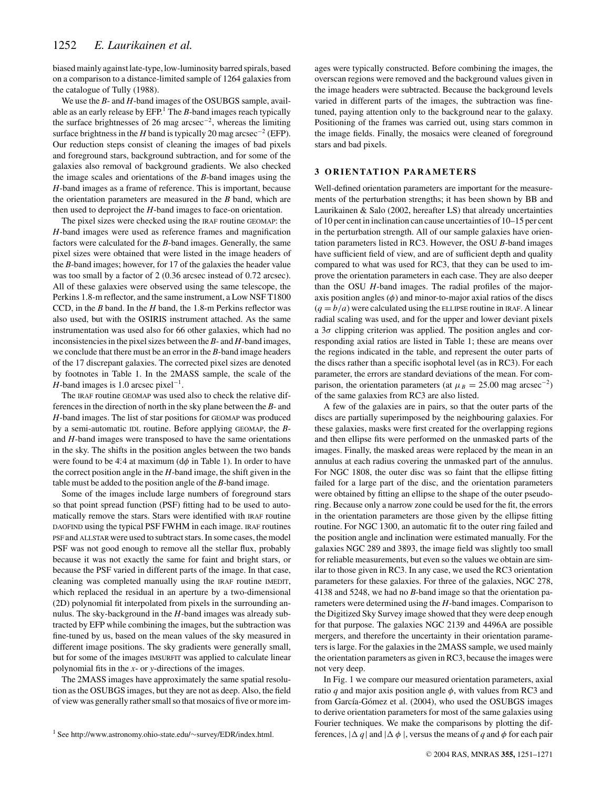biased mainly against late-type, low-luminosity barred spirals, based on a comparison to a distance-limited sample of 1264 galaxies from the catalogue of Tully (1988).

We use the *B*- and *H*-band images of the OSUBGS sample, available as an early release by  $EFP<sup>1</sup>$  The  $B$ -band images reach typically the surface brightnesses of 26 mag arcsec−2, whereas the limiting surface brightness in the *H* band is typically 20 mag arcsec<sup>-2</sup> (EFP). Our reduction steps consist of cleaning the images of bad pixels and foreground stars, background subtraction, and for some of the galaxies also removal of background gradients. We also checked the image scales and orientations of the *B*-band images using the *H*-band images as a frame of reference. This is important, because the orientation parameters are measured in the *B* band, which are then used to deproject the *H*-band images to face-on orientation.

The pixel sizes were checked using the IRAF routine GEOMAP: the *H*-band images were used as reference frames and magnification factors were calculated for the *B*-band images. Generally, the same pixel sizes were obtained that were listed in the image headers of the *B*-band images; however, for 17 of the galaxies the header value was too small by a factor of 2 (0.36 arcsec instead of 0.72 arcsec). All of these galaxies were observed using the same telescope, the Perkins 1.8-m reflector, and the same instrument, a Low NSF T1800 CCD, in the *B* band. In the *H* band, the 1.8-m Perkins reflector was also used, but with the OSIRIS instrument attached. As the same instrumentation was used also for 66 other galaxies, which had no inconsistencies in the pixel sizes between the *B*- and *H*-band images, we conclude that there must be an error in the *B*-band image headers of the 17 discrepant galaxies. The corrected pixel sizes are denoted by footnotes in Table 1. In the 2MASS sample, the scale of the *H*-band images is 1.0 arcsec pixel<sup>-1</sup>.

The IRAF routine GEOMAP was used also to check the relative differences in the direction of north in the sky plane between the *B*- and *H*-band images. The list of star positions for GEOMAP was produced by a semi-automatic IDL routine. Before applying GEOMAP, the *B*and *H*-band images were transposed to have the same orientations in the sky. The shifts in the position angles between the two bands were found to be 4°.4 at maximum ( $d\phi$  in Table 1). In order to have the correct position angle in the *H*-band image, the shift given in the table must be added to the position angle of the *B*-band image.

Some of the images include large numbers of foreground stars so that point spread function (PSF) fitting had to be used to automatically remove the stars. Stars were identified with IRAF routine DAOFIND using the typical PSF FWHM in each image. IRAF routines PSF and ALLSTAR were used to subtract stars. In some cases, the model PSF was not good enough to remove all the stellar flux, probably because it was not exactly the same for faint and bright stars, or because the PSF varied in different parts of the image. In that case, cleaning was completed manually using the IRAF routine IMEDIT, which replaced the residual in an aperture by a two-dimensional (2D) polynomial fit interpolated from pixels in the surrounding annulus. The sky-background in the *H*-band images was already subtracted by EFP while combining the images, but the subtraction was fine-tuned by us, based on the mean values of the sky measured in different image positions. The sky gradients were generally small, but for some of the images IMSURFIT was applied to calculate linear polynomial fits in the *x*- or *y*-directions of the images.

The 2MASS images have approximately the same spatial resolution as the OSUBGS images, but they are not as deep. Also, the field of view was generally rather small so that mosaics of five or more images were typically constructed. Before combining the images, the overscan regions were removed and the background values given in the image headers were subtracted. Because the background levels varied in different parts of the images, the subtraction was finetuned, paying attention only to the background near to the galaxy. Positioning of the frames was carried out, using stars common in the image fields. Finally, the mosaics were cleaned of foreground stars and bad pixels.

#### **3 ORIENTATION PARAMETERS**

Well-defined orientation parameters are important for the measurements of the perturbation strengths; it has been shown by BB and Laurikainen & Salo (2002, hereafter LS) that already uncertainties of 10 per cent in inclination can cause uncertainties of 10–15 per cent in the perturbation strength. All of our sample galaxies have orientation parameters listed in RC3. However, the OSU *B*-band images have sufficient field of view, and are of sufficient depth and quality compared to what was used for RC3, that they can be used to improve the orientation parameters in each case. They are also deeper than the OSU *H*-band images. The radial profiles of the majoraxis position angles  $(\phi)$  and minor-to-major axial ratios of the discs  $(q = b/a)$  were calculated using the ELLIPSE routine in IRAF. A linear radial scaling was used, and for the upper and lower deviant pixels a  $3\sigma$  clipping criterion was applied. The position angles and corresponding axial ratios are listed in Table 1; these are means over the regions indicated in the table, and represent the outer parts of the discs rather than a specific isophotal level (as in RC3). For each parameter, the errors are standard deviations of the mean. For comparison, the orientation parameters (at  $\mu_B = 25.00$  mag arcsec<sup>-2</sup>) of the same galaxies from RC3 are also listed.

A few of the galaxies are in pairs, so that the outer parts of the discs are partially superimposed by the neighbouring galaxies. For these galaxies, masks were first created for the overlapping regions and then ellipse fits were performed on the unmasked parts of the images. Finally, the masked areas were replaced by the mean in an annulus at each radius covering the unmasked part of the annulus. For NGC 1808, the outer disc was so faint that the ellipse fitting failed for a large part of the disc, and the orientation parameters were obtained by fitting an ellipse to the shape of the outer pseudoring. Because only a narrow zone could be used for the fit, the errors in the orientation parameters are those given by the ellipse fitting routine. For NGC 1300, an automatic fit to the outer ring failed and the position angle and inclination were estimated manually. For the galaxies NGC 289 and 3893, the image field was slightly too small for reliable measurements, but even so the values we obtain are similar to those given in RC3. In any case, we used the RC3 orientation parameters for these galaxies. For three of the galaxies, NGC 278, 4138 and 5248, we had no *B*-band image so that the orientation parameters were determined using the *H*-band images. Comparison to the Digitized Sky Survey image showed that they were deep enough for that purpose. The galaxies NGC 2139 and 4496A are possible mergers, and therefore the uncertainty in their orientation parameters is large. For the galaxies in the 2MASS sample, we used mainly the orientation parameters as given in RC3, because the images were not very deep.

In Fig. 1 we compare our measured orientation parameters, axial ratio  $q$  and major axis position angle  $\phi$ , with values from RC3 and from García-Gómez et al. (2004), who used the OSUBGS images to derive orientation parameters for most of the same galaxies using Fourier techniques. We make the comparisons by plotting the differences,  $|\Delta q|$  and  $|\Delta \phi|$ , versus the means of q and  $\phi$  for each pair

<sup>1</sup> See http://www.astronomy.ohio-state.edu/∼survey/EDR/index.html.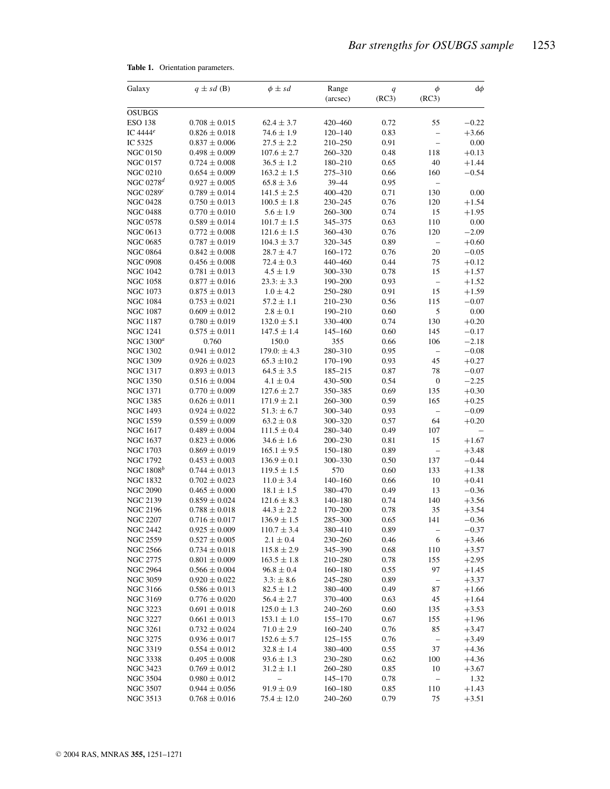| Galaxy                             | $q \pm sd$ (B)                         | $\phi \pm sd$                     | Range              | q            | $\phi$                   | $d\phi$            |
|------------------------------------|----------------------------------------|-----------------------------------|--------------------|--------------|--------------------------|--------------------|
|                                    |                                        |                                   | (arcsec)           | (RC3)        | (RC3)                    |                    |
| <b>OSUBGS</b>                      |                                        |                                   |                    |              |                          |                    |
| <b>ESO 138</b>                     | $0.708 \pm 0.015$                      | $62.4 \pm 3.7$                    | 420-460            | 0.72         | 55                       | $-0.22$            |
| IC 4444 <sup>e</sup>               | $0.826 \pm 0.018$                      | $74.6 \pm 1.9$                    | $120 - 140$        | 0.83         | $\overline{\phantom{0}}$ | $+3.66$            |
| IC 5325                            | $0.837 \pm 0.006$                      | $27.5 \pm 2.2$                    | 210-250            | 0.91         | $\overline{a}$           | 0.00               |
| <b>NGC 0150</b>                    | $0.498 \pm 0.009$                      | $107.6 \pm 2.7$                   | 260-320            | 0.48         | 118                      | $+0.13$            |
| <b>NGC 0157</b>                    | $0.724 \pm 0.008$                      | $36.5 \pm 1.2$                    | 180-210            | 0.65         | 40                       | $+1.44$            |
| <b>NGC 0210</b>                    | $0.654 \pm 0.009$                      | $163.2 \pm 1.5$                   | 275-310            | 0.66         | 160                      | $-0.54$            |
| NGC 0278 $d$                       | $0.927 \pm 0.005$                      | $65.8 \pm 3.6$                    | 39-44              | 0.95         |                          |                    |
| NGC $0289c$                        | $0.789 \pm 0.014$                      | $141.5 \pm 2.5$                   | 400-420            | 0.71         | 130                      | 0.00               |
| <b>NGC 0428</b>                    | $0.750 \pm 0.013$                      | $100.5 \pm 1.8$                   | 230-245            | 0.76         | 120                      | $+1.54$            |
| <b>NGC 0488</b>                    | $0.770 \pm 0.010$                      | $5.6\pm1.9$                       | $260 - 300$        | 0.74         | 15                       | $+1.95$            |
| <b>NGC 0578</b>                    | $0.589 \pm 0.014$                      | $101.7 \pm 1.5$                   | 345-375            | 0.63         | 110                      | 0.00               |
| NGC 0613                           | $0.772 \pm 0.008$                      | $121.6 \pm 1.5$                   | 360-430            | 0.76         | 120                      | $-2.09$            |
| <b>NGC 0685</b>                    | $0.787 \pm 0.019$                      | $104.3 \pm 3.7$                   | 320-345            | 0.89         | $\overline{\phantom{0}}$ | $+0.60$            |
| <b>NGC 0864</b>                    | $0.842 \pm 0.008$                      | $28.7 \pm 4.7$                    | 160-172            | 0.76         | 20                       | $-0.05$            |
| <b>NGC 0908</b>                    | $0.456 \pm 0.008$                      | $72.4 \pm 0.3$                    | 440-460            | 0.44         | 75                       | $+0.12$            |
| <b>NGC 1042</b>                    | $0.781 \pm 0.013$                      | $4.5 \pm 1.9$                     | 300-330            | 0.78         | 15                       | $+1.57$            |
| NGC 1058                           | $0.877 \pm 0.016$                      | $23.3: \pm 3.3$                   | 190-200            | 0.93         | $\overline{\phantom{0}}$ | $+1.52$            |
| <b>NGC 1073</b>                    | $0.875 \pm 0.013$                      | $1.0 \pm 4.2$                     | 250-280            | 0.91         | 15                       | $+1.59$            |
| <b>NGC 1084</b>                    | $0.753 \pm 0.021$                      | $57.2 \pm 1.1$                    | 210-230            | 0.56         | 115                      | $-0.07$            |
| <b>NGC 1087</b>                    | $0.609 \pm 0.012$                      | $2.8\pm0.1$                       | 190-210            | 0.60         | 5                        | 0.00               |
| NGC 1187                           | $0.780 \pm 0.019$                      | $132.0 \pm 5.1$                   | 330-400            | 0.74         | 130                      | $+0.20$            |
| <b>NGC 1241</b>                    | $0.575 \pm 0.011$                      | $147.5 \pm 1.4$                   | $145 - 160$        | 0.60         | 145                      | $-0.17$            |
| NGC $1300^a$                       | 0.760                                  | 150.0                             | 355                | 0.66         | 106                      | $-2.18$            |
| NGC 1302                           | $0.941 \pm 0.012$                      | $179.0: \pm 4.3$                  | 280-310            | 0.95         | $\overline{a}$           | $-0.08$            |
| <b>NGC 1309</b>                    | $0.926 \pm 0.023$                      | $65.3 \pm 10.2$                   | 170-190            | 0.93         | 45                       | $+0.27$            |
| <b>NGC 1317</b>                    | $0.893 \pm 0.013$                      | $64.5 \pm 3.5$                    | 185-215            | 0.87         | 78                       | $-0.07$            |
| <b>NGC 1350</b>                    | $0.516 \pm 0.004$                      | $4.1 \pm 0.4$                     | 430-500            | 0.54         | $\boldsymbol{0}$         | $-2.25$            |
| NGC 1371                           | $0.770 \pm 0.009$                      | $127.6 \pm 2.7$                   | 350-385            | 0.69         | 135                      | $+0.30$            |
| NGC 1385                           | $0.626 \pm 0.011$                      | $171.9 \pm 2.1$                   | $260 - 300$        | 0.59         | 165                      | $+0.25$            |
| NGC 1493                           | $0.924 \pm 0.022$                      | $51.3: \pm 6.7$                   | 300-340            | 0.93         | $\overline{a}$           | $-0.09$            |
| NGC 1559                           | $0.559 \pm 0.009$                      | $63.2 \pm 0.8$                    | 300-320            | 0.57         | 64                       | $+0.20$            |
| NGC 1617                           | $0.489 \pm 0.004$                      | $111.5 \pm 0.4$                   | 280-340            | 0.49         | 107                      |                    |
| <b>NGC 1637</b>                    | $0.823 \pm 0.006$                      | $34.6 \pm 1.6$                    | $200 - 230$        | 0.81         | 15                       | $+1.67$            |
| NGC 1703                           | $0.869 \pm 0.019$                      | $165.1 \pm 9.5$                   | 150-180            | 0.89         | $\overline{\phantom{0}}$ | $+3.48$            |
| <b>NGC 1792</b>                    | $0.453 \pm 0.003$                      | $136.9 \pm 0.1$                   | 300-330            | 0.50         | 137                      | $-0.44$            |
| NGC $1808^b$                       | $0.744 \pm 0.013$                      | $119.5 \pm 1.5$                   | 570                | 0.60         | 133                      | $+1.38$            |
| <b>NGC 1832</b>                    | $0.702 \pm 0.023$                      | $11.0 \pm 3.4$                    | $140 - 160$        | 0.66         | 10                       | $+0.41$            |
| <b>NGC 2090</b>                    | $0.465 \pm 0.000$                      | $18.1 \pm 1.5$                    | 380-470            | 0.49         | 13                       | $-0.36$            |
| NGC 2139                           | $0.859 \pm 0.024$                      | $121.6 \pm 8.3$                   | $140 - 180$        | 0.74         | 140                      | $+3.56$            |
| <b>NGC 2196</b><br><b>NGC 2207</b> | $0.788 \pm 0.018$<br>$0.716 \pm 0.017$ | $44.3 \pm 2.2$<br>$136.9 \pm 1.5$ | 170-200            | 0.78         | 35<br>141                | $+3.54$            |
|                                    |                                        | $110.7 \pm 3.4$                   | 285-300            | 0.65         |                          | $-0.36$            |
| <b>NGC 2442</b><br><b>NGC 2559</b> | $0.925\pm0.009$<br>$0.527 \pm 0.005$   |                                   | 380-410<br>230-260 | 0.89<br>0.46 | -<br>6                   | $-0.37$<br>$+3.46$ |
| <b>NGC 2566</b>                    | $0.734 \pm 0.018$                      | $2.1 \pm 0.4$<br>$115.8 \pm 2.9$  | 345-390            | 0.68         | 110                      | $+3.57$            |
| <b>NGC 2775</b>                    | $0.801 \pm 0.009$                      | $163.5 \pm 1.8$                   | 210-280            | 0.78         | 155                      | $+2.95$            |
| <b>NGC 2964</b>                    | $0.566 \pm 0.004$                      | $96.8\pm0.4$                      | $160 - 180$        | 0.55         | 97                       | $+1.45$            |
| NGC 3059                           | $0.920 \pm 0.022$                      | $3.3: \pm 8.6$                    | 245-280            | 0.89         | $\overline{\phantom{0}}$ | $+3.37$            |
| <b>NGC 3166</b>                    | $0.586 \pm 0.013$                      | $82.5 \pm 1.2$                    | 380-400            | 0.49         | 87                       | $+1.66$            |
| <b>NGC 3169</b>                    | $0.776 \pm 0.020$                      | $56.4 \pm 2.7$                    | 370-400            | 0.63         | 45                       | $+1.64$            |
| NGC 3223                           | $0.691 \pm 0.018$                      | $125.0 \pm 1.3$                   | $240 - 260$        | 0.60         | 135                      | $+3.53$            |
| <b>NGC 3227</b>                    | $0.661 \pm 0.013$                      | $153.1 \pm 1.0$                   | $155 - 170$        | 0.67         | 155                      | $+1.96$            |
| <b>NGC 3261</b>                    | $0.732 \pm 0.024$                      | $71.0 \pm 2.9$                    | $160 - 240$        | 0.76         | 85                       | $+3.47$            |
| <b>NGC 3275</b>                    | $0.936 \pm 0.017$                      | $152.6 \pm 5.7$                   | $125 - 155$        | 0.76         | $\overline{\phantom{0}}$ | $+3.49$            |
| <b>NGC 3319</b>                    | $0.554 \pm 0.012$                      | $32.8 \pm 1.4$                    | 380-400            | 0.55         | 37                       | $+4.36$            |
| <b>NGC 3338</b>                    | $0.495 \pm 0.008$                      | $93.6 \pm 1.3$                    | 230-280            | 0.62         | 100                      | $+4.36$            |
| NGC 3423                           | $0.769 \pm 0.012$                      | $31.2 \pm 1.1$                    | $260 - 280$        | 0.85         | 10                       | $+3.67$            |
| <b>NGC 3504</b>                    | $0.980 \pm 0.012$                      |                                   | $145 - 170$        | 0.78         |                          | 1.32               |
| <b>NGC 3507</b>                    | $0.944 \pm 0.056$                      | $91.9 \pm 0.9$                    | $160 - 180$        | 0.85         | 110                      | $+1.43$            |
| NGC 3513                           | $0.768 \pm 0.016$                      | $75.4 \pm 12.0$                   | $240 - 260$        | 0.79         | 75                       | $+3.51$            |

| Table 1. |  | Orientation parameters. |
|----------|--|-------------------------|
|----------|--|-------------------------|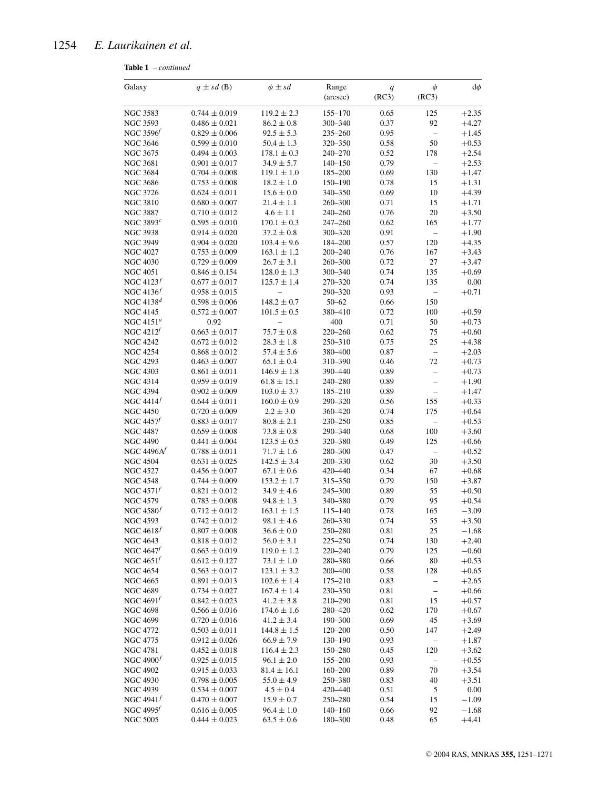## 1254 *E. Laurikainen et al.*

**Table 1** – *continued*

| Galaxy                         | $q \pm sd$ (B)                         | $\phi \pm sd$                   | Range                  | q            | $\phi$<br>(RC3)                | $d\phi$            |
|--------------------------------|----------------------------------------|---------------------------------|------------------------|--------------|--------------------------------|--------------------|
|                                |                                        |                                 | (arcsec)               | (RC3)        |                                |                    |
| <b>NGC 3583</b>                | $0.744 \pm 0.019$                      | $119.2 \pm 2.3$                 | $155 - 170$            | 0.65         | 125                            | $+2.35$            |
| <b>NGC 3593</b>                | $0.486 \pm 0.021$                      | $86.2 \pm 0.8$                  | 300-340                | 0.37         | 92                             | $+4.27$            |
| NGC 3596                       | $0.829 \pm 0.006$                      | $92.5 \pm 5.3$                  | $235 - 260$            | 0.95         | $\overline{a}$                 | $+1.45$            |
| <b>NGC 3646</b>                | $0.599 \pm 0.010$                      | $50.4\pm1.3$                    | 320-350                | 0.58         | 50                             | $+0.53$            |
| <b>NGC 3675</b>                | $0.494 \pm 0.003$                      | $178.1 \pm 0.3$                 | 240-270                | 0.52         | 178                            | $+2.54$            |
| <b>NGC 3681</b>                | $0.901 \pm 0.017$                      | $34.9 \pm 5.7$                  | $140 - 150$            | 0.79         | $\overline{a}$                 | $+2.53$            |
| <b>NGC 3684</b>                | $0.704 \pm 0.008$                      | $119.1 \pm 1.0$                 | 185-200                | 0.69         | 130                            | $+1.47$            |
| <b>NGC 3686</b>                | $0.753 \pm 0.008$                      | $18.2 \pm 1.0$                  | 150-190                | 0.78         | 15                             | $+1.31$            |
| <b>NGC 3726</b>                | $0.624 \pm 0.011$                      | $15.6 \pm 0.0$                  | 340-350                | 0.69         | 10                             | $+4.39$            |
| <b>NGC 3810</b>                | $0.680 \pm 0.007$                      | $21.4 \pm 1.1$                  | 260-300                | 0.71         | 15                             | $+1.71$            |
| <b>NGC 3887</b>                | $0.710 \pm 0.012$                      | $4.6 \pm 1.1$                   | 240-260                | 0.76         | 20                             | $+3.50$            |
| NGC 3893 <sup>c</sup>          | $0.595 \pm 0.010$                      | $170.1 \pm 0.3$                 | $247 - 260$            | 0.62         | 165                            | $+1.77$            |
| <b>NGC 3938</b>                | $0.914 \pm 0.020$                      | $37.2\pm0.8$                    | 300-320                | 0.91         | $\overline{\phantom{0}}$       | $+1.90$            |
| <b>NGC 3949</b>                | $0.904 \pm 0.020$                      | $103.4 \pm 9.6$                 | 184-200                | 0.57         | 120                            | $+4.35$            |
| <b>NGC 4027</b>                | $0.753\pm0.009$                        | $163.1 \pm 1.2$                 | $200 - 240$            | 0.76         | 167                            | $+3.43$            |
| <b>NGC 4030</b>                | $0.729 \pm 0.009$                      | $26.7 \pm 3.1$                  | 260-300                | 0.72         | 27                             | $+3.47$            |
| <b>NGC 4051</b>                | $0.846 \pm 0.154$                      | $128.0 \pm 1.3$                 | 300-340                | 0.74         | 135                            | $+0.69$            |
| NGC $4123^f$                   | $0.677 \pm 0.017$                      | $125.7 \pm 1.4$                 | 270-320                | 0.74         | 135                            | 0.00               |
| NGC $4136f$                    | $0.958 \pm 0.015$                      | $\overline{a}$                  | 290-320                | 0.93         | $\qquad \qquad -$              | $+0.71$            |
| NGC $4138^d$                   | $0.598 \pm 0.006$                      | $148.2 \pm 0.7$                 | $50 - 62$              | 0.66         | 150                            |                    |
| <b>NGC 4145</b>                | $0.572 \pm 0.007$                      | $101.5 \pm 0.5$                 | 380-410                | 0.72         | 100                            | $+0.59$            |
| NGC $4151^a$                   | 0.92                                   | $\overline{\phantom{0}}$        | 400                    | 0.71         | 50                             | $+0.73$            |
| NGC $4212^f$                   | $0.663 \pm 0.017$                      | $75.7 \pm 0.8$                  | $220 - 260$            | 0.62         | 75                             | $+0.60$            |
| <b>NGC 4242</b>                | $0.672 \pm 0.012$                      | $28.3 \pm 1.8$                  | 250-310                | 0.75         | 25                             | $+4.38$            |
| <b>NGC 4254</b>                | $0.868 \pm 0.012$                      | $57.4 \pm 5.6$                  | 380-400                | 0.87         | $\overline{\phantom{m}}$       | $+2.03$            |
| <b>NGC 4293</b>                | $0.463 \pm 0.007$                      | $65.1 \pm 0.4$                  | 310-390                | 0.46         | 72                             | $+0.73$            |
| <b>NGC 4303</b>                | $0.861 \pm 0.011$                      | $146.9 \pm 1.8$                 | 390-440                | 0.89         | $\overline{\phantom{0}}$       | $+0.73$            |
| <b>NGC 4314</b>                | $0.959 \pm 0.019$                      | $61.8 \pm 15.1$                 | 240-280                | 0.89         | $\overline{\phantom{0}}$       | $+1.90$            |
| <b>NGC 4394</b>                | $0.902 \pm 0.009$                      | $103.0 \pm 3.7$                 | 185-210                | 0.89         | $\equiv$                       | $+1.47$            |
| NGC $4414^f$                   | $0.644 \pm 0.011$                      | $160.0 \pm 0.9$                 | 290-320                | 0.56         | 155                            | $+0.33$            |
| <b>NGC 4450</b>                | $0.720 \pm 0.009$                      | $2.2 \pm 3.0$                   | 360-420                | 0.74         | 175                            | $+0.64$            |
| NGC $4457^f$                   | $0.883 \pm 0.017$                      | $80.8 \pm 2.1$                  | 230-250                | 0.85         | $\overline{a}$                 | $+0.53$            |
| <b>NGC 4487</b>                | $0.659 \pm 0.008$                      | $73.8 \pm 0.8$                  | 290-340                | 0.68         | 100                            | $+3.60$            |
| <b>NGC 4490</b>                | $0.441 \pm 0.004$                      | $123.5 \pm 0.5$                 | 320-380                | 0.49         | 125                            | $+0.66$            |
| NGC $4496Af$                   | $0.788 \pm 0.011$                      | $71.7 \pm 1.6$                  | 280-300                | 0.47         | $\overline{a}$                 | $+0.52$            |
| <b>NGC 4504</b>                | $0.631 \pm 0.025$                      | $142.5 \pm 3.4$                 | 200-330                | 0.62         | 30                             | $+3.50$            |
| <b>NGC 4527</b>                | $0.456 \pm 0.007$                      | $67.1 \pm 0.6$                  | 420-440                | 0.34         | 67                             | $+0.68$            |
| <b>NGC 4548</b>                | $0.744 \pm 0.009$                      | $153.2 \pm 1.7$                 | 315-350                | 0.79         | 150                            | $+3.87$            |
| NGC $4571^f$                   | $0.821 \pm 0.012$                      | $34.9 \pm 4.6$                  | 245-300                | 0.89         | 55                             | $+0.50$            |
| <b>NGC 4579</b>                | $0.783 \pm 0.008$                      | $94.8 \pm 1.3$                  | 340-380                | 0.79         | 95                             | $+0.54$            |
| NGC $4580f$                    | $0.712 \pm 0.012$                      | $163.1 \pm 1.5$                 | $115 - 140$            | 0.78         | 165                            | $-3.09$            |
| <b>NGC 4593</b>                | $0.742 \pm 0.012$                      | $98.1 \pm 4.6$                  | 260-330                | 0.74         | 55                             | $+3.50$            |
| NGC $4618^f$                   | $0.807 \pm 0.008$                      | $36.6 \pm 0.0$                  | 250-280                | 0.81         | 25                             | $-1.68$            |
| <b>NGC 4643</b>                | $0.818 \pm 0.012$                      | $56.0 \pm 3.1$                  | $225 - 250$            | 0.74         | 130                            | $+2.40$            |
| NGC $4647^f$                   | $0.663 \pm 0.019$                      | $119.0 \pm 1.2$                 | 220-240                | 0.79         | 125                            | $-0.60$            |
| NGC $4651^f$                   | $0.612 \pm 0.127$                      | $73.1 \pm 1.0$                  | 280-380                | 0.66         | 80                             | $+0.53$            |
| <b>NGC 4654</b>                | $0.563 \pm 0.017$                      | $123.1 \pm 3.2$                 | 200-400                | 0.58         | 128                            | $+0.65$            |
| <b>NGC 4665</b>                | $0.891 \pm 0.013$                      | $102.6 \pm 1.4$                 | 175-210                | 0.83         | $\overline{\phantom{0}}$       | $+2.65$            |
| <b>NGC 4689</b>                | $0.734 \pm 0.027$                      | $167.4 \pm 1.4$                 | 230-350                | 0.81         | $\overline{\phantom{0}}$       | $+0.66$            |
| NGC $4691^f$                   | $0.842 \pm 0.023$                      | $41.2 \pm 3.8$                  | 210-290                | 0.81         | 15                             | $+0.57$            |
| <b>NGC 4698</b>                | $0.566 \pm 0.016$                      | $174.6 \pm 1.6$                 | 280-420                | 0.62         | 170                            | $+0.67$            |
| NGC 4699                       | $0.720 \pm 0.016$                      | $41.2 \pm 3.4$                  | 190-300                | 0.69         | 45                             | $+3.69$            |
| <b>NGC 4772</b>                | $0.503 \pm 0.011$                      | $144.8 \pm 1.5$                 | $120 - 200$            | 0.50<br>0.93 | 147                            | $+2.49$<br>$+1.87$ |
| NGC 4775<br><b>NGC 4781</b>    | $0.912 \pm 0.026$                      | $66.9 \pm 7.9$                  | 130-190<br>150-280     | 0.45         | -<br>120                       |                    |
|                                | $0.452 \pm 0.018$                      | $116.4 \pm 2.3$                 |                        |              |                                | $+3.62$            |
| NGC $4900f$<br><b>NGC 4902</b> | $0.925 \pm 0.015$                      | $96.1 \pm 2.0$                  | 155-200                | 0.93<br>0.89 | $\overline{\phantom{0}}$<br>70 | $+0.55$            |
| <b>NGC 4930</b>                | $0.915 \pm 0.033$<br>$0.798 \pm 0.005$ | $81.4 \pm 16.1$                 | $160 - 200$<br>250–380 | 0.83         | 40                             | $+3.54$            |
| NGC 4939                       | $0.534 \pm 0.007$                      | $55.0 \pm 4.9$<br>$4.5 \pm 0.4$ | 420-440                | 0.51         | 5                              | $+3.51$<br>0.00    |
| NGC $4941f$                    | $0.470 \pm 0.007$                      | $15.9 \pm 0.7$                  | 250–280                | 0.54         | 15                             | $-1.09$            |
| NGC $4995^f$                   | $0.616 \pm 0.005$                      | $96.4 \pm 1.0$                  | $140 - 160$            | 0.66         | 92                             | $-1.68$            |
| <b>NGC 5005</b>                | $0.444 \pm 0.023$                      | $63.5 \pm 0.6$                  | 180-300                | 0.48         | 65                             | $+4.41$            |
|                                |                                        |                                 |                        |              |                                |                    |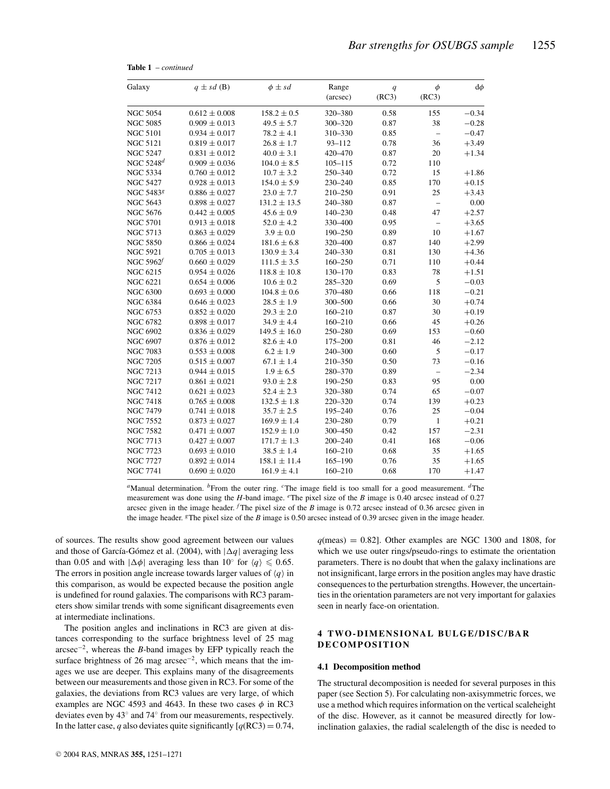| Galaxy                | $q \pm sd$ (B)    | $\phi \pm sd$    | Range<br>(arcsec) | q<br>(RC3) | $\phi$<br>(RC3)          | $d\phi$ |
|-----------------------|-------------------|------------------|-------------------|------------|--------------------------|---------|
| <b>NGC 5054</b>       | $0.612 \pm 0.008$ | $158.2 \pm 0.5$  | 320-380           | 0.58       | 155                      | $-0.34$ |
| <b>NGC 5085</b>       | $0.909 \pm 0.013$ | $49.5 \pm 5.7$   | 300-320           | 0.87       | 38                       | $-0.28$ |
| <b>NGC 5101</b>       | $0.934 \pm 0.017$ | $78.2 \pm 4.1$   | 310-330           | 0.85       | $\overline{\phantom{0}}$ | $-0.47$ |
| <b>NGC 5121</b>       | $0.819 \pm 0.017$ | $26.8 \pm 1.7$   | $93 - 112$        | 0.78       | 36                       | $+3.49$ |
| <b>NGC 5247</b>       | $0.831 \pm 0.012$ | $40.0 \pm 3.1$   | 420-470           | 0.87       | 20                       | $+1.34$ |
| NGC 5248 $\emph{d}$   | $0.909 \pm 0.036$ | $104.0 \pm 8.5$  | $105 - 115$       | 0.72       | 110                      |         |
| <b>NGC 5334</b>       | $0.760 \pm 0.012$ | $10.7 \pm 3.2$   | 250-340           | 0.72       | 15                       | $+1.86$ |
| <b>NGC 5427</b>       | $0.928 \pm 0.013$ | $154.0 \pm 5.9$  | 230-240           | 0.85       | 170                      | $+0.15$ |
| NGC 54838             | $0.886 \pm 0.027$ | $23.0 \pm 7.7$   | 210-250           | 0.91       | 25                       | $+3.43$ |
| <b>NGC 5643</b>       | $0.898 \pm 0.027$ | $131.2 \pm 13.5$ | 240-380           | 0.87       | $\equiv$                 | 0.00    |
| NGC 5676              | $0.442 \pm 0.005$ | $45.6 \pm 0.9$   | $140 - 230$       | 0.48       | 47                       | $+2.57$ |
| <b>NGC 5701</b>       | $0.913 \pm 0.018$ | $52.0 \pm 4.2$   | 330-400           | 0.95       |                          | $+3.65$ |
| <b>NGC 5713</b>       | $0.863 \pm 0.029$ | $3.9 \pm 0.0$    | 190-250           | 0.89       | 10                       | $+1.67$ |
| <b>NGC 5850</b>       | $0.866 \pm 0.024$ | $181.6 \pm 6.8$  | 320-400           | 0.87       | 140                      | $+2.99$ |
| <b>NGC 5921</b>       | $0.705 \pm 0.013$ | $130.9 \pm 3.4$  | 240-330           | 0.81       | 130                      | $+4.36$ |
| NGC 5962 <sup>f</sup> | $0.660 \pm 0.029$ | $111.5 \pm 3.5$  | $160 - 250$       | 0.71       | 110                      | $+0.44$ |
| NGC 6215              | $0.954 \pm 0.026$ | $118.8 \pm 10.8$ | 130-170           | 0.83       | 78                       | $+1.51$ |
| <b>NGC 6221</b>       | $0.654 \pm 0.006$ | $10.6 \pm 0.2$   | 285-320           | 0.69       | 5                        | $-0.03$ |
| <b>NGC 6300</b>       | $0.693 \pm 0.000$ | $104.8 \pm 0.6$  | 370-480           | 0.66       | 118                      | $-0.21$ |
| <b>NGC 6384</b>       | $0.646 \pm 0.023$ | $28.5 \pm 1.9$   | 300-500           | 0.66       | 30                       | $+0.74$ |
| <b>NGC 6753</b>       | $0.852 \pm 0.020$ | $29.3 \pm 2.0$   | $160 - 210$       | 0.87       | 30                       | $+0.19$ |
| <b>NGC 6782</b>       | $0.898 \pm 0.017$ | $34.9 \pm 4.4$   | $160 - 210$       | 0.66       | 45                       | $+0.26$ |
| NGC 6902              | $0.836 \pm 0.029$ | $149.5 \pm 16.0$ | 250-280           | 0.69       | 153                      | $-0.60$ |
| NGC 6907              | $0.876 \pm 0.012$ | $82.6 \pm 4.0$   | 175-200           | 0.81       | 46                       | $-2.12$ |
| <b>NGC 7083</b>       | $0.553 \pm 0.008$ | $6.2\pm1.9$      | 240-300           | 0.60       | 5                        | $-0.17$ |
| <b>NGC 7205</b>       | $0.515 \pm 0.007$ | $67.1 \pm 1.4$   | 210-350           | 0.50       | 73                       | $-0.16$ |
| <b>NGC 7213</b>       | $0.944 \pm 0.015$ | $1.9 \pm 6.5$    | 280-370           | 0.89       | $\qquad \qquad -$        | $-2.34$ |
| <b>NGC 7217</b>       | $0.861 \pm 0.021$ | $93.0 \pm 2.8$   | 190-250           | 0.83       | 95                       | 0.00    |
| <b>NGC 7412</b>       | $0.621 \pm 0.023$ | $52.4 \pm 2.3$   | 320-380           | 0.74       | 65                       | $-0.07$ |
| NGC 7418              | $0.765 \pm 0.008$ | $132.5 \pm 1.8$  | 220-320           | 0.74       | 139                      | $+0.23$ |
| <b>NGC 7479</b>       | $0.741 \pm 0.018$ | $35.7\pm2.5$     | 195-240           | 0.76       | 25                       | $-0.04$ |
| <b>NGC 7552</b>       | $0.873 \pm 0.027$ | $169.9 \pm 1.4$  | 230-280           | 0.79       | $\mathbf{1}$             | $+0.21$ |
| <b>NGC 7582</b>       | $0.471 \pm 0.007$ | $152.9\pm1.0$    | 300-450           | 0.42       | 157                      | $-2.31$ |
| <b>NGC 7713</b>       | $0.427 \pm 0.007$ | $171.7 \pm 1.3$  | $200 - 240$       | 0.41       | 168                      | $-0.06$ |
| <b>NGC 7723</b>       | $0.693 \pm 0.010$ | $38.5 \pm 1.4$   | $160 - 210$       | 0.68       | 35                       | $+1.65$ |
| <b>NGC 7727</b>       | $0.892 \pm 0.014$ | $158.1 \pm 11.4$ | $165 - 190$       | 0.76       | 35                       | $+1.65$ |
| NGC 7741              | $0.690 \pm 0.020$ | $161.9 \pm 4.1$  | $160 - 210$       | 0.68       | 170                      | $+1.47$ |
|                       |                   |                  |                   |            |                          |         |

**Table 1** – *continued*

*<sup>a</sup>*Manual determination. *<sup>b</sup>*From the outer ring. *<sup>c</sup>*The image field is too small for a good measurement. *<sup>d</sup>*The measurement was done using the *H*-band image. *e*The pixel size of the *B* image is 0.40 arcsec instead of 0.27 arcsec given in the image header.  $<sup>f</sup>$  The pixel size of the *B* image is 0.72 arcsec instead of 0.36 arcsec given in</sup> the image header. *<sup>g</sup>*The pixel size of the *B* image is 0.50 arcsec instead of 0.39 arcsec given in the image header.

of sources. The results show good agreement between our values and those of García-Gómez et al. (2004), with  $|\Delta q|$  averaging less than 0.05 and with  $|\Delta\phi|$  averaging less than 10° for  $\langle q \rangle \leq 0.65$ . The errors in position angle increase towards larger values of  $\langle q \rangle$  in this comparison, as would be expected because the position angle is undefined for round galaxies. The comparisons with RC3 parameters show similar trends with some significant disagreements even at intermediate inclinations.

The position angles and inclinations in RC3 are given at distances corresponding to the surface brightness level of 25 mag arcsec−2, whereas the *B*-band images by EFP typically reach the surface brightness of 26 mag arcsec<sup>-2</sup>, which means that the images we use are deeper. This explains many of the disagreements between our measurements and those given in RC3. For some of the galaxies, the deviations from RC3 values are very large, of which examples are NGC 4593 and 4643. In these two cases  $\phi$  in RC3 deviates even by 43◦ and 74◦ from our measurements, respectively. In the latter case, *q* also deviates quite significantly  $[q(RC3) = 0.74]$ ,  $q$ (meas) = 0.82]. Other examples are NGC 1300 and 1808, for which we use outer rings/pseudo-rings to estimate the orientation parameters. There is no doubt that when the galaxy inclinations are not insignificant, large errors in the position angles may have drastic consequences to the perturbation strengths. However, the uncertainties in the orientation parameters are not very important for galaxies seen in nearly face-on orientation.

## **4 TWO-DIMENSIONAL BULGE/DISC/BAR DECOMPOSITION**

#### **4.1 Decomposition method**

The structural decomposition is needed for several purposes in this paper (see Section 5). For calculating non-axisymmetric forces, we use a method which requires information on the vertical scaleheight of the disc. However, as it cannot be measured directly for lowinclination galaxies, the radial scalelength of the disc is needed to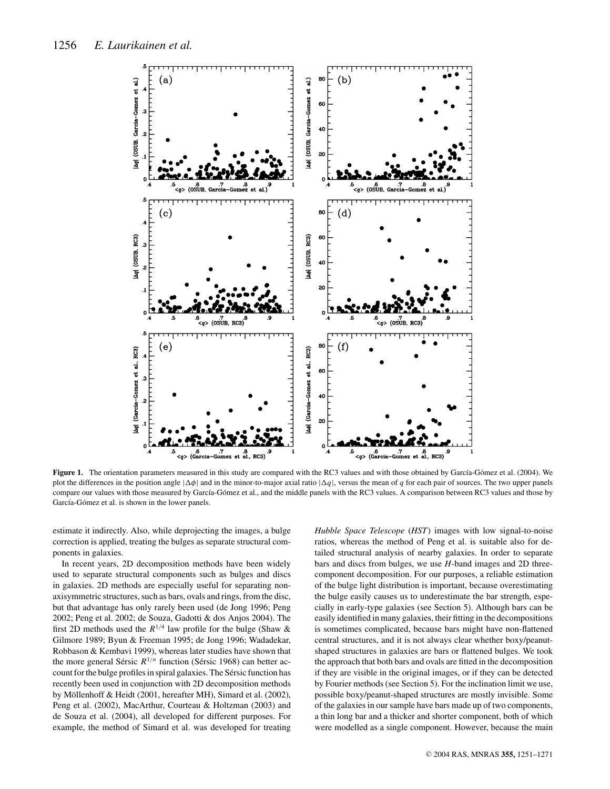

Figure 1. The orientation parameters measured in this study are compared with the RC3 values and with those obtained by García-Gómez et al. (2004). We plot the differences in the position angle  $|\Delta\phi|$  and in the minor-to-major axial ratio  $|\Delta q|$ , versus the mean of *q* for each pair of sources. The two upper panels compare our values with those measured by García-Gómez et al., and the middle panels with the RC3 values. A comparison between RC3 values and those by García-Gómez et al. is shown in the lower panels.

estimate it indirectly. Also, while deprojecting the images, a bulge correction is applied, treating the bulges as separate structural components in galaxies.

In recent years, 2D decomposition methods have been widely used to separate structural components such as bulges and discs in galaxies. 2D methods are especially useful for separating nonaxisymmetric structures, such as bars, ovals and rings, from the disc, but that advantage has only rarely been used (de Jong 1996; Peng 2002; Peng et al. 2002; de Souza, Gadotti & dos Anjos 2004). The first 2D methods used the  $R^{1/4}$  law profile for the bulge (Shaw & Gilmore 1989; Byun & Freeman 1995; de Jong 1996; Wadadekar, Robbason & Kembavi 1999), whereas later studies have shown that the more general Sérsic  $R^{1/n}$  function (Sérsic 1968) can better account for the bulge profiles in spiral galaxies. The Sérsic function has recently been used in conjunction with 2D decomposition methods by Möllenhoff & Heidt (2001, hereafter MH), Simard et al. (2002), Peng et al. (2002), MacArthur, Courteau & Holtzman (2003) and de Souza et al. (2004), all developed for different purposes. For example, the method of Simard et al. was developed for treating *Hubble Space Telescope* (*HST*) images with low signal-to-noise ratios, whereas the method of Peng et al. is suitable also for detailed structural analysis of nearby galaxies. In order to separate bars and discs from bulges, we use *H*-band images and 2D threecomponent decomposition. For our purposes, a reliable estimation of the bulge light distribution is important, because overestimating the bulge easily causes us to underestimate the bar strength, especially in early-type galaxies (see Section 5). Although bars can be easily identified in many galaxies, their fitting in the decompositions is sometimes complicated, because bars might have non-flattened central structures, and it is not always clear whether boxy/peanutshaped structures in galaxies are bars or flattened bulges. We took the approach that both bars and ovals are fitted in the decomposition if they are visible in the original images, or if they can be detected by Fourier methods (see Section 5). For the inclination limit we use, possible boxy/peanut-shaped structures are mostly invisible. Some of the galaxies in our sample have bars made up of two components, a thin long bar and a thicker and shorter component, both of which were modelled as a single component. However, because the main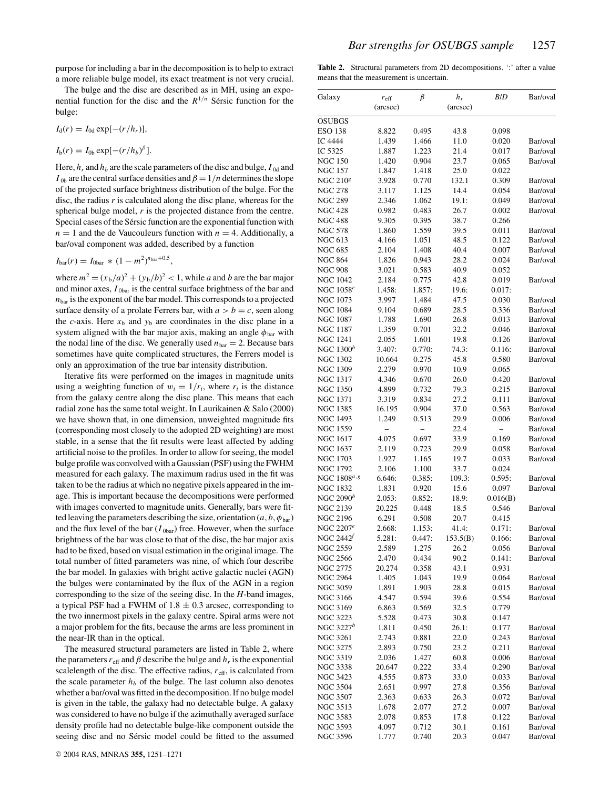purpose for including a bar in the decomposition is to help to extract a more reliable bulge model, its exact treatment is not very crucial.

The bulge and the disc are described as in MH, using an exponential function for the disc and the  $R^{1/n}$  Sérsic function for the bulge:

$$
I_{\rm d}(r) = I_{\rm 0d} \exp[-(r/h_r)],
$$

$$
I_{\mathrm{b}}(r)=I_{0\mathrm{b}}\exp[-(r/h_b)^{\beta}].
$$

Here,  $h_r$  and  $h_b$  are the scale parameters of the disc and bulge,  $I_{0d}$  and  $I_{0b}$  are the central surface densities and  $\beta = 1/n$  determines the slope of the projected surface brightness distribution of the bulge. For the disc, the radius *r* is calculated along the disc plane, whereas for the spherical bulge model, *r* is the projected distance from the centre. Special cases of the Sérsic function are the exponential function with  $n = 1$  and the de Vaucouleurs function with  $n = 4$ . Additionally, a bar/oval component was added, described by a function

,

$$
I_{\text{bar}}(r) = I_{\text{0bar}} * (1 - m^2)^{n_{\text{bar}} + 0.5}
$$

where  $m^2 = (x_b/a)^2 + (y_b/b)^2 < 1$ , while *a* and *b* are the bar major and minor axes,  $I_{\text{obar}}$  is the central surface brightness of the bar and  $n<sub>bar</sub>$  is the exponent of the bar model. This corresponds to a projected surface density of a prolate Ferrers bar, with  $a > b = c$ , seen along the *c*-axis. Here  $x<sub>b</sub>$  and  $y<sub>b</sub>$  are coordinates in the disc plane in a system aligned with the bar major axis, making an angle  $\phi_{\text{bar}}$  with the nodal line of the disc. We generally used  $n_{bar} = 2$ . Because bars sometimes have quite complicated structures, the Ferrers model is only an approximation of the true bar intensity distribution.

Iterative fits were performed on the images in magnitude units using a weighting function of  $w_i = 1/r_i$ , where  $r_i$  is the distance from the galaxy centre along the disc plane. This means that each radial zone has the same total weight. In Laurikainen & Salo (2000) we have shown that, in one dimension, unweighted magnitude fits (corresponding most closely to the adopted 2D weighting) are most stable, in a sense that the fit results were least affected by adding artificial noise to the profiles. In order to allow for seeing, the model bulge profile was convolved with a Gaussian (PSF) using the FWHM measured for each galaxy. The maximum radius used in the fit was taken to be the radius at which no negative pixels appeared in the image. This is important because the decompositions were performed with images converted to magnitude units. Generally, bars were fitted leaving the parameters describing the size, orientation  $(a, b, \phi_{bar})$ and the flux level of the bar  $(I_{0\text{bar}})$  free. However, when the surface brightness of the bar was close to that of the disc, the bar major axis had to be fixed, based on visual estimation in the original image. The total number of fitted parameters was nine, of which four describe the bar model. In galaxies with bright active galactic nuclei (AGN) the bulges were contaminated by the flux of the AGN in a region corresponding to the size of the seeing disc. In the *H*-band images, a typical PSF had a FWHM of  $1.8 \pm 0.3$  arcsec, corresponding to the two innermost pixels in the galaxy centre. Spiral arms were not a major problem for the fits, because the arms are less prominent in the near-IR than in the optical.

The measured structural parameters are listed in Table 2, where the parameters  $r_{\text{eff}}$  and  $\beta$  describe the bulge and  $h_r$  is the exponential scalelength of the disc. The effective radius,  $r_{\text{eff}}$ , is calculated from the scale parameter  $h_b$  of the bulge. The last column also denotes whether a bar/oval was fitted in the decomposition. If no bulge model is given in the table, the galaxy had no detectable bulge. A galaxy was considered to have no bulge if the azimuthally averaged surface density profile had no detectable bulge-like component outside the seeing disc and no Sérsic model could be fitted to the assumed **Table 2.** Structural parameters from 2D decompositions. ':' after a value means that the measurement is uncertain.

| Galaxy                     | $r_{\text{eff}}$ | β      | $h_r$    | B/D      | Bar/oval |
|----------------------------|------------------|--------|----------|----------|----------|
|                            | (arcsec)         |        | (arcsec) |          |          |
|                            |                  |        |          |          |          |
| <b>OSUBGS</b>              |                  |        |          |          |          |
| <b>ESO 138</b>             | 8.822            | 0.495  | 43.8     | 0.098    |          |
| <b>IC 4444</b>             | 1.439            | 1.466  | 11.0     | 0.020    | Bar/oval |
| IC 5325                    | 1.887            | 1.223  | 21.4     | 0.017    | Bar/oval |
| <b>NGC 150</b>             | 1.420            | 0.904  | 23.7     | 0.065    | Bar/oval |
| <b>NGC 157</b>             | 1.847            | 1.418  | 25.0     | 0.022    |          |
| <b>NGC 210<sup>8</sup></b> | 3.928            | 0.770  | 132.1    | 0.309    | Bar/oval |
| <b>NGC 278</b>             | 3.117            | 1.125  | 14.4     | 0.054    | Bar/oval |
| <b>NGC 289</b>             | 2.346            | 1.062  | 19.1:    | 0.049    | Bar/oval |
| <b>NGC 428</b>             |                  |        |          |          | Bar/oval |
|                            | 0.982            | 0.483  | 26.7     | 0.002    |          |
| <b>NGC 488</b>             | 9.305            | 0.395  | 38.7     | 0.266    |          |
| <b>NGC 578</b>             | 1.860            | 1.559  | 39.5     | 0.011    | Bar/oval |
| <b>NGC 613</b>             | 4.166            | 1.051  | 48.5     | 0.122    | Bar/oval |
| <b>NGC 685</b>             | 2.104            | 1.408  | 40.4     | 0.007    | Bar/oval |
| <b>NGC 864</b>             | 1.826            | 0.943  | 28.2     | 0.024    | Bar/oval |
| <b>NGC 908</b>             | 3.021            | 0.583  | 40.9     | 0.052    |          |
| <b>NGC 1042</b>            | 2.184            | 0.775  | 42.8     | 0.019    | Bar/oval |
| NGC 1058 <sup>e</sup>      | 1.458:           | 1.857: | 19.6:    | 0.017:   |          |
| <b>NGC 1073</b>            | 3.997            | 1.484  | 47.5     | 0.030    | Bar/oval |
| <b>NGC 1084</b>            | 9.104            | 0.689  | 28.5     | 0.336    | Bar/oval |
|                            |                  |        |          |          |          |
| <b>NGC 1087</b>            | 1.788            | 1.690  | 26.8     | 0.013    | Bar/oval |
| <b>NGC 1187</b>            | 1.359            | 0.701  | 32.2     | 0.046    | Bar/oval |
| <b>NGC 1241</b>            | 2.055            | 1.601  | 19.8     | 0.126    | Bar/oval |
| NGC $1300^b$               | 3.407:           | 0.770: | 74.3:    | 0.116:   | Bar/oval |
| <b>NGC 1302</b>            | 10.664           | 0.275  | 45.8     | 0.580    | Bar/oval |
| <b>NGC 1309</b>            | 2.279            | 0.970  | 10.9     | 0.065    |          |
| <b>NGC 1317</b>            | 4.346            | 0.670  | 26.0     | 0.420    | Bar/oval |
| <b>NGC 1350</b>            | 4.899            | 0.732  | 79.3     | 0.215    | Bar/oval |
| <b>NGC 1371</b>            | 3.319            | 0.834  | 27.2     | 0.111    | Bar/oval |
| <b>NGC 1385</b>            | 16.195           | 0.904  | 37.0     | 0.563    | Bar/oval |
|                            |                  |        |          |          |          |
| <b>NGC 1493</b>            | 1.249            | 0.513  | 29.9     | 0.006    | Bar/oval |
| NGC 1559                   |                  |        | 22.4     |          | Bar/oval |
| <b>NGC 1617</b>            | 4.075            | 0.697  | 33.9     | 0.169    | Bar/oval |
| <b>NGC 1637</b>            | 2.119            | 0.723  | 29.9     | 0.058    | Bar/oval |
| NGC 1703                   | 1.927            | 1.165  | 19.7     | 0.033    | Bar/oval |
| <b>NGC 1792</b>            | 2.106            | 1.100  | 33.7     | 0.024    |          |
| NGC 1808 <sup>a, g</sup>   | 6.646:           | 0.385: | 109.3:   | 0.595:   | Bar/oval |
| <b>NGC 1832</b>            | 1.831            | 0.920  | 15.6     | 0.097    | Bar/oval |
| NGC $2090^b$               | 2.053:           | 0.852: | 18.9:    | 0.016(B) |          |
| <b>NGC 2139</b>            | 20.225           | 0.448  | 18.5     | 0.546    | Bar/oval |
|                            |                  |        |          |          |          |
| <b>NGC 2196</b>            | 6.291            | 0.508  | 20.7     | 0.415    |          |
| NGC 2207 <sup>e</sup>      | 2.668:           | 1.153: | 41.4:    | 0.171:   | Bar/oval |
| NGC 2442 <sup>f</sup>      | 5.281:           | 0.447: | 153.5(B) | 0.166:   | Bar/oval |
| <b>NGC 2559</b>            | 2.589            | 1.275  | 26.2     | 0.056    | Bar/oval |
| <b>NGC 2566</b>            | 2.470            | 0.434  | 90.2     | 0.141:   | Bar/oval |
| <b>NGC 2775</b>            | 20.274           | 0.358  | 43.1     | 0.931    |          |
| <b>NGC 2964</b>            | 1.405            | 1.043  | 19.9     | 0.064    | Bar/oval |
| <b>NGC 3059</b>            | 1.891            | 1.903  | 28.8     | 0.015    | Bar/oval |
| <b>NGC 3166</b>            | 4.547            | 0.594  | 39.6     | 0.554    | Bar/oval |
| NGC 3169                   | 6.863            | 0.569  | 32.5     | 0.779    |          |
|                            |                  |        |          |          |          |
| <b>NGC 3223</b>            | 5.528            | 0.473  | 30.8     | 0.147    |          |
| NGC 3227 $^b$              | 1.811            | 0.450  | 26.1:    | 0.177    | Bar/oval |
| <b>NGC 3261</b>            | 2.743            | 0.881  | 22.0     | 0.243    | Bar/oval |
| <b>NGC 3275</b>            | 2.893            | 0.750  | 23.2     | 0.211    | Bar/oval |
| <b>NGC 3319</b>            | 2.036            | 1.427  | 60.8     | 0.006    | Bar/oval |
| NGC 3338                   | 20.647           | 0.222  | 33.4     | 0.290    | Bar/oval |
| NGC 3423                   | 4.555            | 0.873  | 33.0     | 0.033    | Bar/oval |
| <b>NGC 3504</b>            | 2.651            | 0.997  | 27.8     | 0.356    | Bar/oval |
| <b>NGC 3507</b>            | 2.363            | 0.633  | 26.3     | 0.072    | Bar/oval |
| NGC 3513                   |                  |        |          |          | Bar/oval |
|                            | 1.678            | 2.077  | 27.2     | 0.007    |          |
| <b>NGC 3583</b>            | 2.078            | 0.853  | 17.8     | 0.122    | Bar/oval |
| <b>NGC 3593</b>            | 4.097            | 0.712  | 30.1     | 0.161    | Bar/oval |
| <b>NGC 3596</b>            | 1.777            | 0.740  | 20.3     | 0.047    | Bar/oval |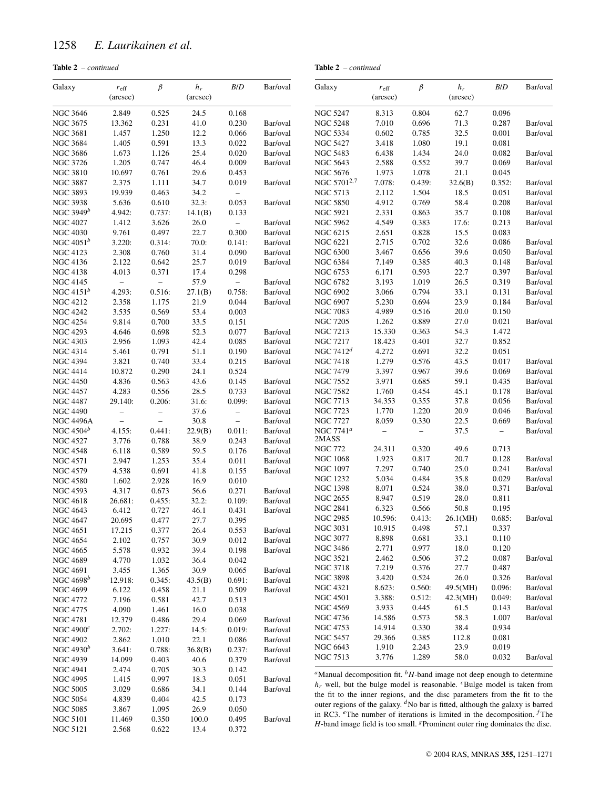NGC 5121 2.568 0.622 13.4 0.372

| - continued |
|-------------|
|             |

## **Table 2** – *continued*

| Galaxy           | $r_{\rm eff}$<br>(arcsec) | $\beta$                  | $h_r$<br>(arcsec) | B/D                      | Bar/oval | Galaxy                                                                                         | $r_{\rm eff}$<br>(arcsec) | $\beta$                  | $h_r$<br>(arcsec) | B/D                      | Bar/oval |
|------------------|---------------------------|--------------------------|-------------------|--------------------------|----------|------------------------------------------------------------------------------------------------|---------------------------|--------------------------|-------------------|--------------------------|----------|
| <b>NGC 3646</b>  | 2.849                     | 0.525                    | 24.5              | 0.168                    |          | <b>NGC 5247</b>                                                                                | 8.313                     | 0.804                    | 62.7              | 0.096                    |          |
| NGC 3675         | 13.362                    | 0.231                    | 41.0              | 0.230                    | Bar/oval | <b>NGC 5248</b>                                                                                | 7.010                     | 0.696                    | 71.3              | 0.287                    | Bar/oval |
| <b>NGC 3681</b>  | 1.457                     | 1.250                    | 12.2              | 0.066                    | Bar/oval | <b>NGC 5334</b>                                                                                | 0.602                     | 0.785                    | 32.5              | 0.001                    | Bar/oval |
| <b>NGC 3684</b>  | 1.405                     | 0.591                    | 13.3              | 0.022                    | Bar/oval | <b>NGC 5427</b>                                                                                | 3.418                     | 1.080                    | 19.1              | 0.081                    |          |
| <b>NGC 3686</b>  | 1.673                     | 1.126                    | 25.4              | 0.020                    | Bar/oval | <b>NGC 5483</b>                                                                                | 6.438                     | 1.434                    | 24.0              | 0.082                    | Bar/oval |
| NGC 3726         | 1.205                     | 0.747                    | 46.4              | 0.009                    | Bar/oval | <b>NGC 5643</b>                                                                                | 2.588                     | 0.552                    | 39.7              | 0.069                    | Bar/oval |
| <b>NGC 3810</b>  | 10.697                    | 0.761                    | 29.6              | 0.453                    |          | <b>NGC 5676</b>                                                                                | 1.973                     | 1.078                    | 21.1              | 0.045                    |          |
| <b>NGC 3887</b>  | 2.375                     | 1.111                    | 34.7              | 0.019                    | Bar/oval | NGC 5701 <sup>2,7</sup>                                                                        | 7.078:                    | 0.439:                   | 32.6(B)           | 0.352:                   | Bar/oval |
| <b>NGC 3893</b>  | 19.939                    | 0.463                    | 34.2              | $\overline{\phantom{a}}$ |          | <b>NGC 5713</b>                                                                                | 2.112                     | 1.504                    | 18.5              | 0.051                    | Bar/oval |
| <b>NGC 3938</b>  | 5.636                     | 0.610                    | 32.3:             | 0.053                    | Bar/oval | <b>NGC 5850</b>                                                                                | 4.912                     | 0.769                    | 58.4              | 0.208                    | Bar/oval |
| NGC 3949 $b$     | 4.942:                    | 0.737:                   | 14.1(B)           | 0.133                    |          | <b>NGC 5921</b>                                                                                | 2.331                     | 0.863                    | 35.7              | 0.108                    | Bar/oval |
| <b>NGC 4027</b>  | 1.412                     | 3.626                    | 26.0              | $\overline{\phantom{0}}$ | Bar/oval | <b>NGC 5962</b>                                                                                | 4.549                     | 0.383                    | 17.6:             | 0.213                    | Bar/oval |
| <b>NGC 4030</b>  | 9.761                     | 0.497                    | 22.7              | 0.300                    | Bar/oval | NGC 6215                                                                                       | 2.651                     | 0.828                    | 15.5              | 0.083                    |          |
| NGC $4051^b$     | 3.220:                    | 0.314:                   | 70.0:             | 0.141:                   | Bar/oval | <b>NGC 6221</b>                                                                                | 2.715                     | 0.702                    | 32.6              | 0.086                    | Bar/oval |
| <b>NGC 4123</b>  | 2.308                     | 0.760                    | 31.4              | 0.090                    | Bar/oval | <b>NGC 6300</b>                                                                                | 3.467                     | 0.656                    | 39.6              | 0.050                    | Bar/oval |
| <b>NGC 4136</b>  | 2.122                     | 0.642                    | 25.7              | 0.019                    | Bar/oval | <b>NGC 6384</b>                                                                                | 7.149                     | 0.385                    | 40.3              | 0.148                    | Bar/oval |
| <b>NGC 4138</b>  | 4.013                     | 0.371                    | 17.4              | 0.298                    |          | NGC 6753                                                                                       | 6.171                     | 0.593                    | 22.7              | 0.397                    | Bar/oval |
| <b>NGC 4145</b>  | $\overline{\phantom{0}}$  | $\equiv$                 | 57.9              | $\overline{\phantom{0}}$ | Bar/oval | <b>NGC 6782</b>                                                                                | 3.193                     | 1.019                    | 26.5              | 0.319                    | Bar/oval |
| NGC $4151^b$     | 4.293:                    | 0.516:                   | 27.1(B)           | 0.758:                   | Bar/oval | <b>NGC 6902</b>                                                                                | 3.066                     | 0.794                    | 33.1              | 0.131                    | Bar/oval |
| NGC 4212         | 2.358                     | 1.175                    | 21.9              | 0.044                    | Bar/oval | <b>NGC 6907</b>                                                                                | 5.230                     | 0.694                    | 23.9              | 0.184                    | Bar/oval |
| <b>NGC 4242</b>  | 3.535                     | 0.569                    | 53.4              | 0.003                    |          | <b>NGC 7083</b>                                                                                | 4.989                     | 0.516                    | 20.0              | 0.150                    |          |
| <b>NGC 4254</b>  | 9.814                     | 0.700                    | 33.5              | 0.151                    |          | <b>NGC 7205</b>                                                                                | 1.262                     | 0.889                    | 27.0              | 0.021                    | Bar/oval |
| <b>NGC 4293</b>  | 4.646                     | 0.698                    | 52.3              | 0.077                    | Bar/oval | <b>NGC 7213</b>                                                                                | 15.330                    | 0.363                    | 54.3              | 1.472                    |          |
| <b>NGC 4303</b>  | 2.956                     | 1.093                    | 42.4              | 0.085                    | Bar/oval | <b>NGC 7217</b>                                                                                | 18.423                    | 0.401                    | 32.7              | 0.852                    |          |
| <b>NGC 4314</b>  | 5.461                     | 0.791                    | 51.1              | 0.190                    | Bar/oval | NGC $7412^d$                                                                                   | 4.272                     | 0.691                    | 32.2              | 0.051                    |          |
| <b>NGC 4394</b>  | 3.821                     | 0.740                    | 33.4              | 0.215                    | Bar/oval | <b>NGC 7418</b>                                                                                | 1.279                     | 0.576                    | 43.5              | 0.017                    | Bar/oval |
| <b>NGC 4414</b>  | 10.872                    | 0.290                    | 24.1              | 0.524                    |          | <b>NGC 7479</b>                                                                                | 3.397                     | 0.967                    | 39.6              | 0.069                    | Bar/oval |
| <b>NGC 4450</b>  | 4.836                     | 0.563                    | 43.6              | 0.145                    | Bar/oval | <b>NGC 7552</b>                                                                                | 3.971                     | 0.685                    | 59.1              | 0.435                    | Bar/oval |
| <b>NGC 4457</b>  | 4.283                     | 0.556                    | 28.5              | 0.733                    | Bar/oval | NGC 7582                                                                                       | 1.760                     | 0.454                    | 45.1              | 0.178                    | Bar/oval |
| <b>NGC 4487</b>  | 29.140:                   | 0.206:                   | 31.6:             | 0.099:                   | Bar/oval | <b>NGC 7713</b>                                                                                | 34.353                    | 0.355                    | 37.8              | 0.056                    | Bar/oval |
| <b>NGC 4490</b>  | $\qquad \qquad -$         | $\overline{\phantom{a}}$ | 37.6              | $\overline{\phantom{0}}$ | Bar/oval | <b>NGC 7723</b>                                                                                | 1.770                     | 1.220                    | 20.9              | 0.046                    | Bar/oval |
| <b>NGC 4496A</b> | $\overline{\phantom{a}}$  | $\qquad \qquad -$        | 30.8              | $\overline{\phantom{a}}$ | Bar/oval | <b>NGC 7727</b>                                                                                | 8.059                     | 0.330                    | 22.5              | 0.669                    | Bar/oval |
| NGC $4504^b$     | 4.155:                    | 0.441:                   | 22.9(B)           | 0.011:                   | Bar/oval | NGC 7741 <sup>a</sup>                                                                          | $\overline{\phantom{0}}$  | $\overline{\phantom{a}}$ | 37.5              | $\overline{\phantom{a}}$ | Bar/oval |
| <b>NGC 4527</b>  | 3.776                     | 0.788                    | 38.9              | 0.243                    | Bar/oval | 2MASS                                                                                          |                           |                          |                   |                          |          |
| <b>NGC 4548</b>  | 6.118                     | 0.589                    | 59.5              | 0.176                    | Bar/oval | <b>NGC 772</b>                                                                                 | 24.311                    | 0.320                    | 49.6              | 0.713                    |          |
| <b>NGC 4571</b>  | 2.947                     | 1.253                    | 35.4              | 0.011                    | Bar/oval | NGC 1068                                                                                       | 1.923                     | 0.817                    | 20.7              | 0.128                    | Bar/oval |
| <b>NGC 4579</b>  | 4.538                     | 0.691                    | 41.8              | 0.155                    | Bar/oval | <b>NGC 1097</b>                                                                                | 7.297                     | 0.740                    | 25.0              | 0.241                    | Bar/oval |
| <b>NGC 4580</b>  | 1.602                     | 2.928                    | 16.9              | 0.010                    |          | <b>NGC 1232</b>                                                                                | 5.034                     | 0.484                    | 35.8              | 0.029                    | Bar/oval |
| <b>NGC 4593</b>  | 4.317                     | 0.673                    | 56.6              | 0.271                    | Bar/oval | <b>NGC 1398</b>                                                                                | 8.071                     | 0.524                    | 38.0              | 0.371                    | Bar/oval |
| <b>NGC 4618</b>  | 26.681:                   | 0.455:                   | 32.2:             | 0.109:                   | Bar/oval | <b>NGC 2655</b>                                                                                | 8.947                     | 0.519                    | 28.0              | 0.811                    |          |
| <b>NGC 4643</b>  | 6.412                     | 0.727                    | 46.1              | 0.431                    | Bar/oval | <b>NGC 2841</b>                                                                                | 6.323                     | 0.566                    | 50.8              | 0.195                    |          |
| <b>NGC 4647</b>  | 20.695                    | 0.477                    | 27.7              | 0.395                    |          | <b>NGC 2985</b>                                                                                | 10.596:                   | 0.413:                   | 26.1(MH)          | 0.685:                   | Bar/oval |
| <b>NGC 4651</b>  | 17.215                    | 0.377                    | 26.4              | 0.553                    | Bar/oval | <b>NGC 3031</b>                                                                                | 10.915                    | 0.498                    | 57.1              | 0.337                    |          |
| <b>NGC 4654</b>  | 2.102                     | 0.757                    | 30.9              | 0.012                    | Bar/oval | <b>NGC 3077</b>                                                                                | 8.898                     | 0.681                    | 33.1              | 0.110                    |          |
| <b>NGC 4665</b>  | 5.578                     | 0.932                    | 39.4              | 0.198                    | Bar/oval | <b>NGC 3486</b>                                                                                | 2.771                     | 0.977                    | 18.0              | 0.120                    |          |
| <b>NGC 4689</b>  | 4.770                     | 1.032                    | 36.4              | 0.042                    |          | <b>NGC 3521</b>                                                                                | 2.462                     | 0.506                    | 37.2              | 0.087                    | Bar/oval |
| <b>NGC 4691</b>  | 3.455                     | 1.365                    | 30.9              | 0.065                    | Bar/oval | <b>NGC 3718</b>                                                                                | 7.219                     | 0.376                    | 27.7              | 0.487                    |          |
| NGC $4698^b$     | 12.918:                   | 0.345:                   | 43.5(B)           | 0.691:                   | Bar/oval | <b>NGC 3898</b>                                                                                | 3.420                     | 0.524                    | 26.0              | 0.326                    | Bar/oval |
| <b>NGC 4699</b>  | 6.122                     | 0.458                    | 21.1              | 0.509                    | Bar/oval | NGC 4321                                                                                       | 8.623:                    | 0.560:                   | 49.5(MH)          | 0.096:                   | Bar/oval |
| NGC 4772         | 7.196                     | 0.581                    | 42.7              | 0.513                    |          | <b>NGC 4501</b>                                                                                | 3.388:                    | 0.512:                   | 42.3(MH)          | 0.049:                   | Bar/oval |
| NGC 4775         | 4.090                     | 1.461                    | 16.0              | 0.038                    |          | <b>NGC 4569</b>                                                                                | 3.933                     | 0.445                    | 61.5              | 0.143                    | Bar/oval |
| <b>NGC 4781</b>  | 12.379                    | 0.486                    | 29.4              | 0.069                    | Bar/oval | NGC 4736                                                                                       | 14.586                    | 0.573                    | 58.3              | 1.007                    | Bar/oval |
| NGC $4900c$      | 2.702:                    | 1.227:                   | 14.5:             | 0.019:                   | Bar/oval | <b>NGC 4753</b>                                                                                | 14.914                    | 0.330                    | 38.4              | 0.934                    |          |
| <b>NGC 4902</b>  | 2.862                     | 1.010                    | 22.1              | 0.086                    | Bar/oval | <b>NGC 5457</b>                                                                                | 29.366                    | 0.385                    | 112.8             | 0.081                    |          |
| NGC $4930^b$     | 3.641:                    | 0.788:                   | 36.8(B)           | 0.237:                   | Bar/oval | NGC 6643                                                                                       | 1.910                     | 2.243                    | 23.9              | 0.019                    |          |
| <b>NGC 4939</b>  | 14.099                    | 0.403                    | 40.6              | 0.379                    | Bar/oval | NGC 7513                                                                                       | 3.776                     | 1.289                    | 58.0              | 0.032                    | Bar/oval |
| <b>NGC 4941</b>  | 2.474                     | 0.705                    | 30.3              | 0.142                    |          | <sup><i>a</i></sup> Manual decomposition fit. $^{b}H$ -band image not deep enough to determine |                           |                          |                   |                          |          |
| <b>NGC 4995</b>  | 1.415                     | 0.997                    | 18.3              | 0.051                    | Bar/oval | $h_r$ well, but the bulge model is reasonable. <sup>c</sup> Bulge model is taken from          |                           |                          |                   |                          |          |
| <b>NGC 5005</b>  | 3.029                     | 0.686                    | 34.1              | 0.144                    | Bar/oval | the fit to the inner regions, and the disc parameters from the fit to the                      |                           |                          |                   |                          |          |
| <b>NGC 5054</b>  | 4.839                     | 0.404                    | 42.5              | 0.173                    |          | outer regions of the galaxy. $d$ No bar is fitted, although the galaxy is barred               |                           |                          |                   |                          |          |
| <b>NGC 5085</b>  | 3.867                     | 1.095                    | 26.9              | 0.050                    |          | in RC3. $e$ The number of iterations is limited in the decomposition. $f$ The                  |                           |                          |                   |                          |          |
| <b>NGC 5101</b>  | 11.469                    | 0.350                    | 100.0             | 0.495                    | Bar/oval | $H$ -band image field is too small. <sup>g</sup> Prominent outer ring dominates the disc.      |                           |                          |                   |                          |          |
| $MCT$ 5101       | 250                       | 0.622                    | 12A               | 0.272                    |          |                                                                                                |                           |                          |                   |                          |          |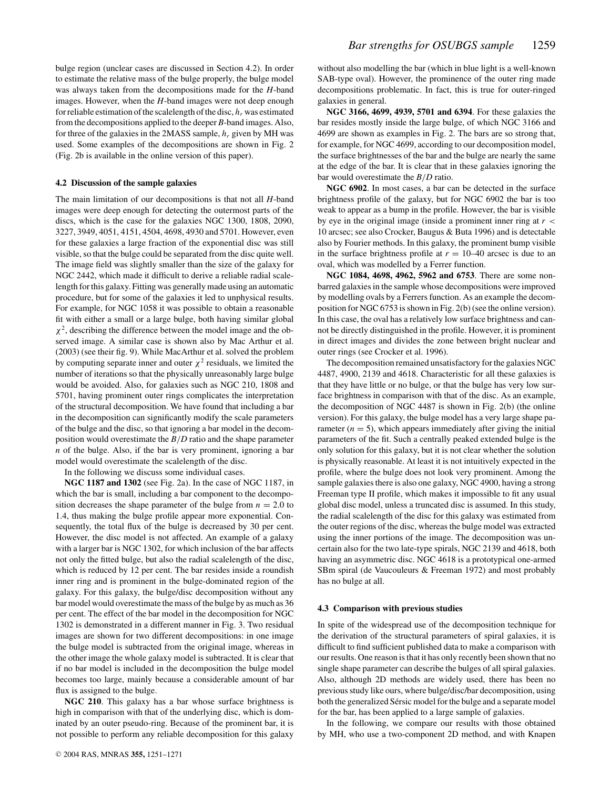bulge region (unclear cases are discussed in Section 4.2). In order to estimate the relative mass of the bulge properly, the bulge model was always taken from the decompositions made for the *H*-band images. However, when the *H*-band images were not deep enough for reliable estimation of the scalelength of the disc, *hr* was estimated from the decompositions applied to the deeper *B*-band images. Also, for three of the galaxies in the 2MASS sample, *hr* given by MH was used. Some examples of the decompositions are shown in Fig. 2 (Fig. 2b is available in the online version of this paper).

#### **4.2 Discussion of the sample galaxies**

The main limitation of our decompositions is that not all *H*-band images were deep enough for detecting the outermost parts of the discs, which is the case for the galaxies NGC 1300, 1808, 2090, 3227, 3949, 4051, 4151, 4504, 4698, 4930 and 5701. However, even for these galaxies a large fraction of the exponential disc was still visible, so that the bulge could be separated from the disc quite well. The image field was slightly smaller than the size of the galaxy for NGC 2442, which made it difficult to derive a reliable radial scalelength for this galaxy. Fitting was generally made using an automatic procedure, but for some of the galaxies it led to unphysical results. For example, for NGC 1058 it was possible to obtain a reasonable fit with either a small or a large bulge, both having similar global  $\chi^2$ , describing the difference between the model image and the observed image. A similar case is shown also by Mac Arthur et al. (2003) (see their fig. 9). While MacArthur et al. solved the problem by computing separate inner and outer  $\chi^2$  residuals, we limited the number of iterations so that the physically unreasonably large bulge would be avoided. Also, for galaxies such as NGC 210, 1808 and 5701, having prominent outer rings complicates the interpretation of the structural decomposition. We have found that including a bar in the decomposition can significantly modify the scale parameters of the bulge and the disc, so that ignoring a bar model in the decomposition would overestimate the *B*/*D* ratio and the shape parameter *n* of the bulge. Also, if the bar is very prominent, ignoring a bar model would overestimate the scalelength of the disc.

In the following we discuss some individual cases.

**NGC 1187 and 1302** (see Fig. 2a). In the case of NGC 1187, in which the bar is small, including a bar component to the decomposition decreases the shape parameter of the bulge from  $n = 2.0$  to 1.4, thus making the bulge profile appear more exponential. Consequently, the total flux of the bulge is decreased by 30 per cent. However, the disc model is not affected. An example of a galaxy with a larger bar is NGC 1302, for which inclusion of the bar affects not only the fitted bulge, but also the radial scalelength of the disc, which is reduced by 12 per cent. The bar resides inside a roundish inner ring and is prominent in the bulge-dominated region of the galaxy. For this galaxy, the bulge/disc decomposition without any bar model would overestimate the mass of the bulge by as much as 36 per cent. The effect of the bar model in the decomposition for NGC 1302 is demonstrated in a different manner in Fig. 3. Two residual images are shown for two different decompositions: in one image the bulge model is subtracted from the original image, whereas in the other image the whole galaxy model is subtracted. It is clear that if no bar model is included in the decomposition the bulge model becomes too large, mainly because a considerable amount of bar flux is assigned to the bulge.

**NGC 210**. This galaxy has a bar whose surface brightness is high in comparison with that of the underlying disc, which is dominated by an outer pseudo-ring. Because of the prominent bar, it is not possible to perform any reliable decomposition for this galaxy without also modelling the bar (which in blue light is a well-known SAB-type oval). However, the prominence of the outer ring made decompositions problematic. In fact, this is true for outer-ringed galaxies in general.

**NGC 3166, 4699, 4939, 5701 and 6394**. For these galaxies the bar resides mostly inside the large bulge, of which NGC 3166 and 4699 are shown as examples in Fig. 2. The bars are so strong that, for example, for NGC 4699, according to our decomposition model, the surface brightnesses of the bar and the bulge are nearly the same at the edge of the bar. It is clear that in these galaxies ignoring the bar would overestimate the *B*/*D* ratio.

**NGC 6902**. In most cases, a bar can be detected in the surface brightness profile of the galaxy, but for NGC 6902 the bar is too weak to appear as a bump in the profile. However, the bar is visible by eye in the original image (inside a prominent inner ring at *r* < 10 arcsec; see also Crocker, Baugus & Buta 1996) and is detectable also by Fourier methods. In this galaxy, the prominent bump visible in the surface brightness profile at  $r = 10-40$  arcsec is due to an oval, which was modelled by a Ferrer function.

**NGC 1084, 4698, 4962, 5962 and 6753**. There are some nonbarred galaxies in the sample whose decompositions were improved by modelling ovals by a Ferrers function. As an example the decomposition for NGC 6753 is shown in Fig. 2(b) (see the online version). In this case, the oval has a relatively low surface brightness and cannot be directly distinguished in the profile. However, it is prominent in direct images and divides the zone between bright nuclear and outer rings (see Crocker et al. 1996).

The decomposition remained unsatisfactory for the galaxies NGC 4487, 4900, 2139 and 4618. Characteristic for all these galaxies is that they have little or no bulge, or that the bulge has very low surface brightness in comparison with that of the disc. As an example, the decomposition of NGC 4487 is shown in Fig. 2(b) (the online version). For this galaxy, the bulge model has a very large shape parameter  $(n = 5)$ , which appears immediately after giving the initial parameters of the fit. Such a centrally peaked extended bulge is the only solution for this galaxy, but it is not clear whether the solution is physically reasonable. At least it is not intuitively expected in the profile, where the bulge does not look very prominent. Among the sample galaxies there is also one galaxy, NGC 4900, having a strong Freeman type II profile, which makes it impossible to fit any usual global disc model, unless a truncated disc is assumed. In this study, the radial scalelength of the disc for this galaxy was estimated from the outer regions of the disc, whereas the bulge model was extracted using the inner portions of the image. The decomposition was uncertain also for the two late-type spirals, NGC 2139 and 4618, both having an asymmetric disc. NGC 4618 is a prototypical one-armed SBm spiral (de Vaucouleurs & Freeman 1972) and most probably has no bulge at all.

#### **4.3 Comparison with previous studies**

In spite of the widespread use of the decomposition technique for the derivation of the structural parameters of spiral galaxies, it is difficult to find sufficient published data to make a comparison with our results. One reason is that it has only recently been shown that no single shape parameter can describe the bulges of all spiral galaxies. Also, although 2D methods are widely used, there has been no previous study like ours, where bulge/disc/bar decomposition, using both the generalized Sérsic model for the bulge and a separate model for the bar, has been applied to a large sample of galaxies.

In the following, we compare our results with those obtained by MH, who use a two-component 2D method, and with Knapen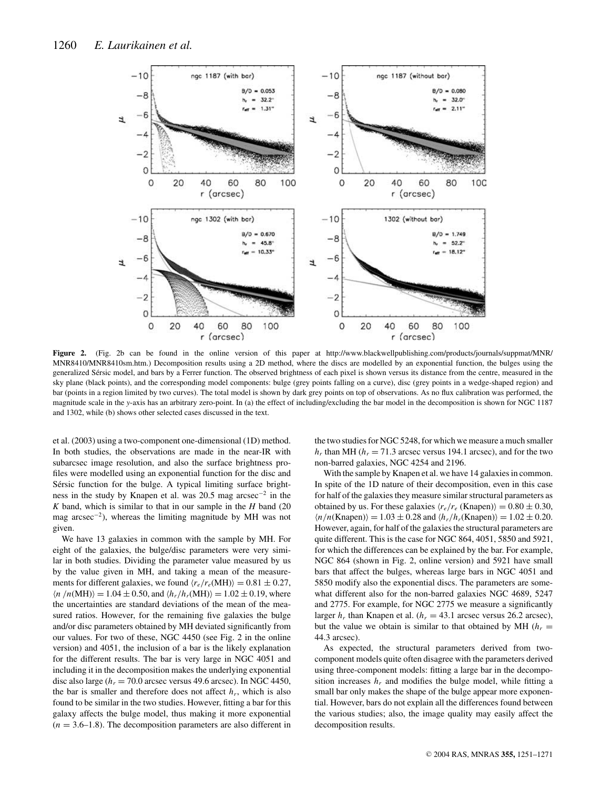

**Figure 2.** (Fig. 2b can be found in the online version of this paper at http://www.blackwellpublishing.com/products/journals/suppmat/MNR/ MNR8410/MNR8410sm.htm.) Decomposition results using a 2D method, where the discs are modelled by an exponential function, the bulges using the generalized Sérsic model, and bars by a Ferrer function. The observed brightness of each pixel is shown versus its distance from the centre, measured in the sky plane (black points), and the corresponding model components: bulge (grey points falling on a curve), disc (grey points in a wedge-shaped region) and bar (points in a region limited by two curves). The total model is shown by dark grey points on top of observations. As no flux calibration was performed, the magnitude scale in the *y*-axis has an arbitrary zero-point. In (a) the effect of including/excluding the bar model in the decomposition is shown for NGC 1187 and 1302, while (b) shows other selected cases discussed in the text.

et al. (2003) using a two-component one-dimensional (1D) method. In both studies, the observations are made in the near-IR with subarcsec image resolution, and also the surface brightness profiles were modelled using an exponential function for the disc and Sérsic function for the bulge. A typical limiting surface brightness in the study by Knapen et al. was 20.5 mag arcsec<sup>-2</sup> in the *K* band, which is similar to that in our sample in the *H* band (20 mag arcsec<sup>−2</sup>), whereas the limiting magnitude by MH was not given.

We have 13 galaxies in common with the sample by MH. For eight of the galaxies, the bulge/disc parameters were very similar in both studies. Dividing the parameter value measured by us by the value given in MH, and taking a mean of the measurements for different galaxies, we found  $\langle r_e/r_e(MH) \rangle = 0.81 \pm 0.27$ ,  $\langle n/n(MH) \rangle = 1.04 \pm 0.50$ , and  $\langle h_r/h_r(MH) \rangle = 1.02 \pm 0.19$ , where the uncertainties are standard deviations of the mean of the measured ratios. However, for the remaining five galaxies the bulge and/or disc parameters obtained by MH deviated significantly from our values. For two of these, NGC 4450 (see Fig. 2 in the online version) and 4051, the inclusion of a bar is the likely explanation for the different results. The bar is very large in NGC 4051 and including it in the decomposition makes the underlying exponential disc also large ( $h_r = 70.0$  arcsec versus 49.6 arcsec). In NGC 4450, the bar is smaller and therefore does not affect  $h_r$ , which is also found to be similar in the two studies. However, fitting a bar for this galaxy affects the bulge model, thus making it more exponential  $(n = 3.6 - 1.8)$ . The decomposition parameters are also different in the two studies for NGC 5248, for which we measure a much smaller  $h_r$  than MH ( $h_r = 71.3$  arcsec versus 194.1 arcsec), and for the two non-barred galaxies, NGC 4254 and 2196.

With the sample by Knapen et al. we have 14 galaxies in common. In spite of the 1D nature of their decomposition, even in this case for half of the galaxies they measure similar structural parameters as obtained by us. For these galaxies  $\langle r_e/r_e$  (Knapen)) = 0.80  $\pm$  0.30,  $\langle n/n(\text{Knapen}) \rangle = 1.03 \pm 0.28$  and  $\langle h_r/h_r(\text{Knapen}) \rangle = 1.02 \pm 0.20$ . However, again, for half of the galaxies the structural parameters are quite different. This is the case for NGC 864, 4051, 5850 and 5921, for which the differences can be explained by the bar. For example, NGC 864 (shown in Fig. 2, online version) and 5921 have small bars that affect the bulges, whereas large bars in NGC 4051 and 5850 modify also the exponential discs. The parameters are somewhat different also for the non-barred galaxies NGC 4689, 5247 and 2775. For example, for NGC 2775 we measure a significantly larger  $h_r$  than Knapen et al. ( $h_r = 43.1$  arcsec versus 26.2 arcsec), but the value we obtain is similar to that obtained by MH  $(h_r =$ 44.3 arcsec).

As expected, the structural parameters derived from twocomponent models quite often disagree with the parameters derived using three-component models: fitting a large bar in the decomposition increases  $h_r$  and modifies the bulge model, while fitting a small bar only makes the shape of the bulge appear more exponential. However, bars do not explain all the differences found between the various studies; also, the image quality may easily affect the decomposition results.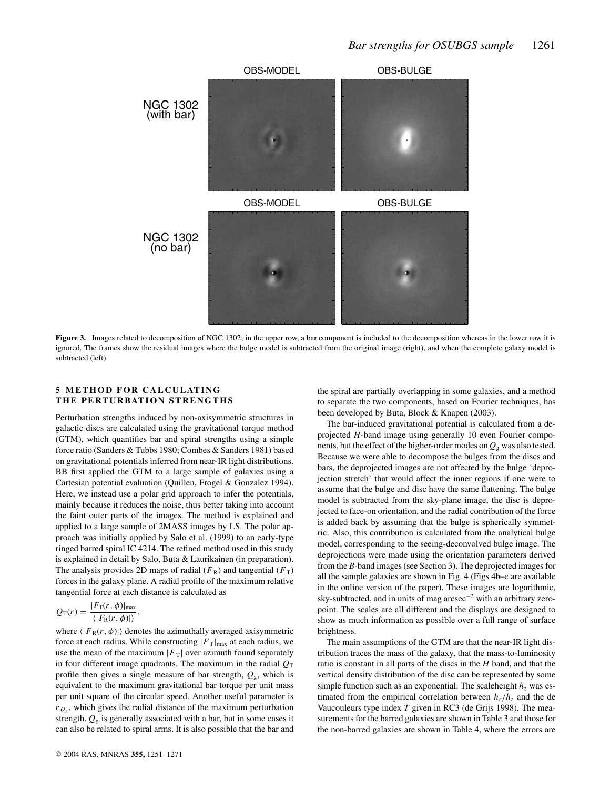

Figure 3. Images related to decomposition of NGC 1302; in the upper row, a bar component is included to the decomposition whereas in the lower row it is ignored. The frames show the residual images where the bulge model is subtracted from the original image (right), and when the complete galaxy model is subtracted (left).

## **5 METHOD FOR CALCULATING THE PERTURBATION STRENGTHS**

Perturbation strengths induced by non-axisymmetric structures in galactic discs are calculated using the gravitational torque method (GTM), which quantifies bar and spiral strengths using a simple force ratio (Sanders & Tubbs 1980; Combes & Sanders 1981) based on gravitational potentials inferred from near-IR light distributions. BB first applied the GTM to a large sample of galaxies using a Cartesian potential evaluation (Quillen, Frogel & Gonzalez 1994). Here, we instead use a polar grid approach to infer the potentials, mainly because it reduces the noise, thus better taking into account the faint outer parts of the images. The method is explained and applied to a large sample of 2MASS images by LS. The polar approach was initially applied by Salo et al. (1999) to an early-type ringed barred spiral IC 4214. The refined method used in this study is explained in detail by Salo, Buta & Laurikainen (in preparation). The analysis provides 2D maps of radial  $(F_R)$  and tangential  $(F_T)$ forces in the galaxy plane. A radial profile of the maximum relative tangential force at each distance is calculated as

$$
Q_{\rm T}(r) = \frac{|F_{\rm T}(r,\phi)|_{\rm max}}{\langle|F_{\rm R}(r,\phi)|\rangle},
$$

where  $\langle |F_R(r, \phi)| \rangle$  denotes the azimuthally averaged axisymmetric force at each radius. While constructing  $|F_T|_{\text{max}}$  at each radius, we use the mean of the maximum  $|F_T|$  over azimuth found separately in four different image quadrants. The maximum in the radial  $Q_T$ profile then gives a single measure of bar strength,  $Q_{\rm g}$ , which is equivalent to the maximum gravitational bar torque per unit mass per unit square of the circular speed. Another useful parameter is  $r_{Q_g}$ , which gives the radial distance of the maximum perturbation strength.  $Q_{\rm g}$  is generally associated with a bar, but in some cases it can also be related to spiral arms. It is also possible that the bar and the spiral are partially overlapping in some galaxies, and a method to separate the two components, based on Fourier techniques, has been developed by Buta, Block & Knapen (2003).

The bar-induced gravitational potential is calculated from a deprojected *H*-band image using generally 10 even Fourier components, but the effect of the higher-order modes on  $Q<sub>g</sub>$  was also tested. Because we were able to decompose the bulges from the discs and bars, the deprojected images are not affected by the bulge 'deprojection stretch' that would affect the inner regions if one were to assume that the bulge and disc have the same flattening. The bulge model is subtracted from the sky-plane image, the disc is deprojected to face-on orientation, and the radial contribution of the force is added back by assuming that the bulge is spherically symmetric. Also, this contribution is calculated from the analytical bulge model, corresponding to the seeing-deconvolved bulge image. The deprojections were made using the orientation parameters derived from the *B*-band images (see Section 3). The deprojected images for all the sample galaxies are shown in Fig. 4 (Figs 4b–e are available in the online version of the paper). These images are logarithmic, sky-subtracted, and in units of mag arcsec−<sup>2</sup> with an arbitrary zeropoint. The scales are all different and the displays are designed to show as much information as possible over a full range of surface brightness.

The main assumptions of the GTM are that the near-IR light distribution traces the mass of the galaxy, that the mass-to-luminosity ratio is constant in all parts of the discs in the *H* band, and that the vertical density distribution of the disc can be represented by some simple function such as an exponential. The scaleheight  $h<sub>z</sub>$  was estimated from the empirical correlation between  $h_r/h_\tau$  and the de Vaucouleurs type index *T* given in RC3 (de Grijs 1998). The measurements for the barred galaxies are shown in Table 3 and those for the non-barred galaxies are shown in Table 4, where the errors are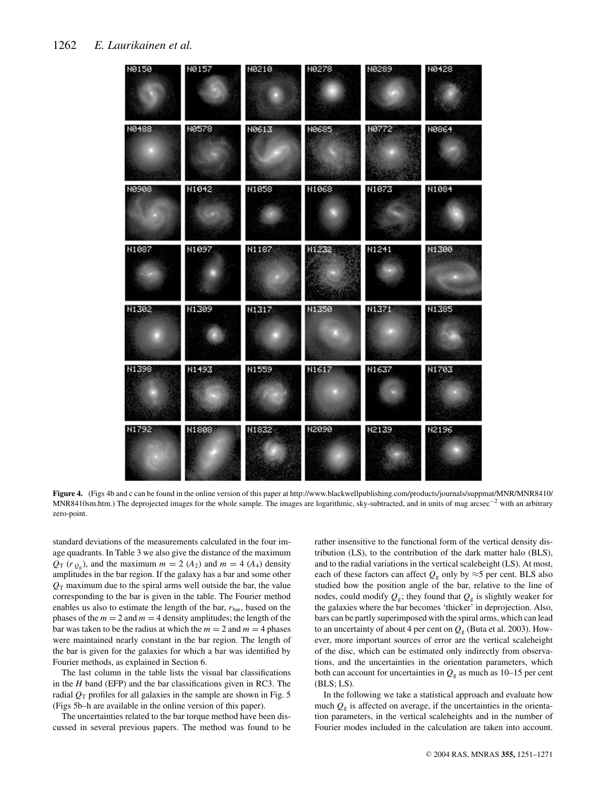| N0150 | N0157        | N0210 | N0278        | N0289        | <b>N0428</b> |
|-------|--------------|-------|--------------|--------------|--------------|
| N0488 | <b>N0578</b> | N0613 | <b>N0685</b> | <b>NØ772</b> | N0864        |
| N0908 | N1042        | N1058 | N1068        | N1073        | N1084        |
| N1087 | N1097        | N1187 | N1232        | N1241        | N1300        |
| N1302 | N1309        | N1317 | N1350        | N1371        | N1385        |
| N1398 | N1493        | N1559 | N1617        | N1637        | N1703        |
| N1792 | N1808        | N1832 | N2090        | N2139        | N2196        |
|       |              |       |              |              |              |

**Figure 4.** (Figs 4b and c can be found in the online version of this paper at http://www.blackwellpublishing.com/products/journals/suppmat/MNR/MNR8410/ MNR8410sm.htm.) The deprojected images for the whole sample. The images are logarithmic, sky-subtracted, and in units of mag arcsec<sup>-2</sup> with an arbitrary zero-point.

standard deviations of the measurements calculated in the four image quadrants. In Table 3 we also give the distance of the maximum  $Q_T$  ( $r_{Q_g}$ ), and the maximum  $m = 2$  ( $A_2$ ) and  $m = 4$  ( $A_4$ ) density amplitudes in the bar region. If the galaxy has a bar and some other  $Q_T$  maximum due to the spiral arms well outside the bar, the value corresponding to the bar is given in the table. The Fourier method enables us also to estimate the length of the bar,  $r_{\text{bar}}$ , based on the phases of the  $m = 2$  and  $m = 4$  density amplitudes; the length of the bar was taken to be the radius at which the  $m = 2$  and  $m = 4$  phases were maintained nearly constant in the bar region. The length of the bar is given for the galaxies for which a bar was identified by Fourier methods, as explained in Section 6.

The last column in the table lists the visual bar classifications in the *H* band (EFP) and the bar classifications given in RC3. The radial  $Q_T$  profiles for all galaxies in the sample are shown in Fig. 5 (Figs 5b–h are available in the online version of this paper).

The uncertainties related to the bar torque method have been discussed in several previous papers. The method was found to be rather insensitive to the functional form of the vertical density distribution (LS), to the contribution of the dark matter halo (BLS), and to the radial variations in the vertical scaleheight (LS). At most, each of these factors can affect  $Q_{\rm g}$  only by  $\approx$ 5 per cent. BLS also studied how the position angle of the bar, relative to the line of nodes, could modify  $Q_{\rm g}$ ; they found that  $Q_{\rm g}$  is slightly weaker for the galaxies where the bar becomes 'thicker' in deprojection. Also, bars can be partly superimposed with the spiral arms, which can lead to an uncertainty of about 4 per cent on  $Q<sub>g</sub>$  (Buta et al. 2003). However, more important sources of error are the vertical scaleheight of the disc, which can be estimated only indirectly from observations, and the uncertainties in the orientation parameters, which both can account for uncertainties in  $Q<sub>g</sub>$  as much as 10–15 per cent (BLS; LS).

In the following we take a statistical approach and evaluate how much  $Q<sub>g</sub>$  is affected on average, if the uncertainties in the orientation parameters, in the vertical scaleheights and in the number of Fourier modes included in the calculation are taken into account.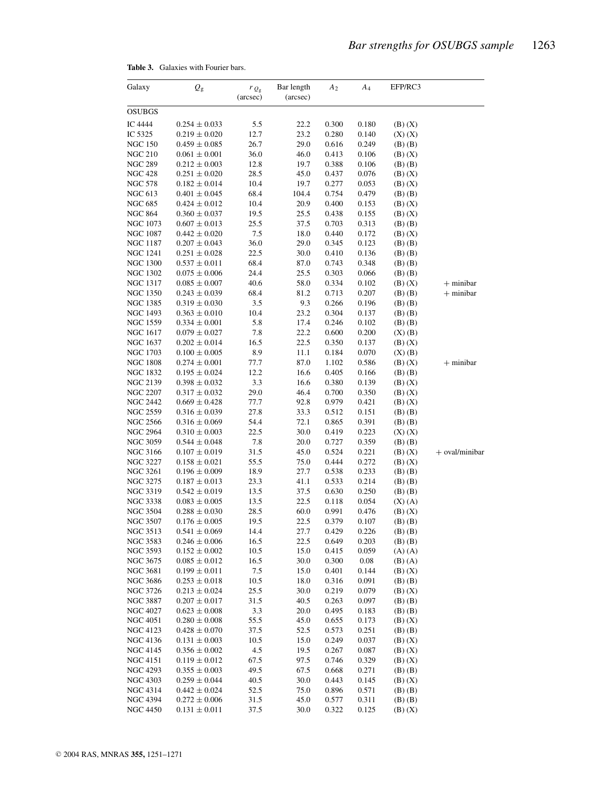| Galaxy                             | $\varrho_{\rm g}$                      | $r_{Q_{\rm g}}$<br>(arcsec) | Bar length<br>(arcsec) | A <sub>2</sub> | $A_4$          | EFP/RC3                    |                |
|------------------------------------|----------------------------------------|-----------------------------|------------------------|----------------|----------------|----------------------------|----------------|
| OSUBGS                             |                                        |                             |                        |                |                |                            |                |
| IC 4444                            | $0.254 \pm 0.033$                      | 5.5                         | 22.2                   | 0.300          | 0.180          | $(B)$ $(X)$                |                |
| IC 5325                            | $0.219 \pm 0.020$                      | 12.7                        | 23.2                   | 0.280          | 0.140          | $(X)$ $(X)$                |                |
| <b>NGC 150</b>                     | $0.459 \pm 0.085$                      | 26.7                        | 29.0                   | 0.616          | 0.249          | $(B)$ $(B)$                |                |
| <b>NGC 210</b>                     | $0.061 \pm 0.001$                      | 36.0                        | 46.0                   | 0.413          | 0.106          | $(B)$ $(X)$                |                |
| <b>NGC 289</b>                     | $0.212 \pm 0.003$                      | 12.8                        | 19.7                   | 0.388          | 0.106          | $(B)$ $(B)$                |                |
| <b>NGC 428</b>                     | $0.251 \pm 0.020$                      | 28.5                        | 45.0                   | 0.437          | 0.076          | $(B)$ $(X)$                |                |
| <b>NGC 578</b>                     | $0.182 \pm 0.014$                      | 10.4                        | 19.7                   | 0.277          | 0.053          | $(B)$ $(X)$                |                |
| NGC 613                            | $0.401 \pm 0.045$                      | 68.4                        | 104.4                  | 0.754          | 0.479          | $(B)$ $(B)$                |                |
| NGC 685                            | $0.424 \pm 0.012$                      | 10.4                        | 20.9                   | 0.400          | 0.153          | $(B)$ $(X)$                |                |
| <b>NGC 864</b><br>NGC 1073         | $0.360 \pm 0.037$<br>$0.607 \pm 0.013$ | 19.5<br>25.5                | 25.5<br>37.5           | 0.438<br>0.703 | 0.155<br>0.313 | $(B)$ $(X)$                |                |
| <b>NGC 1087</b>                    | $0.442 \pm 0.020$                      | 7.5                         | 18.0                   | 0.440          | 0.172          | $(B)$ $(B)$<br>$(B)$ $(X)$ |                |
| NGC 1187                           | $0.207\pm0.043$                        | 36.0                        | 29.0                   | 0.345          | 0.123          | $(B)$ $(B)$                |                |
| NGC 1241                           | $0.251 \pm 0.028$                      | 22.5                        | 30.0                   | 0.410          | 0.136          | (B) (B)                    |                |
| <b>NGC 1300</b>                    | $0.537 \pm 0.011$                      | 68.4                        | 87.0                   | 0.743          | 0.348          | $(B)$ $(B)$                |                |
| <b>NGC 1302</b>                    | $0.075 \pm 0.006$                      | 24.4                        | 25.5                   | 0.303          | 0.066          | $(B)$ $(B)$                |                |
| NGC 1317                           | $0.085 \pm 0.007$                      | 40.6                        | 58.0                   | 0.334          | 0.102          | $(B)$ $(X)$                | $+$ minibar    |
| <b>NGC 1350</b>                    | $0.243 \pm 0.039$                      | 68.4                        | 81.2                   | 0.713          | 0.207          | $(B)$ $(B)$                | $+$ minibar    |
| NGC 1385                           | $0.319\pm0.030$                        | 3.5                         | 9.3                    | 0.266          | 0.196          | $(B)$ $(B)$                |                |
| NGC 1493                           | $0.363 \pm 0.010$                      | 10.4                        | 23.2                   | 0.304          | 0.137          | $(B)$ $(B)$                |                |
| NGC 1559                           | $0.334 \pm 0.001$                      | 5.8                         | 17.4                   | 0.246          | 0.102          | $(B)$ $(B)$                |                |
| NGC 1617                           | $0.079 \pm 0.027$                      | 7.8                         | 22.2                   | 0.600          | 0.200          | $(X)$ $(B)$                |                |
| NGC 1637                           | $0.202 \pm 0.014$                      | 16.5                        | 22.5                   | 0.350          | 0.137          | $(B)$ $(X)$                |                |
| NGC 1703                           | $0.100 \pm 0.005$                      | 8.9                         | 11.1                   | 0.184          | 0.070          | $(X)$ $(B)$                |                |
| <b>NGC 1808</b>                    | $0.274 \pm 0.001$                      | 77.7                        | 87.0                   | 1.102          | 0.586          | $(B)$ $(X)$                | $+$ minibar    |
| NGC 1832                           | $0.195 \pm 0.024$                      | 12.2                        | 16.6                   | 0.405          | 0.166          | $(B)$ $(B)$                |                |
| NGC 2139                           | $0.398 \pm 0.032$                      | 3.3                         | 16.6                   | 0.380          | 0.139          | $(B)$ $(X)$                |                |
| <b>NGC 2207</b>                    | $0.317\pm0.032$                        | 29.0                        | 46.4                   | 0.700          | 0.350          | $(B)$ $(X)$                |                |
| NGC 2442                           | $0.669 \pm 0.428$                      | 77.7                        | 92.8                   | 0.979          | 0.421          | $(B)$ $(X)$                |                |
| <b>NGC 2559</b>                    | $0.316 \pm 0.039$                      | 27.8                        | 33.3                   | 0.512          | 0.151          | $(B)$ $(B)$                |                |
| <b>NGC 2566</b>                    | $0.316\pm0.069$                        | 54.4                        | 72.1                   | 0.865          | 0.391          | $(B)$ $(B)$                |                |
| NGC 2964<br>NGC 3059               | $0.310 \pm 0.003$                      | 22.5<br>7.8                 | 30.0<br>20.0           | 0.419<br>0.727 | 0.223<br>0.359 | $(X)$ $(X)$                |                |
| <b>NGC 3166</b>                    | $0.544 \pm 0.048$<br>$0.107 \pm 0.019$ | 31.5                        | 45.0                   | 0.524          | 0.221          | $(B)$ $(B)$<br>$(B)$ $(X)$ | + oval/minibar |
| <b>NGC 3227</b>                    | $0.158 \pm 0.021$                      | 55.5                        | 75.0                   | 0.444          | 0.272          | $(B)$ $(X)$                |                |
| <b>NGC 3261</b>                    | $0.196 \pm 0.009$                      | 18.9                        | 27.7                   | 0.538          | 0.233          | $(B)$ $(B)$                |                |
| NGC 3275                           | $0.187 \pm 0.013$                      | 23.3                        | 41.1                   | 0.533          | 0.214          | $(B)$ $(B)$                |                |
| <b>NGC 3319</b>                    | $0.542 \pm 0.019$                      | 13.5                        | 37.5                   | 0.630          | 0.250          | $(B)$ $(B)$                |                |
| NGC 3338                           | $0.083 \pm 0.005$                      | 13.5                        | 22.5                   | 0.118          | 0.054          | $(X)$ $(A)$                |                |
| <b>NGC 3504</b>                    | $0.288 \pm 0.030$                      | 28.5                        | 60.0                   | 0.991          | 0.476          | $(B)$ $(X)$                |                |
| NGC 3507                           | $0.176 \pm 0.005$                      | 19.5                        | 22.5                   | 0.379          | 0.107          | $(B)$ $(B)$                |                |
| NGC 3513                           | $0.541 \pm 0.069$                      | 14.4                        | 27.7                   | 0.429          | 0.226          | $(B)$ $(B)$                |                |
| NGC 3583                           | $0.246 \pm 0.006$                      | 16.5                        | 22.5                   | 0.649          | 0.203          | $(B)$ $(B)$                |                |
| <b>NGC 3593</b>                    | $0.152 \pm 0.002$                      | 10.5                        | 15.0                   | 0.415          | 0.059          | $(A)$ $(A)$                |                |
| <b>NGC 3675</b>                    | $0.085\pm0.012$                        | 16.5                        | 30.0                   | 0.300          | 0.08           | $(B)$ (A)                  |                |
| NGC 3681                           | $0.199 \pm 0.011$                      | 7.5                         | 15.0                   | 0.401          | 0.144          | $(B)$ $(X)$                |                |
| <b>NGC 3686</b>                    | $0.253 \pm 0.018$                      | 10.5                        | 18.0                   | 0.316          | 0.091          | $(B)$ $(B)$                |                |
| NGC 3726                           | $0.213 \pm 0.024$                      | 25.5                        | 30.0                   | 0.219          | 0.079          | $(B)$ $(X)$                |                |
| NGC 3887                           | $0.207 \pm 0.017$                      | 31.5                        | 40.5                   | 0.263          | 0.097          | $(B)$ $(B)$                |                |
| <b>NGC 4027</b>                    | $0.623 \pm 0.008$                      | 3.3                         | 20.0                   | 0.495          | 0.183          | $(B)$ $(B)$                |                |
| <b>NGC 4051</b>                    | $0.280 \pm 0.008$                      | 55.5                        | 45.0                   | 0.655<br>0.573 | 0.173          | $(B)$ $(X)$                |                |
| <b>NGC 4123</b>                    | $0.428 \pm 0.070$                      | 37.5                        | 52.5                   |                | 0.251          | $(B)$ $(B)$                |                |
| <b>NGC 4136</b><br><b>NGC 4145</b> | $0.131 \pm 0.003$<br>$0.356 \pm 0.002$ | 10.5<br>4.5                 | 15.0<br>19.5           | 0.249<br>0.267 | 0.037<br>0.087 | $(B)$ $(X)$                |                |
| <b>NGC 4151</b>                    | $0.119 \pm 0.012$                      | 67.5                        | 97.5                   | 0.746          | 0.329          | $(B)$ $(X)$<br>$(B)$ $(X)$ |                |
| <b>NGC 4293</b>                    | $0.355 \pm 0.003$                      | 49.5                        | 67.5                   | 0.668          | 0.271          | $(B)$ $(B)$                |                |
| <b>NGC 4303</b>                    | $0.259 \pm 0.044$                      | 40.5                        | 30.0                   | 0.443          | 0.145          | $(B)$ $(X)$                |                |
| NGC 4314                           | $0.442 \pm 0.024$                      | 52.5                        | 75.0                   | 0.896          | 0.571          | $(B)$ $(B)$                |                |
| <b>NGC 4394</b>                    | $0.272\pm0.006$                        | 31.5                        | 45.0                   | 0.577          | 0.311          | $(B)$ $(B)$                |                |
| <b>NGC 4450</b>                    | $0.131 \pm 0.011$                      | 37.5                        | 30.0                   | 0.322          | 0.125          | $(B)$ $(X)$                |                |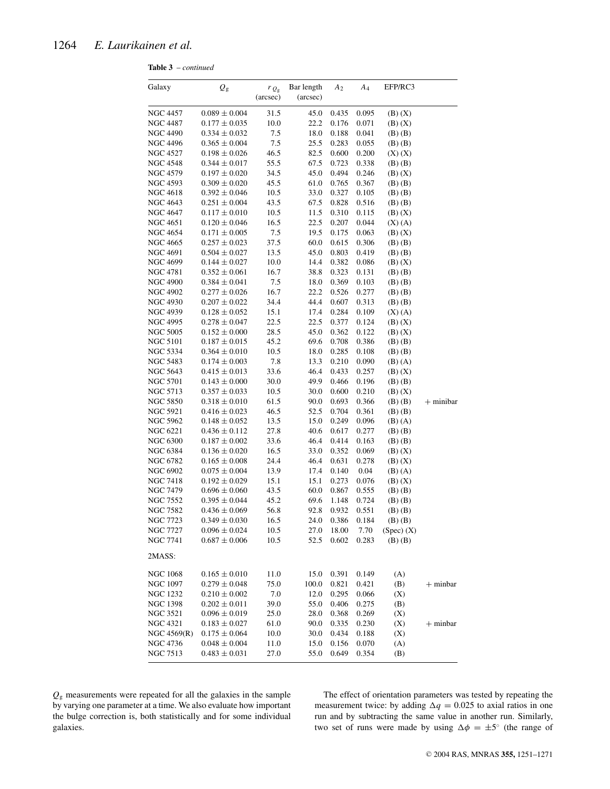**Table 3** – *continued*

| Galaxy          | $Q_{\rm g}$       | $r_{Q_{\rm g}}$<br>(arcsec) | Bar length<br>(arcsec) | A <sub>2</sub> | A4             | EFP/RC3        |             |
|-----------------|-------------------|-----------------------------|------------------------|----------------|----------------|----------------|-------------|
| NGC 4457        | $0.089 \pm 0.004$ | 31.5                        | 45.0                   | 0.435          | 0.095          | $(B)$ $(X)$    |             |
| NGC 4487        | $0.177 \pm 0.035$ | 10.0                        | 22.2                   | 0.176          | 0.071          | $(B)$ $(X)$    |             |
| NGC 4490        | $0.334 \pm 0.032$ | 7.5                         | 18.0                   | 0.188          | 0.041          | $(B)$ $(B)$    |             |
| NGC 4496        | $0.365 \pm 0.004$ | 7.5                         | 25.5                   | 0.283          | 0.055          | $(B)$ $(B)$    |             |
| NGC 4527        | $0.198 \pm 0.026$ | 46.5                        | 82.5                   | 0.600          | 0.200          | $(X)$ $(X)$    |             |
| NGC 4548        | $0.344 \pm 0.017$ | 55.5                        | 67.5                   | 0.723          | 0.338          | $(B)$ $(B)$    |             |
| NGC 4579        | $0.197 \pm 0.020$ | 34.5                        | 45.0                   | 0.494          | 0.246          | $(B)$ $(X)$    |             |
| NGC 4593        | $0.309 \pm 0.020$ | 45.5                        | 61.0                   | 0.765          | 0.367          | $(B)$ $(B)$    |             |
| NGC 4618        | $0.392 \pm 0.046$ | 10.5                        | 33.0                   | 0.327          | 0.105          | $(B)$ $(B)$    |             |
| NGC 4643        | $0.251 \pm 0.004$ | 43.5                        | 67.5                   | 0.828          | 0.516          | $(B)$ $(B)$    |             |
| <b>NGC 4647</b> | $0.117 \pm 0.010$ | 10.5                        | 11.5                   | 0.310          | 0.115          | $(B)$ $(X)$    |             |
| <b>NGC 4651</b> | $0.120 \pm 0.046$ | 16.5                        | 22.5                   | 0.207          | 0.044          | $(X)$ $(A)$    |             |
| NGC 4654        | $0.171\pm0.005$   | 7.5                         | 19.5                   | 0.175          | 0.063          | $(B)$ $(X)$    |             |
| NGC 4665        | $0.257 \pm 0.023$ | 37.5                        | 60.0                   | 0.615          | 0.306          | $(B)$ $(B)$    |             |
| NGC 4691        | $0.504 \pm 0.027$ | 13.5                        | 45.0                   | 0.803          | 0.419          | $(B)$ $(B)$    |             |
| NGC 4699        | $0.144 \pm 0.027$ | 10.0                        | 14.4                   | 0.382          | 0.086          | $(B)$ $(X)$    |             |
| NGC 4781        | $0.352 \pm 0.061$ | 16.7                        | 38.8                   | 0.323          | 0.131          | $(B)$ $(B)$    |             |
| NGC 4900        | $0.384 \pm 0.041$ | 7.5                         | 18.0                   | 0.369          | 0.103          | $(B)$ $(B)$    |             |
| NGC 4902        | $0.277 \pm 0.026$ | 16.7                        | 22.2                   | 0.526          | 0.277          | $(B)$ $(B)$    |             |
| NGC 4930        | $0.207 \pm 0.022$ | 34.4                        | 44.4                   | 0.607          | 0.313          | $(B)$ $(B)$    |             |
| NGC 4939        | $0.128 \pm 0.052$ | 15.1                        | 17.4                   | 0.284          | 0.109          | $(X)$ $(A)$    |             |
| NGC 4995        | $0.278 \pm 0.047$ | 22.5                        | 22.5                   | 0.377          | 0.124          | $(B)$ $(X)$    |             |
| NGC 5005        | $0.152 \pm 0.000$ | 28.5                        | 45.0                   | 0.362          | 0.122          | $(B)$ $(X)$    |             |
| NGC 5101        | $0.187 \pm 0.015$ | 45.2                        | 69.6                   | 0.708          | 0.386          | $(B)$ $(B)$    |             |
| NGC 5334        | $0.364\pm0.010$   | 10.5                        | 18.0                   | 0.285          | 0.108          | $(B)$ $(B)$    |             |
| NGC 5483        | $0.174 \pm 0.003$ | 7.8                         | 13.3                   | 0.210          | 0.090          | $(B)$ $(A)$    |             |
| NGC 5643        |                   | 33.6                        | 46.4                   | 0.433          |                |                |             |
| <b>NGC 5701</b> | $0.415 \pm 0.013$ | 30.0                        | 49.9                   | 0.466          | 0.257<br>0.196 | $(B)$ $(X)$    |             |
|                 | $0.143 \pm 0.000$ |                             |                        |                |                | $(B)$ $(B)$    |             |
| NGC 5713        | $0.357 \pm 0.033$ | 10.5                        | 30.0                   | 0.600          | 0.210          | $(B)$ $(X)$    |             |
| NGC 5850        | $0.318 \pm 0.010$ | 61.5                        | 90.0                   | 0.693          | 0.366          | $(B)$ $(B)$    | $+$ minibar |
| <b>NGC 5921</b> | $0.416 \pm 0.023$ | 46.5                        | 52.5                   | 0.704          | 0.361          | $(B)$ $(B)$    |             |
| NGC 5962        | $0.148 \pm 0.052$ | 13.5                        | 15.0                   | 0.249          | 0.096          | $(B)$ $(A)$    |             |
| NGC 6221        | $0.436 \pm 0.112$ | 27.8                        | 40.6                   | 0.617          | 0.277          | $(B)$ $(B)$    |             |
| NGC 6300        | $0.187 \pm 0.002$ | 33.6                        | 46.4                   | 0.414          | 0.163          | $(B)$ $(B)$    |             |
| NGC 6384        | $0.136 \pm 0.020$ | 16.5                        | 33.0                   | 0.352          | 0.069          | $(B)$ $(X)$    |             |
| NGC 6782        | $0.165 \pm 0.008$ | 24.4                        | 46.4                   | 0.631          | 0.278          | $(B)$ $(X)$    |             |
| NGC 6902        | $0.075 \pm 0.004$ | 13.9                        | 17.4                   | 0.140          | 0.04           | $(B)$ $(A)$    |             |
| NGC 7418        | $0.192 \pm 0.029$ | 15.1                        | 15.1                   | 0.273          | 0.076          | $(B)$ $(X)$    |             |
| <b>NGC 7479</b> | $0.696 \pm 0.060$ | 43.5                        | 60.0                   | 0.867          | 0.555          | $(B)$ $(B)$    |             |
| NGC 7552        | $0.395 \pm 0.044$ | 45.2                        | 69.6                   | 1.148          | 0.724          | $(B)$ $(B)$    |             |
| NGC 7582        | $0.436 \pm 0.069$ | 56.8                        | 92.8                   | 0.932          | 0.551          | (B) (B)        |             |
| NGC 7723        | $0.349 \pm 0.030$ | 16.5                        | 24.0                   | 0.386          | 0.184          | $(B)$ $(B)$    |             |
| NGC 7727        | $0.096 \pm 0.024$ | 10.5                        | 27.0                   | 18.00          | 7.70           | $(Spec)$ $(X)$ |             |
| <b>NGC 7741</b> | $0.687 \pm 0.006$ | 10.5                        | 52.5                   | 0.602          | 0.283          | $(B)$ $(B)$    |             |
| 2MASS:          |                   |                             |                        |                |                |                |             |
| NGC 1068        | $0.165 \pm 0.010$ | 11.0                        | 15.0                   | 0.391          | 0.149          | (A)            |             |
| <b>NGC 1097</b> | $0.279 \pm 0.048$ | 75.0                        | 100.0                  | 0.821          | 0.421          | (B)            | $+$ minbar  |
| <b>NGC 1232</b> | $0.210 \pm 0.002$ | 7.0                         | 12.0                   | 0.295          | 0.066          | (X)            |             |
| NGC 1398        | $0.202 \pm 0.011$ | 39.0                        | 55.0                   | 0.406          | 0.275          | (B)            |             |
| <b>NGC 3521</b> | $0.096 \pm 0.019$ | 25.0                        | 28.0                   | 0.368          | 0.269          | (X)            |             |
| NGC 4321        | $0.183 \pm 0.027$ | 61.0                        | 90.0                   | 0.335          | 0.230          | (X)            | $+$ minbar  |
| NGC 4569(R)     | $0.175 \pm 0.064$ | 10.0                        | 30.0                   | 0.434          | 0.188          | (X)            |             |
| <b>NGC 4736</b> | $0.048 \pm 0.004$ | 11.0                        | 15.0                   | 0.156          | 0.070          | (A)            |             |
| NGC 7513        | $0.483 \pm 0.031$ | 27.0                        | 55.0                   | 0.649          | 0.354          | (B)            |             |

*Q*<sup>g</sup> measurements were repeated for all the galaxies in the sample by varying one parameter at a time. We also evaluate how important the bulge correction is, both statistically and for some individual galaxies.

The effect of orientation parameters was tested by repeating the measurement twice: by adding  $\Delta q = 0.025$  to axial ratios in one run and by subtracting the same value in another run. Similarly, two set of runs were made by using  $\Delta \phi = \pm 5^{\circ}$  (the range of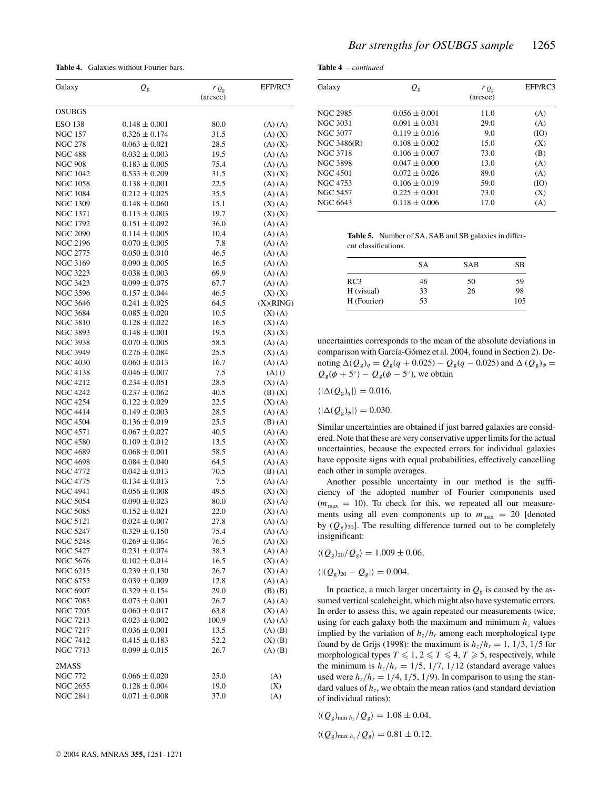**Table 4.** Galaxies without Fourier bars.

| (arcsec)<br><b>OSUBGS</b><br><b>ESO 138</b><br>$0.148 \pm 0.001$<br>80.0<br>$(A)$ $(A)$<br>$0.326 \pm 0.174$<br><b>NGC 157</b><br>31.5<br>$(A)$ $(X)$<br><b>NGC 278</b><br>$0.063 \pm 0.021$<br>28.5<br>$(A)$ $(X)$<br><b>NGC 488</b><br>$0.032 \pm 0.003$<br>19.5<br>$(A)$ $(A)$<br><b>NGC 908</b><br>$0.183 \pm 0.005$<br>75.4<br>$(A)$ $(A)$<br><b>NGC 1042</b><br>$0.533 \pm 0.209$<br>31.5<br>$(X)$ $(X)$<br><b>NGC 1058</b><br>$0.138 \pm 0.001$<br>22.5<br>$(A)$ $(A)$<br><b>NGC 1084</b><br>$0.212 \pm 0.025$<br>35.5<br>$(A)$ $(A)$<br><b>NGC 1309</b><br>$0.148 \pm 0.060$<br>15.1<br>$(X)$ $(A)$<br><b>NGC 1371</b><br>$0.113 \pm 0.003$<br>19.7<br>$(X)$ $(X)$<br><b>NGC 1792</b><br>$0.151 \pm 0.092$<br>36.0<br>$(A)$ $(A)$<br><b>NGC 2090</b><br>$0.114 \pm 0.005$<br>10.4<br>$(A)$ $(A)$<br><b>NGC 2196</b><br>$0.070 \pm 0.005$<br>7.8<br>$(A)$ $(A)$<br>NGC 2775<br>$0.050 \pm 0.010$<br>46.5<br>$(A)$ $(A)$<br><b>NGC 3169</b><br>$0.090\pm0.005$<br>16.5<br>$(A)$ $(A)$<br><b>NGC 3223</b><br>$0.038 \pm 0.003$<br>69.9<br>$(A)$ $(A)$<br><b>NGC 3423</b><br>$0.099 \pm 0.075$<br>67.7<br>$(A)$ $(A)$<br><b>NGC 3596</b><br>$0.157 \pm 0.044$<br>46.5<br>$(X)$ $(X)$<br>NGC 3646<br>$0.241 \pm 0.025$<br>64.5<br>(X)(RING)<br><b>NGC 3684</b><br>$0.085 \pm 0.020$<br>10.5<br>$(X)$ $(A)$<br><b>NGC 3810</b><br>$0.128 \pm 0.022$<br>16.5<br>$(X)$ $(A)$<br><b>NGC 3893</b><br>$0.148 \pm 0.001$<br>19.5<br>$(X)$ $(X)$<br><b>NGC 3938</b><br>$0.070 \pm 0.005$<br>58.5<br>$(A)$ $(A)$<br><b>NGC 3949</b><br>$0.276 \pm 0.084$<br>25.5<br>$(X)$ $(A)$<br>$0.060 \pm 0.013$<br><b>NGC 4030</b><br>16.7<br>$(A)$ $(A)$<br>NGC 4138<br>$0.046 \pm 0.007$<br>7.5<br>(A)()<br><b>NGC 4212</b><br>$0.234 \pm 0.051$<br>28.5<br>$(X)$ (A)<br>NGC 4242<br>$0.237 \pm 0.062$<br>40.5<br>$(B)$ $(X)$<br><b>NGC 4254</b><br>$0.122 \pm 0.029$<br>22.5<br>$(X)$ (A)<br><b>NGC 4414</b><br>$0.149 \pm 0.003$<br>28.5<br>$(A)$ $(A)$<br>NGC 4504<br>$0.136 \pm 0.019$<br>25.5<br>$(B)$ $(A)$<br><b>NGC 4571</b><br>$0.067 \pm 0.027$<br>40.5<br>$(A)$ $(A)$<br><b>NGC 4580</b><br>$0.109 \pm 0.012$<br>13.5<br>$(A)$ $(X)$<br>NGC 4689<br>$0.068 \pm 0.001$<br>58.5<br>$(A)$ $(A)$<br>NGC 4698<br>$0.084 \pm 0.040$<br>64.5<br>$(A)$ $(A)$<br><b>NGC 4772</b><br>$0.042 \pm 0.013$<br>70.5<br>(B) (A)<br><b>NGC 4775</b><br>$0.134 \pm 0.013$<br>7.5<br>$(A)$ $(A)$<br>NGC 4941<br>$0.056 \pm 0.008$<br>49.5<br>$(X)$ $(X)$<br><b>NGC 5054</b><br>$0.090 \pm 0.023$<br>80.0<br>$(X)$ (A)<br><b>NGC 5085</b><br>$0.152 \pm 0.021$<br>22.0<br>$(X)$ (A)<br><b>NGC 5121</b><br>$0.024 \pm 0.007$<br>27.8<br>$(A)$ $(A)$<br>NGC 5247<br>$0.329 \pm 0.150$<br>75.4<br>$(A)$ $(A)$<br><b>NGC 5248</b><br>76.5<br>$0.269 \pm 0.064$<br>$(A)$ $(X)$<br><b>NGC 5427</b><br>$0.231 \pm 0.074$<br>38.3<br>$(A)$ $(A)$<br><b>NGC 5676</b><br>$0.102 \pm 0.014$<br>16.5<br>$(X)$ $(A)$<br><b>NGC 6215</b><br>$0.239 \pm 0.130$<br>26.7<br>$(X)$ $(A)$<br><b>NGC 6753</b><br>$0.039 \pm 0.009$<br>12.8<br>$(A)$ $(A)$<br><b>NGC 6907</b><br>$0.329 \pm 0.154$<br>29.0<br>$(B)$ $(B)$<br>NGC 7083<br>$0.073 \pm 0.001$<br>26.7<br>$(A)$ $(A)$<br><b>NGC 7205</b><br>$0.060 \pm 0.017$<br>63.8<br>$(X)$ (A)<br>NGC 7213<br>$0.023 \pm 0.002$<br>100.9<br>$(A)$ $(A)$<br>NGC 7217<br>$0.036 \pm 0.001$<br>13.5<br>$(A)$ $(B)$<br><b>NGC 7412</b><br>$0.415 \pm 0.183$<br>52.2<br>$(X)$ $(B)$<br><b>NGC 7713</b><br>$0.099 \pm 0.015$<br>26.7<br>$(A)$ $(B)$<br>2MASS<br>NGC 772<br>$0.066 \pm 0.020$<br>25.0<br>(A)<br>NGC 2655<br>$0.128 \pm 0.004$<br>19.0<br>(X)<br><b>NGC 2841</b><br>$0.071 \pm 0.008$<br>37.0<br>(A) | Galaxy | $Q_{\rm g}$ | $r_{Q_{\rm g}}$ | EFP/RC3 |
|-----------------------------------------------------------------------------------------------------------------------------------------------------------------------------------------------------------------------------------------------------------------------------------------------------------------------------------------------------------------------------------------------------------------------------------------------------------------------------------------------------------------------------------------------------------------------------------------------------------------------------------------------------------------------------------------------------------------------------------------------------------------------------------------------------------------------------------------------------------------------------------------------------------------------------------------------------------------------------------------------------------------------------------------------------------------------------------------------------------------------------------------------------------------------------------------------------------------------------------------------------------------------------------------------------------------------------------------------------------------------------------------------------------------------------------------------------------------------------------------------------------------------------------------------------------------------------------------------------------------------------------------------------------------------------------------------------------------------------------------------------------------------------------------------------------------------------------------------------------------------------------------------------------------------------------------------------------------------------------------------------------------------------------------------------------------------------------------------------------------------------------------------------------------------------------------------------------------------------------------------------------------------------------------------------------------------------------------------------------------------------------------------------------------------------------------------------------------------------------------------------------------------------------------------------------------------------------------------------------------------------------------------------------------------------------------------------------------------------------------------------------------------------------------------------------------------------------------------------------------------------------------------------------------------------------------------------------------------------------------------------------------------------------------------------------------------------------------------------------------------------------------------------------------------------------------------------------------------------------------------------------------------------------------------------------------------------------------------------------------------------------------------------------------------------------------------------------------------------------------------------------------------------------------------------------------------------------------------------------------|--------|-------------|-----------------|---------|
|                                                                                                                                                                                                                                                                                                                                                                                                                                                                                                                                                                                                                                                                                                                                                                                                                                                                                                                                                                                                                                                                                                                                                                                                                                                                                                                                                                                                                                                                                                                                                                                                                                                                                                                                                                                                                                                                                                                                                                                                                                                                                                                                                                                                                                                                                                                                                                                                                                                                                                                                                                                                                                                                                                                                                                                                                                                                                                                                                                                                                                                                                                                                                                                                                                                                                                                                                                                                                                                                                                                                                                                                                 |        |             |                 |         |
|                                                                                                                                                                                                                                                                                                                                                                                                                                                                                                                                                                                                                                                                                                                                                                                                                                                                                                                                                                                                                                                                                                                                                                                                                                                                                                                                                                                                                                                                                                                                                                                                                                                                                                                                                                                                                                                                                                                                                                                                                                                                                                                                                                                                                                                                                                                                                                                                                                                                                                                                                                                                                                                                                                                                                                                                                                                                                                                                                                                                                                                                                                                                                                                                                                                                                                                                                                                                                                                                                                                                                                                                                 |        |             |                 |         |
|                                                                                                                                                                                                                                                                                                                                                                                                                                                                                                                                                                                                                                                                                                                                                                                                                                                                                                                                                                                                                                                                                                                                                                                                                                                                                                                                                                                                                                                                                                                                                                                                                                                                                                                                                                                                                                                                                                                                                                                                                                                                                                                                                                                                                                                                                                                                                                                                                                                                                                                                                                                                                                                                                                                                                                                                                                                                                                                                                                                                                                                                                                                                                                                                                                                                                                                                                                                                                                                                                                                                                                                                                 |        |             |                 |         |
|                                                                                                                                                                                                                                                                                                                                                                                                                                                                                                                                                                                                                                                                                                                                                                                                                                                                                                                                                                                                                                                                                                                                                                                                                                                                                                                                                                                                                                                                                                                                                                                                                                                                                                                                                                                                                                                                                                                                                                                                                                                                                                                                                                                                                                                                                                                                                                                                                                                                                                                                                                                                                                                                                                                                                                                                                                                                                                                                                                                                                                                                                                                                                                                                                                                                                                                                                                                                                                                                                                                                                                                                                 |        |             |                 |         |
|                                                                                                                                                                                                                                                                                                                                                                                                                                                                                                                                                                                                                                                                                                                                                                                                                                                                                                                                                                                                                                                                                                                                                                                                                                                                                                                                                                                                                                                                                                                                                                                                                                                                                                                                                                                                                                                                                                                                                                                                                                                                                                                                                                                                                                                                                                                                                                                                                                                                                                                                                                                                                                                                                                                                                                                                                                                                                                                                                                                                                                                                                                                                                                                                                                                                                                                                                                                                                                                                                                                                                                                                                 |        |             |                 |         |
|                                                                                                                                                                                                                                                                                                                                                                                                                                                                                                                                                                                                                                                                                                                                                                                                                                                                                                                                                                                                                                                                                                                                                                                                                                                                                                                                                                                                                                                                                                                                                                                                                                                                                                                                                                                                                                                                                                                                                                                                                                                                                                                                                                                                                                                                                                                                                                                                                                                                                                                                                                                                                                                                                                                                                                                                                                                                                                                                                                                                                                                                                                                                                                                                                                                                                                                                                                                                                                                                                                                                                                                                                 |        |             |                 |         |
|                                                                                                                                                                                                                                                                                                                                                                                                                                                                                                                                                                                                                                                                                                                                                                                                                                                                                                                                                                                                                                                                                                                                                                                                                                                                                                                                                                                                                                                                                                                                                                                                                                                                                                                                                                                                                                                                                                                                                                                                                                                                                                                                                                                                                                                                                                                                                                                                                                                                                                                                                                                                                                                                                                                                                                                                                                                                                                                                                                                                                                                                                                                                                                                                                                                                                                                                                                                                                                                                                                                                                                                                                 |        |             |                 |         |
|                                                                                                                                                                                                                                                                                                                                                                                                                                                                                                                                                                                                                                                                                                                                                                                                                                                                                                                                                                                                                                                                                                                                                                                                                                                                                                                                                                                                                                                                                                                                                                                                                                                                                                                                                                                                                                                                                                                                                                                                                                                                                                                                                                                                                                                                                                                                                                                                                                                                                                                                                                                                                                                                                                                                                                                                                                                                                                                                                                                                                                                                                                                                                                                                                                                                                                                                                                                                                                                                                                                                                                                                                 |        |             |                 |         |
|                                                                                                                                                                                                                                                                                                                                                                                                                                                                                                                                                                                                                                                                                                                                                                                                                                                                                                                                                                                                                                                                                                                                                                                                                                                                                                                                                                                                                                                                                                                                                                                                                                                                                                                                                                                                                                                                                                                                                                                                                                                                                                                                                                                                                                                                                                                                                                                                                                                                                                                                                                                                                                                                                                                                                                                                                                                                                                                                                                                                                                                                                                                                                                                                                                                                                                                                                                                                                                                                                                                                                                                                                 |        |             |                 |         |
|                                                                                                                                                                                                                                                                                                                                                                                                                                                                                                                                                                                                                                                                                                                                                                                                                                                                                                                                                                                                                                                                                                                                                                                                                                                                                                                                                                                                                                                                                                                                                                                                                                                                                                                                                                                                                                                                                                                                                                                                                                                                                                                                                                                                                                                                                                                                                                                                                                                                                                                                                                                                                                                                                                                                                                                                                                                                                                                                                                                                                                                                                                                                                                                                                                                                                                                                                                                                                                                                                                                                                                                                                 |        |             |                 |         |
|                                                                                                                                                                                                                                                                                                                                                                                                                                                                                                                                                                                                                                                                                                                                                                                                                                                                                                                                                                                                                                                                                                                                                                                                                                                                                                                                                                                                                                                                                                                                                                                                                                                                                                                                                                                                                                                                                                                                                                                                                                                                                                                                                                                                                                                                                                                                                                                                                                                                                                                                                                                                                                                                                                                                                                                                                                                                                                                                                                                                                                                                                                                                                                                                                                                                                                                                                                                                                                                                                                                                                                                                                 |        |             |                 |         |
|                                                                                                                                                                                                                                                                                                                                                                                                                                                                                                                                                                                                                                                                                                                                                                                                                                                                                                                                                                                                                                                                                                                                                                                                                                                                                                                                                                                                                                                                                                                                                                                                                                                                                                                                                                                                                                                                                                                                                                                                                                                                                                                                                                                                                                                                                                                                                                                                                                                                                                                                                                                                                                                                                                                                                                                                                                                                                                                                                                                                                                                                                                                                                                                                                                                                                                                                                                                                                                                                                                                                                                                                                 |        |             |                 |         |
|                                                                                                                                                                                                                                                                                                                                                                                                                                                                                                                                                                                                                                                                                                                                                                                                                                                                                                                                                                                                                                                                                                                                                                                                                                                                                                                                                                                                                                                                                                                                                                                                                                                                                                                                                                                                                                                                                                                                                                                                                                                                                                                                                                                                                                                                                                                                                                                                                                                                                                                                                                                                                                                                                                                                                                                                                                                                                                                                                                                                                                                                                                                                                                                                                                                                                                                                                                                                                                                                                                                                                                                                                 |        |             |                 |         |
|                                                                                                                                                                                                                                                                                                                                                                                                                                                                                                                                                                                                                                                                                                                                                                                                                                                                                                                                                                                                                                                                                                                                                                                                                                                                                                                                                                                                                                                                                                                                                                                                                                                                                                                                                                                                                                                                                                                                                                                                                                                                                                                                                                                                                                                                                                                                                                                                                                                                                                                                                                                                                                                                                                                                                                                                                                                                                                                                                                                                                                                                                                                                                                                                                                                                                                                                                                                                                                                                                                                                                                                                                 |        |             |                 |         |
|                                                                                                                                                                                                                                                                                                                                                                                                                                                                                                                                                                                                                                                                                                                                                                                                                                                                                                                                                                                                                                                                                                                                                                                                                                                                                                                                                                                                                                                                                                                                                                                                                                                                                                                                                                                                                                                                                                                                                                                                                                                                                                                                                                                                                                                                                                                                                                                                                                                                                                                                                                                                                                                                                                                                                                                                                                                                                                                                                                                                                                                                                                                                                                                                                                                                                                                                                                                                                                                                                                                                                                                                                 |        |             |                 |         |
|                                                                                                                                                                                                                                                                                                                                                                                                                                                                                                                                                                                                                                                                                                                                                                                                                                                                                                                                                                                                                                                                                                                                                                                                                                                                                                                                                                                                                                                                                                                                                                                                                                                                                                                                                                                                                                                                                                                                                                                                                                                                                                                                                                                                                                                                                                                                                                                                                                                                                                                                                                                                                                                                                                                                                                                                                                                                                                                                                                                                                                                                                                                                                                                                                                                                                                                                                                                                                                                                                                                                                                                                                 |        |             |                 |         |
|                                                                                                                                                                                                                                                                                                                                                                                                                                                                                                                                                                                                                                                                                                                                                                                                                                                                                                                                                                                                                                                                                                                                                                                                                                                                                                                                                                                                                                                                                                                                                                                                                                                                                                                                                                                                                                                                                                                                                                                                                                                                                                                                                                                                                                                                                                                                                                                                                                                                                                                                                                                                                                                                                                                                                                                                                                                                                                                                                                                                                                                                                                                                                                                                                                                                                                                                                                                                                                                                                                                                                                                                                 |        |             |                 |         |
|                                                                                                                                                                                                                                                                                                                                                                                                                                                                                                                                                                                                                                                                                                                                                                                                                                                                                                                                                                                                                                                                                                                                                                                                                                                                                                                                                                                                                                                                                                                                                                                                                                                                                                                                                                                                                                                                                                                                                                                                                                                                                                                                                                                                                                                                                                                                                                                                                                                                                                                                                                                                                                                                                                                                                                                                                                                                                                                                                                                                                                                                                                                                                                                                                                                                                                                                                                                                                                                                                                                                                                                                                 |        |             |                 |         |
|                                                                                                                                                                                                                                                                                                                                                                                                                                                                                                                                                                                                                                                                                                                                                                                                                                                                                                                                                                                                                                                                                                                                                                                                                                                                                                                                                                                                                                                                                                                                                                                                                                                                                                                                                                                                                                                                                                                                                                                                                                                                                                                                                                                                                                                                                                                                                                                                                                                                                                                                                                                                                                                                                                                                                                                                                                                                                                                                                                                                                                                                                                                                                                                                                                                                                                                                                                                                                                                                                                                                                                                                                 |        |             |                 |         |
|                                                                                                                                                                                                                                                                                                                                                                                                                                                                                                                                                                                                                                                                                                                                                                                                                                                                                                                                                                                                                                                                                                                                                                                                                                                                                                                                                                                                                                                                                                                                                                                                                                                                                                                                                                                                                                                                                                                                                                                                                                                                                                                                                                                                                                                                                                                                                                                                                                                                                                                                                                                                                                                                                                                                                                                                                                                                                                                                                                                                                                                                                                                                                                                                                                                                                                                                                                                                                                                                                                                                                                                                                 |        |             |                 |         |
|                                                                                                                                                                                                                                                                                                                                                                                                                                                                                                                                                                                                                                                                                                                                                                                                                                                                                                                                                                                                                                                                                                                                                                                                                                                                                                                                                                                                                                                                                                                                                                                                                                                                                                                                                                                                                                                                                                                                                                                                                                                                                                                                                                                                                                                                                                                                                                                                                                                                                                                                                                                                                                                                                                                                                                                                                                                                                                                                                                                                                                                                                                                                                                                                                                                                                                                                                                                                                                                                                                                                                                                                                 |        |             |                 |         |
|                                                                                                                                                                                                                                                                                                                                                                                                                                                                                                                                                                                                                                                                                                                                                                                                                                                                                                                                                                                                                                                                                                                                                                                                                                                                                                                                                                                                                                                                                                                                                                                                                                                                                                                                                                                                                                                                                                                                                                                                                                                                                                                                                                                                                                                                                                                                                                                                                                                                                                                                                                                                                                                                                                                                                                                                                                                                                                                                                                                                                                                                                                                                                                                                                                                                                                                                                                                                                                                                                                                                                                                                                 |        |             |                 |         |
|                                                                                                                                                                                                                                                                                                                                                                                                                                                                                                                                                                                                                                                                                                                                                                                                                                                                                                                                                                                                                                                                                                                                                                                                                                                                                                                                                                                                                                                                                                                                                                                                                                                                                                                                                                                                                                                                                                                                                                                                                                                                                                                                                                                                                                                                                                                                                                                                                                                                                                                                                                                                                                                                                                                                                                                                                                                                                                                                                                                                                                                                                                                                                                                                                                                                                                                                                                                                                                                                                                                                                                                                                 |        |             |                 |         |
|                                                                                                                                                                                                                                                                                                                                                                                                                                                                                                                                                                                                                                                                                                                                                                                                                                                                                                                                                                                                                                                                                                                                                                                                                                                                                                                                                                                                                                                                                                                                                                                                                                                                                                                                                                                                                                                                                                                                                                                                                                                                                                                                                                                                                                                                                                                                                                                                                                                                                                                                                                                                                                                                                                                                                                                                                                                                                                                                                                                                                                                                                                                                                                                                                                                                                                                                                                                                                                                                                                                                                                                                                 |        |             |                 |         |
|                                                                                                                                                                                                                                                                                                                                                                                                                                                                                                                                                                                                                                                                                                                                                                                                                                                                                                                                                                                                                                                                                                                                                                                                                                                                                                                                                                                                                                                                                                                                                                                                                                                                                                                                                                                                                                                                                                                                                                                                                                                                                                                                                                                                                                                                                                                                                                                                                                                                                                                                                                                                                                                                                                                                                                                                                                                                                                                                                                                                                                                                                                                                                                                                                                                                                                                                                                                                                                                                                                                                                                                                                 |        |             |                 |         |
|                                                                                                                                                                                                                                                                                                                                                                                                                                                                                                                                                                                                                                                                                                                                                                                                                                                                                                                                                                                                                                                                                                                                                                                                                                                                                                                                                                                                                                                                                                                                                                                                                                                                                                                                                                                                                                                                                                                                                                                                                                                                                                                                                                                                                                                                                                                                                                                                                                                                                                                                                                                                                                                                                                                                                                                                                                                                                                                                                                                                                                                                                                                                                                                                                                                                                                                                                                                                                                                                                                                                                                                                                 |        |             |                 |         |
|                                                                                                                                                                                                                                                                                                                                                                                                                                                                                                                                                                                                                                                                                                                                                                                                                                                                                                                                                                                                                                                                                                                                                                                                                                                                                                                                                                                                                                                                                                                                                                                                                                                                                                                                                                                                                                                                                                                                                                                                                                                                                                                                                                                                                                                                                                                                                                                                                                                                                                                                                                                                                                                                                                                                                                                                                                                                                                                                                                                                                                                                                                                                                                                                                                                                                                                                                                                                                                                                                                                                                                                                                 |        |             |                 |         |
|                                                                                                                                                                                                                                                                                                                                                                                                                                                                                                                                                                                                                                                                                                                                                                                                                                                                                                                                                                                                                                                                                                                                                                                                                                                                                                                                                                                                                                                                                                                                                                                                                                                                                                                                                                                                                                                                                                                                                                                                                                                                                                                                                                                                                                                                                                                                                                                                                                                                                                                                                                                                                                                                                                                                                                                                                                                                                                                                                                                                                                                                                                                                                                                                                                                                                                                                                                                                                                                                                                                                                                                                                 |        |             |                 |         |
|                                                                                                                                                                                                                                                                                                                                                                                                                                                                                                                                                                                                                                                                                                                                                                                                                                                                                                                                                                                                                                                                                                                                                                                                                                                                                                                                                                                                                                                                                                                                                                                                                                                                                                                                                                                                                                                                                                                                                                                                                                                                                                                                                                                                                                                                                                                                                                                                                                                                                                                                                                                                                                                                                                                                                                                                                                                                                                                                                                                                                                                                                                                                                                                                                                                                                                                                                                                                                                                                                                                                                                                                                 |        |             |                 |         |
|                                                                                                                                                                                                                                                                                                                                                                                                                                                                                                                                                                                                                                                                                                                                                                                                                                                                                                                                                                                                                                                                                                                                                                                                                                                                                                                                                                                                                                                                                                                                                                                                                                                                                                                                                                                                                                                                                                                                                                                                                                                                                                                                                                                                                                                                                                                                                                                                                                                                                                                                                                                                                                                                                                                                                                                                                                                                                                                                                                                                                                                                                                                                                                                                                                                                                                                                                                                                                                                                                                                                                                                                                 |        |             |                 |         |
|                                                                                                                                                                                                                                                                                                                                                                                                                                                                                                                                                                                                                                                                                                                                                                                                                                                                                                                                                                                                                                                                                                                                                                                                                                                                                                                                                                                                                                                                                                                                                                                                                                                                                                                                                                                                                                                                                                                                                                                                                                                                                                                                                                                                                                                                                                                                                                                                                                                                                                                                                                                                                                                                                                                                                                                                                                                                                                                                                                                                                                                                                                                                                                                                                                                                                                                                                                                                                                                                                                                                                                                                                 |        |             |                 |         |
|                                                                                                                                                                                                                                                                                                                                                                                                                                                                                                                                                                                                                                                                                                                                                                                                                                                                                                                                                                                                                                                                                                                                                                                                                                                                                                                                                                                                                                                                                                                                                                                                                                                                                                                                                                                                                                                                                                                                                                                                                                                                                                                                                                                                                                                                                                                                                                                                                                                                                                                                                                                                                                                                                                                                                                                                                                                                                                                                                                                                                                                                                                                                                                                                                                                                                                                                                                                                                                                                                                                                                                                                                 |        |             |                 |         |
|                                                                                                                                                                                                                                                                                                                                                                                                                                                                                                                                                                                                                                                                                                                                                                                                                                                                                                                                                                                                                                                                                                                                                                                                                                                                                                                                                                                                                                                                                                                                                                                                                                                                                                                                                                                                                                                                                                                                                                                                                                                                                                                                                                                                                                                                                                                                                                                                                                                                                                                                                                                                                                                                                                                                                                                                                                                                                                                                                                                                                                                                                                                                                                                                                                                                                                                                                                                                                                                                                                                                                                                                                 |        |             |                 |         |
|                                                                                                                                                                                                                                                                                                                                                                                                                                                                                                                                                                                                                                                                                                                                                                                                                                                                                                                                                                                                                                                                                                                                                                                                                                                                                                                                                                                                                                                                                                                                                                                                                                                                                                                                                                                                                                                                                                                                                                                                                                                                                                                                                                                                                                                                                                                                                                                                                                                                                                                                                                                                                                                                                                                                                                                                                                                                                                                                                                                                                                                                                                                                                                                                                                                                                                                                                                                                                                                                                                                                                                                                                 |        |             |                 |         |
|                                                                                                                                                                                                                                                                                                                                                                                                                                                                                                                                                                                                                                                                                                                                                                                                                                                                                                                                                                                                                                                                                                                                                                                                                                                                                                                                                                                                                                                                                                                                                                                                                                                                                                                                                                                                                                                                                                                                                                                                                                                                                                                                                                                                                                                                                                                                                                                                                                                                                                                                                                                                                                                                                                                                                                                                                                                                                                                                                                                                                                                                                                                                                                                                                                                                                                                                                                                                                                                                                                                                                                                                                 |        |             |                 |         |
|                                                                                                                                                                                                                                                                                                                                                                                                                                                                                                                                                                                                                                                                                                                                                                                                                                                                                                                                                                                                                                                                                                                                                                                                                                                                                                                                                                                                                                                                                                                                                                                                                                                                                                                                                                                                                                                                                                                                                                                                                                                                                                                                                                                                                                                                                                                                                                                                                                                                                                                                                                                                                                                                                                                                                                                                                                                                                                                                                                                                                                                                                                                                                                                                                                                                                                                                                                                                                                                                                                                                                                                                                 |        |             |                 |         |
|                                                                                                                                                                                                                                                                                                                                                                                                                                                                                                                                                                                                                                                                                                                                                                                                                                                                                                                                                                                                                                                                                                                                                                                                                                                                                                                                                                                                                                                                                                                                                                                                                                                                                                                                                                                                                                                                                                                                                                                                                                                                                                                                                                                                                                                                                                                                                                                                                                                                                                                                                                                                                                                                                                                                                                                                                                                                                                                                                                                                                                                                                                                                                                                                                                                                                                                                                                                                                                                                                                                                                                                                                 |        |             |                 |         |
|                                                                                                                                                                                                                                                                                                                                                                                                                                                                                                                                                                                                                                                                                                                                                                                                                                                                                                                                                                                                                                                                                                                                                                                                                                                                                                                                                                                                                                                                                                                                                                                                                                                                                                                                                                                                                                                                                                                                                                                                                                                                                                                                                                                                                                                                                                                                                                                                                                                                                                                                                                                                                                                                                                                                                                                                                                                                                                                                                                                                                                                                                                                                                                                                                                                                                                                                                                                                                                                                                                                                                                                                                 |        |             |                 |         |
|                                                                                                                                                                                                                                                                                                                                                                                                                                                                                                                                                                                                                                                                                                                                                                                                                                                                                                                                                                                                                                                                                                                                                                                                                                                                                                                                                                                                                                                                                                                                                                                                                                                                                                                                                                                                                                                                                                                                                                                                                                                                                                                                                                                                                                                                                                                                                                                                                                                                                                                                                                                                                                                                                                                                                                                                                                                                                                                                                                                                                                                                                                                                                                                                                                                                                                                                                                                                                                                                                                                                                                                                                 |        |             |                 |         |
|                                                                                                                                                                                                                                                                                                                                                                                                                                                                                                                                                                                                                                                                                                                                                                                                                                                                                                                                                                                                                                                                                                                                                                                                                                                                                                                                                                                                                                                                                                                                                                                                                                                                                                                                                                                                                                                                                                                                                                                                                                                                                                                                                                                                                                                                                                                                                                                                                                                                                                                                                                                                                                                                                                                                                                                                                                                                                                                                                                                                                                                                                                                                                                                                                                                                                                                                                                                                                                                                                                                                                                                                                 |        |             |                 |         |
|                                                                                                                                                                                                                                                                                                                                                                                                                                                                                                                                                                                                                                                                                                                                                                                                                                                                                                                                                                                                                                                                                                                                                                                                                                                                                                                                                                                                                                                                                                                                                                                                                                                                                                                                                                                                                                                                                                                                                                                                                                                                                                                                                                                                                                                                                                                                                                                                                                                                                                                                                                                                                                                                                                                                                                                                                                                                                                                                                                                                                                                                                                                                                                                                                                                                                                                                                                                                                                                                                                                                                                                                                 |        |             |                 |         |
|                                                                                                                                                                                                                                                                                                                                                                                                                                                                                                                                                                                                                                                                                                                                                                                                                                                                                                                                                                                                                                                                                                                                                                                                                                                                                                                                                                                                                                                                                                                                                                                                                                                                                                                                                                                                                                                                                                                                                                                                                                                                                                                                                                                                                                                                                                                                                                                                                                                                                                                                                                                                                                                                                                                                                                                                                                                                                                                                                                                                                                                                                                                                                                                                                                                                                                                                                                                                                                                                                                                                                                                                                 |        |             |                 |         |
|                                                                                                                                                                                                                                                                                                                                                                                                                                                                                                                                                                                                                                                                                                                                                                                                                                                                                                                                                                                                                                                                                                                                                                                                                                                                                                                                                                                                                                                                                                                                                                                                                                                                                                                                                                                                                                                                                                                                                                                                                                                                                                                                                                                                                                                                                                                                                                                                                                                                                                                                                                                                                                                                                                                                                                                                                                                                                                                                                                                                                                                                                                                                                                                                                                                                                                                                                                                                                                                                                                                                                                                                                 |        |             |                 |         |
|                                                                                                                                                                                                                                                                                                                                                                                                                                                                                                                                                                                                                                                                                                                                                                                                                                                                                                                                                                                                                                                                                                                                                                                                                                                                                                                                                                                                                                                                                                                                                                                                                                                                                                                                                                                                                                                                                                                                                                                                                                                                                                                                                                                                                                                                                                                                                                                                                                                                                                                                                                                                                                                                                                                                                                                                                                                                                                                                                                                                                                                                                                                                                                                                                                                                                                                                                                                                                                                                                                                                                                                                                 |        |             |                 |         |
|                                                                                                                                                                                                                                                                                                                                                                                                                                                                                                                                                                                                                                                                                                                                                                                                                                                                                                                                                                                                                                                                                                                                                                                                                                                                                                                                                                                                                                                                                                                                                                                                                                                                                                                                                                                                                                                                                                                                                                                                                                                                                                                                                                                                                                                                                                                                                                                                                                                                                                                                                                                                                                                                                                                                                                                                                                                                                                                                                                                                                                                                                                                                                                                                                                                                                                                                                                                                                                                                                                                                                                                                                 |        |             |                 |         |
|                                                                                                                                                                                                                                                                                                                                                                                                                                                                                                                                                                                                                                                                                                                                                                                                                                                                                                                                                                                                                                                                                                                                                                                                                                                                                                                                                                                                                                                                                                                                                                                                                                                                                                                                                                                                                                                                                                                                                                                                                                                                                                                                                                                                                                                                                                                                                                                                                                                                                                                                                                                                                                                                                                                                                                                                                                                                                                                                                                                                                                                                                                                                                                                                                                                                                                                                                                                                                                                                                                                                                                                                                 |        |             |                 |         |
|                                                                                                                                                                                                                                                                                                                                                                                                                                                                                                                                                                                                                                                                                                                                                                                                                                                                                                                                                                                                                                                                                                                                                                                                                                                                                                                                                                                                                                                                                                                                                                                                                                                                                                                                                                                                                                                                                                                                                                                                                                                                                                                                                                                                                                                                                                                                                                                                                                                                                                                                                                                                                                                                                                                                                                                                                                                                                                                                                                                                                                                                                                                                                                                                                                                                                                                                                                                                                                                                                                                                                                                                                 |        |             |                 |         |
|                                                                                                                                                                                                                                                                                                                                                                                                                                                                                                                                                                                                                                                                                                                                                                                                                                                                                                                                                                                                                                                                                                                                                                                                                                                                                                                                                                                                                                                                                                                                                                                                                                                                                                                                                                                                                                                                                                                                                                                                                                                                                                                                                                                                                                                                                                                                                                                                                                                                                                                                                                                                                                                                                                                                                                                                                                                                                                                                                                                                                                                                                                                                                                                                                                                                                                                                                                                                                                                                                                                                                                                                                 |        |             |                 |         |
|                                                                                                                                                                                                                                                                                                                                                                                                                                                                                                                                                                                                                                                                                                                                                                                                                                                                                                                                                                                                                                                                                                                                                                                                                                                                                                                                                                                                                                                                                                                                                                                                                                                                                                                                                                                                                                                                                                                                                                                                                                                                                                                                                                                                                                                                                                                                                                                                                                                                                                                                                                                                                                                                                                                                                                                                                                                                                                                                                                                                                                                                                                                                                                                                                                                                                                                                                                                                                                                                                                                                                                                                                 |        |             |                 |         |
|                                                                                                                                                                                                                                                                                                                                                                                                                                                                                                                                                                                                                                                                                                                                                                                                                                                                                                                                                                                                                                                                                                                                                                                                                                                                                                                                                                                                                                                                                                                                                                                                                                                                                                                                                                                                                                                                                                                                                                                                                                                                                                                                                                                                                                                                                                                                                                                                                                                                                                                                                                                                                                                                                                                                                                                                                                                                                                                                                                                                                                                                                                                                                                                                                                                                                                                                                                                                                                                                                                                                                                                                                 |        |             |                 |         |
|                                                                                                                                                                                                                                                                                                                                                                                                                                                                                                                                                                                                                                                                                                                                                                                                                                                                                                                                                                                                                                                                                                                                                                                                                                                                                                                                                                                                                                                                                                                                                                                                                                                                                                                                                                                                                                                                                                                                                                                                                                                                                                                                                                                                                                                                                                                                                                                                                                                                                                                                                                                                                                                                                                                                                                                                                                                                                                                                                                                                                                                                                                                                                                                                                                                                                                                                                                                                                                                                                                                                                                                                                 |        |             |                 |         |
|                                                                                                                                                                                                                                                                                                                                                                                                                                                                                                                                                                                                                                                                                                                                                                                                                                                                                                                                                                                                                                                                                                                                                                                                                                                                                                                                                                                                                                                                                                                                                                                                                                                                                                                                                                                                                                                                                                                                                                                                                                                                                                                                                                                                                                                                                                                                                                                                                                                                                                                                                                                                                                                                                                                                                                                                                                                                                                                                                                                                                                                                                                                                                                                                                                                                                                                                                                                                                                                                                                                                                                                                                 |        |             |                 |         |
|                                                                                                                                                                                                                                                                                                                                                                                                                                                                                                                                                                                                                                                                                                                                                                                                                                                                                                                                                                                                                                                                                                                                                                                                                                                                                                                                                                                                                                                                                                                                                                                                                                                                                                                                                                                                                                                                                                                                                                                                                                                                                                                                                                                                                                                                                                                                                                                                                                                                                                                                                                                                                                                                                                                                                                                                                                                                                                                                                                                                                                                                                                                                                                                                                                                                                                                                                                                                                                                                                                                                                                                                                 |        |             |                 |         |
|                                                                                                                                                                                                                                                                                                                                                                                                                                                                                                                                                                                                                                                                                                                                                                                                                                                                                                                                                                                                                                                                                                                                                                                                                                                                                                                                                                                                                                                                                                                                                                                                                                                                                                                                                                                                                                                                                                                                                                                                                                                                                                                                                                                                                                                                                                                                                                                                                                                                                                                                                                                                                                                                                                                                                                                                                                                                                                                                                                                                                                                                                                                                                                                                                                                                                                                                                                                                                                                                                                                                                                                                                 |        |             |                 |         |
|                                                                                                                                                                                                                                                                                                                                                                                                                                                                                                                                                                                                                                                                                                                                                                                                                                                                                                                                                                                                                                                                                                                                                                                                                                                                                                                                                                                                                                                                                                                                                                                                                                                                                                                                                                                                                                                                                                                                                                                                                                                                                                                                                                                                                                                                                                                                                                                                                                                                                                                                                                                                                                                                                                                                                                                                                                                                                                                                                                                                                                                                                                                                                                                                                                                                                                                                                                                                                                                                                                                                                                                                                 |        |             |                 |         |
|                                                                                                                                                                                                                                                                                                                                                                                                                                                                                                                                                                                                                                                                                                                                                                                                                                                                                                                                                                                                                                                                                                                                                                                                                                                                                                                                                                                                                                                                                                                                                                                                                                                                                                                                                                                                                                                                                                                                                                                                                                                                                                                                                                                                                                                                                                                                                                                                                                                                                                                                                                                                                                                                                                                                                                                                                                                                                                                                                                                                                                                                                                                                                                                                                                                                                                                                                                                                                                                                                                                                                                                                                 |        |             |                 |         |
|                                                                                                                                                                                                                                                                                                                                                                                                                                                                                                                                                                                                                                                                                                                                                                                                                                                                                                                                                                                                                                                                                                                                                                                                                                                                                                                                                                                                                                                                                                                                                                                                                                                                                                                                                                                                                                                                                                                                                                                                                                                                                                                                                                                                                                                                                                                                                                                                                                                                                                                                                                                                                                                                                                                                                                                                                                                                                                                                                                                                                                                                                                                                                                                                                                                                                                                                                                                                                                                                                                                                                                                                                 |        |             |                 |         |
|                                                                                                                                                                                                                                                                                                                                                                                                                                                                                                                                                                                                                                                                                                                                                                                                                                                                                                                                                                                                                                                                                                                                                                                                                                                                                                                                                                                                                                                                                                                                                                                                                                                                                                                                                                                                                                                                                                                                                                                                                                                                                                                                                                                                                                                                                                                                                                                                                                                                                                                                                                                                                                                                                                                                                                                                                                                                                                                                                                                                                                                                                                                                                                                                                                                                                                                                                                                                                                                                                                                                                                                                                 |        |             |                 |         |
|                                                                                                                                                                                                                                                                                                                                                                                                                                                                                                                                                                                                                                                                                                                                                                                                                                                                                                                                                                                                                                                                                                                                                                                                                                                                                                                                                                                                                                                                                                                                                                                                                                                                                                                                                                                                                                                                                                                                                                                                                                                                                                                                                                                                                                                                                                                                                                                                                                                                                                                                                                                                                                                                                                                                                                                                                                                                                                                                                                                                                                                                                                                                                                                                                                                                                                                                                                                                                                                                                                                                                                                                                 |        |             |                 |         |
|                                                                                                                                                                                                                                                                                                                                                                                                                                                                                                                                                                                                                                                                                                                                                                                                                                                                                                                                                                                                                                                                                                                                                                                                                                                                                                                                                                                                                                                                                                                                                                                                                                                                                                                                                                                                                                                                                                                                                                                                                                                                                                                                                                                                                                                                                                                                                                                                                                                                                                                                                                                                                                                                                                                                                                                                                                                                                                                                                                                                                                                                                                                                                                                                                                                                                                                                                                                                                                                                                                                                                                                                                 |        |             |                 |         |
|                                                                                                                                                                                                                                                                                                                                                                                                                                                                                                                                                                                                                                                                                                                                                                                                                                                                                                                                                                                                                                                                                                                                                                                                                                                                                                                                                                                                                                                                                                                                                                                                                                                                                                                                                                                                                                                                                                                                                                                                                                                                                                                                                                                                                                                                                                                                                                                                                                                                                                                                                                                                                                                                                                                                                                                                                                                                                                                                                                                                                                                                                                                                                                                                                                                                                                                                                                                                                                                                                                                                                                                                                 |        |             |                 |         |

| <b>Table 4</b> | continued |
|----------------|-----------|
|----------------|-----------|

| Galaxy          | $Q_{\rm g}$       | $r_{Q_{\rm g}}$<br>(arcsec) | EFP/RC3 |
|-----------------|-------------------|-----------------------------|---------|
| <b>NGC 2985</b> | $0.056 \pm 0.001$ | 11.0                        | (A)     |
| <b>NGC 3031</b> | $0.091 \pm 0.031$ | 29.0                        | (A)     |
| <b>NGC 3077</b> | $0.119 \pm 0.016$ | 9.0                         | (IO)    |
| NGC 3486(R)     | $0.108 \pm 0.002$ | 15.0                        | (X)     |
| <b>NGC 3718</b> | $0.106 \pm 0.007$ | 73.0                        | (B)     |
| <b>NGC 3898</b> | $0.047 \pm 0.000$ | 13.0                        | (A)     |
| <b>NGC 4501</b> | $0.072 \pm 0.026$ | 89.0                        | (A)     |
| NGC 4753        | $0.106 \pm 0.019$ | 59.0                        | (IO)    |
| NGC 5457        | $0.225 \pm 0.001$ | 73.0                        | (X)     |
| NGC 6643        | $0.118 \pm 0.006$ | 17.0                        | (A)     |

**Table 5.** Number of SA, SAB and SB galaxies in different classifications.

|             | SА | <b>SAB</b> | SB  |
|-------------|----|------------|-----|
| RC3         | 46 | 50         | 59  |
| H (visual)  | 33 | 26         | 98  |
| H (Fourier) | 53 |            | 105 |

uncertainties corresponds to the mean of the absolute deviations in comparison with García-Gómez et al. 2004, found in Section 2). Denoting  $\Delta(Q_g)_q = Q_g(q + 0.025) - Q_g(q - 0.025)$  and  $\Delta(Q_g)_φ =$  $Q_{\rm g}(\phi + 5^{\circ}) - Q_{\rm g}(\phi - 5^{\circ})$ , we obtain

 $\langle |\Delta(Q_g)_{q}| \rangle = 0.016,$ 

 $\langle |\Delta(Q_g)_{\phi}| \rangle = 0.030.$ 

Similar uncertainties are obtained if just barred galaxies are considered. Note that these are very conservative upper limits for the actual uncertainties, because the expected errors for individual galaxies have opposite signs with equal probabilities, effectively cancelling each other in sample averages.

Another possible uncertainty in our method is the sufficiency of the adopted number of Fourier components used  $(m<sub>max</sub> = 10)$ . To check for this, we repeated all our measurements using all even components up to  $m_{\text{max}} = 20$  [denoted by  $(Q_g)_{20}$ ]. The resulting difference turned out to be completely insignificant:

$$
\langle (Q_g)_{20}/Q_g \rangle = 1.009 \pm 0.06,
$$

$$
\langle |(Q_g)_{20} - Q_g| \rangle = 0.004.
$$

In practice, a much larger uncertainty in  $Q<sub>g</sub>$  is caused by the assumed vertical scaleheight, which might also have systematic errors. In order to assess this, we again repeated our measurements twice, using for each galaxy both the maximum and minimum  $h<sub>z</sub>$  values implied by the variation of  $h_z/h_r$  among each morphological type found by de Grijs (1998): the maximum is  $h_z/h_r = 1$ , 1/3, 1/5 for morphological types  $T \leqslant 1, 2 \leqslant T \leqslant 4, T \geqslant 5$ , respectively, while the minimum is  $h_z/h_r = 1/5$ ,  $1/7$ ,  $1/12$  (standard average values used were  $h_z/h_r = 1/4$ ,  $1/5$ ,  $1/9$ ). In comparison to using the standard values of  $h<sub>z</sub>$ , we obtain the mean ratios (and standard deviation of individual ratios):

$$
\langle (Q_{\rm g})_{\rm min h_z}/Q_{\rm g} \rangle = 1.08 \pm 0.04,
$$

$$
\langle (Q_g)_{\max h_z}/Q_g \rangle = 0.81 \pm 0.12.
$$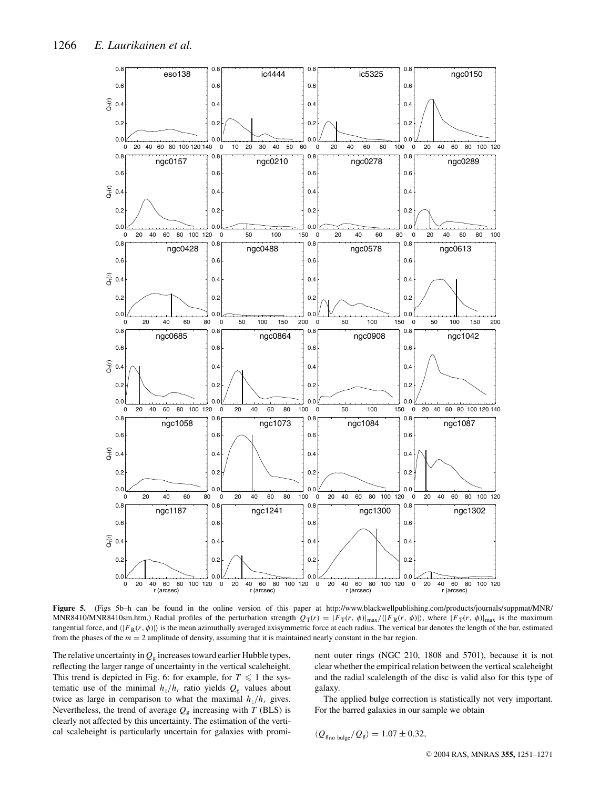

**Figure 5.** (Figs 5b–h can be found in the online version of this paper at http://www.blackwellpublishing.com/products/journals/suppmat/MNR/ MNR8410/MNR8410sm.htm.) Radial profiles of the perturbation strength  $Q_T(r) = |F_T(r, \phi)|_{\text{max}} / \langle |F_R(r, \phi)| \rangle$ , where  $|F_T(r, \phi)|_{\text{max}}$  is the maximum tangential force, and  $\langle |F_R(r, \phi)| \rangle$  is the mean azimuthally averaged axisymmetric force at each radius. The vertical bar denotes the length of the bar, estimated from the phases of the *m* = 2 amplitude of density, assuming that it is maintained nearly constant in the bar region.

The relative uncertainty in  $Q<sub>g</sub>$  increases toward earlier Hubble types, reflecting the larger range of uncertainty in the vertical scaleheight. This trend is depicted in Fig. 6: for example, for  $T \leq 1$  the systematic use of the minimal  $h_z/h_r$  ratio yields  $Q_g$  values about twice as large in comparison to what the maximal  $h_z/h_r$  gives. Nevertheless, the trend of average  $Q<sub>g</sub>$  increasing with *T* (BLS) is clearly not affected by this uncertainty. The estimation of the vertical scaleheight is particularly uncertain for galaxies with prominent outer rings (NGC 210, 1808 and 5701), because it is not clear whether the empirical relation between the vertical scaleheight and the radial scalelength of the disc is valid also for this type of galaxy.

The applied bulge correction is statistically not very important. For the barred galaxies in our sample we obtain

$$
\langle \mathcal{Q}_{g_{\rm no~bulge}}/\mathcal{Q}_{\rm g} \rangle = 1.07 \pm 0.32,
$$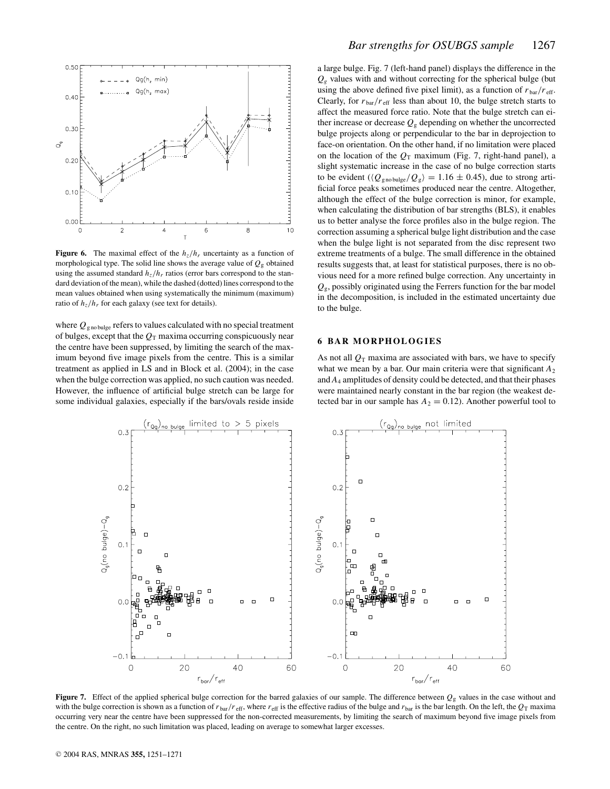

**Figure 6.** The maximal effect of the  $h_z/h_r$  uncertainty as a function of morphological type. The solid line shows the average value of  $Q_g$  obtained using the assumed standard  $h_z/h_r$  ratios (error bars correspond to the standard deviation of the mean), while the dashed (dotted) lines correspond to the mean values obtained when using systematically the minimum (maximum) ratio of  $h_z/h_r$  for each galaxy (see text for details).

where  $Q_{\text{gno bulge}}$  refers to values calculated with no special treatment of bulges, except that the  $Q_T$  maxima occurring conspicuously near the centre have been suppressed, by limiting the search of the maximum beyond five image pixels from the centre. This is a similar treatment as applied in LS and in Block et al. (2004); in the case when the bulge correction was applied, no such caution was needed. However, the influence of artificial bulge stretch can be large for some individual galaxies, especially if the bars/ovals reside inside a large bulge. Fig. 7 (left-hand panel) displays the difference in the  $Q<sub>g</sub>$  values with and without correcting for the spherical bulge (but using the above defined five pixel limit), as a function of  $r_{\text{bar}}/r_{\text{eff}}$ . Clearly, for  $r_{\text{bar}}/r_{\text{eff}}$  less than about 10, the bulge stretch starts to affect the measured force ratio. Note that the bulge stretch can either increase or decrease  $Q_g$  depending on whether the uncorrected bulge projects along or perpendicular to the bar in deprojection to face-on orientation. On the other hand, if no limitation were placed on the location of the  $Q_T$  maximum (Fig. 7, right-hand panel), a slight systematic increase in the case of no bulge correction starts to be evident ( $\langle Q_{\text{gno bulge}}/Q_{\text{g}} \rangle = 1.16 \pm 0.45$ ), due to strong artificial force peaks sometimes produced near the centre. Altogether, although the effect of the bulge correction is minor, for example, when calculating the distribution of bar strengths (BLS), it enables us to better analyse the force profiles also in the bulge region. The correction assuming a spherical bulge light distribution and the case when the bulge light is not separated from the disc represent two extreme treatments of a bulge. The small difference in the obtained results suggests that, at least for statistical purposes, there is no obvious need for a more refined bulge correction. Any uncertainty in  $Q_{\sigma}$ , possibly originated using the Ferrers function for the bar model in the decomposition, is included in the estimated uncertainty due to the bulge.

#### **6 BAR MORPHOLOGIES**

As not all  $Q_T$  maxima are associated with bars, we have to specify what we mean by a bar. Our main criteria were that significant  $A_2$ and *A*<sup>4</sup> amplitudes of density could be detected, and that their phases were maintained nearly constant in the bar region (the weakest detected bar in our sample has  $A_2 = 0.12$ ). Another powerful tool to



**Figure 7.** Effect of the applied spherical bulge correction for the barred galaxies of our sample. The difference between  $Q_g$  values in the case without and with the bulge correction is shown as a function of  $r_{\text{bar}}/r_{\text{eff}}$ , where  $r_{\text{eff}}$  is the effective radius of the bulge and  $r_{\text{bar}}$  is the bar length. On the left, the  $Q_T$  maxima occurring very near the centre have been suppressed for the non-corrected measurements, by limiting the search of maximum beyond five image pixels from the centre. On the right, no such limitation was placed, leading on average to somewhat larger excesses.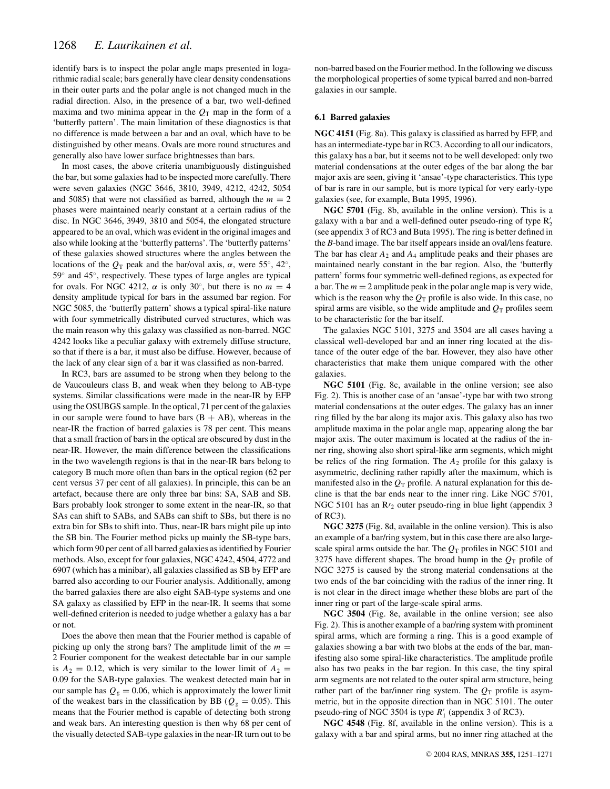identify bars is to inspect the polar angle maps presented in logarithmic radial scale; bars generally have clear density condensations in their outer parts and the polar angle is not changed much in the radial direction. Also, in the presence of a bar, two well-defined maxima and two minima appear in the  $Q_T$  map in the form of a 'butterfly pattern'. The main limitation of these diagnostics is that no difference is made between a bar and an oval, which have to be distinguished by other means. Ovals are more round structures and generally also have lower surface brightnesses than bars.

In most cases, the above criteria unambiguously distinguished the bar, but some galaxies had to be inspected more carefully. There were seven galaxies (NGC 3646, 3810, 3949, 4212, 4242, 5054 and 5085) that were not classified as barred, although the  $m = 2$ phases were maintained nearly constant at a certain radius of the disc. In NGC 3646, 3949, 3810 and 5054, the elongated structure appeared to be an oval, which was evident in the original images and also while looking at the 'butterfly patterns'. The 'butterfly patterns' of these galaxies showed structures where the angles between the locations of the  $Q_T$  peak and the bar/oval axis,  $\alpha$ , were 55<sup>°</sup>, 42<sup>°</sup>, 59◦ and 45◦, respectively. These types of large angles are typical for ovals. For NGC 4212,  $\alpha$  is only 30°, but there is no  $m = 4$ density amplitude typical for bars in the assumed bar region. For NGC 5085, the 'butterfly pattern' shows a typical spiral-like nature with four symmetrically distributed curved structures, which was the main reason why this galaxy was classified as non-barred. NGC 4242 looks like a peculiar galaxy with extremely diffuse structure, so that if there is a bar, it must also be diffuse. However, because of the lack of any clear sign of a bar it was classified as non-barred.

In RC3, bars are assumed to be strong when they belong to the de Vaucouleurs class B, and weak when they belong to AB-type systems. Similar classifications were made in the near-IR by EFP using the OSUBGS sample. In the optical, 71 per cent of the galaxies in our sample were found to have bars  $(B + AB)$ , whereas in the near-IR the fraction of barred galaxies is 78 per cent. This means that a small fraction of bars in the optical are obscured by dust in the near-IR. However, the main difference between the classifications in the two wavelength regions is that in the near-IR bars belong to category B much more often than bars in the optical region (62 per cent versus 37 per cent of all galaxies). In principle, this can be an artefact, because there are only three bar bins: SA, SAB and SB. Bars probably look stronger to some extent in the near-IR, so that SAs can shift to SABs, and SABs can shift to SBs, but there is no extra bin for SBs to shift into. Thus, near-IR bars might pile up into the SB bin. The Fourier method picks up mainly the SB-type bars, which form 90 per cent of all barred galaxies as identified by Fourier methods. Also, except for four galaxies, NGC 4242, 4504, 4772 and 6907 (which has a minibar), all galaxies classified as SB by EFP are barred also according to our Fourier analysis. Additionally, among the barred galaxies there are also eight SAB-type systems and one SA galaxy as classified by EFP in the near-IR. It seems that some well-defined criterion is needed to judge whether a galaxy has a bar or not.

Does the above then mean that the Fourier method is capable of picking up only the strong bars? The amplitude limit of the  $m =$ 2 Fourier component for the weakest detectable bar in our sample is  $A_2 = 0.12$ , which is very similar to the lower limit of  $A_2 =$ 0.09 for the SAB-type galaxies. The weakest detected main bar in our sample has  $Q<sub>g</sub> = 0.06$ , which is approximately the lower limit of the weakest bars in the classification by BB ( $Q<sub>g</sub> = 0.05$ ). This means that the Fourier method is capable of detecting both strong and weak bars. An interesting question is then why 68 per cent of the visually detected SAB-type galaxies in the near-IR turn out to be

non-barred based on the Fourier method. In the following we discuss the morphological properties of some typical barred and non-barred galaxies in our sample.

#### **6.1 Barred galaxies**

**NGC 4151** (Fig. 8a). This galaxy is classified as barred by EFP, and has an intermediate-type bar in RC3. According to all our indicators, this galaxy has a bar, but it seems not to be well developed: only two material condensations at the outer edges of the bar along the bar major axis are seen, giving it 'ansae'-type characteristics. This type of bar is rare in our sample, but is more typical for very early-type galaxies (see, for example, Buta 1995, 1996).

**NGC 5701** (Fig. 8b, available in the online version). This is a galaxy with a bar and a well-defined outer pseudo-ring of type  $R'_2$ (see appendix 3 of RC3 and Buta 1995). The ring is better defined in the *B*-band image. The bar itself appears inside an oval/lens feature. The bar has clear  $A_2$  and  $A_4$  amplitude peaks and their phases are maintained nearly constant in the bar region. Also, the 'butterfly pattern' forms four symmetric well-defined regions, as expected for a bar. The  $m = 2$  amplitude peak in the polar angle map is very wide, which is the reason why the  $Q_T$  profile is also wide. In this case, no spiral arms are visible, so the wide amplitude and  $Q_T$  profiles seem to be characteristic for the bar itself.

The galaxies NGC 5101, 3275 and 3504 are all cases having a classical well-developed bar and an inner ring located at the distance of the outer edge of the bar. However, they also have other characteristics that make them unique compared with the other galaxies.

**NGC 5101** (Fig. 8c, available in the online version; see also Fig. 2). This is another case of an 'ansae'-type bar with two strong material condensations at the outer edges. The galaxy has an inner ring filled by the bar along its major axis. This galaxy also has two amplitude maxima in the polar angle map, appearing along the bar major axis. The outer maximum is located at the radius of the inner ring, showing also short spiral-like arm segments, which might be relics of the ring formation. The  $A_2$  profile for this galaxy is asymmetric, declining rather rapidly after the maximum, which is manifested also in the  $Q_T$  profile. A natural explanation for this decline is that the bar ends near to the inner ring. Like NGC 5701, NGC 5101 has an  $R_2$  outer pseudo-ring in blue light (appendix 3 of RC3).

**NGC 3275** (Fig. 8d, available in the online version). This is also an example of a bar/ring system, but in this case there are also largescale spiral arms outside the bar. The  $Q_T$  profiles in NGC 5101 and 3275 have different shapes. The broad hump in the  $Q_T$  profile of NGC 3275 is caused by the strong material condensations at the two ends of the bar coinciding with the radius of the inner ring. It is not clear in the direct image whether these blobs are part of the inner ring or part of the large-scale spiral arms.

**NGC 3504** (Fig. 8e, available in the online version; see also Fig. 2). This is another example of a bar/ring system with prominent spiral arms, which are forming a ring. This is a good example of galaxies showing a bar with two blobs at the ends of the bar, manifesting also some spiral-like characteristics. The amplitude profile also has two peaks in the bar region. In this case, the tiny spiral arm segments are not related to the outer spiral arm structure, being rather part of the bar/inner ring system. The  $Q_T$  profile is asymmetric, but in the opposite direction than in NGC 5101. The outer pseudo-ring of NGC 3504 is type *R* <sup>1</sup> (appendix 3 of RC3).

**NGC 4548** (Fig. 8f, available in the online version). This is a galaxy with a bar and spiral arms, but no inner ring attached at the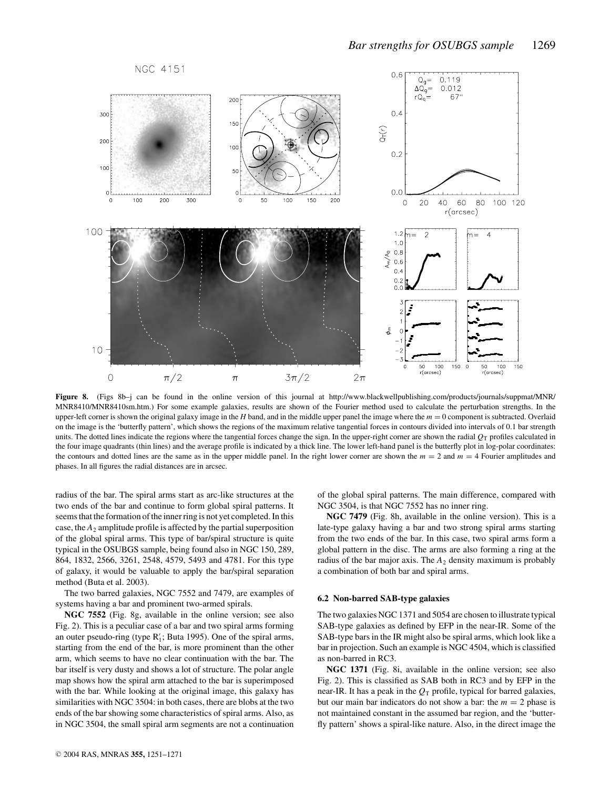

**Figure 8.** (Figs 8b–j can be found in the online version of this journal at http://www.blackwellpublishing.com/products/journals/suppmat/MNR/ MNR8410/MNR8410sm.htm.) For some example galaxies, results are shown of the Fourier method used to calculate the perturbation strengths. In the upper-left corner is shown the original galaxy image in the *H* band, and in the middle upper panel the image where the *m* = 0 component is subtracted. Overlaid on the image is the 'butterfly pattern', which shows the regions of the maximum relative tangential forces in contours divided into intervals of 0.1 bar strength units. The dotted lines indicate the regions where the tangential forces change the sign. In the upper-right corner are shown the radial  $Q<sub>T</sub>$  profiles calculated in the four image quadrants (thin lines) and the average profile is indicated by a thick line. The lower left-hand panel is the butterfly plot in log-polar coordinates: the contours and dotted lines are the same as in the upper middle panel. In the right lower corner are shown the  $m = 2$  and  $m = 4$  Fourier amplitudes and phases. In all figures the radial distances are in arcsec.

radius of the bar. The spiral arms start as arc-like structures at the two ends of the bar and continue to form global spiral patterns. It seems that the formation of the inner ring is not yet completed. In this case, the  $A_2$  amplitude profile is affected by the partial superposition of the global spiral arms. This type of bar/spiral structure is quite typical in the OSUBGS sample, being found also in NGC 150, 289, 864, 1832, 2566, 3261, 2548, 4579, 5493 and 4781. For this type of galaxy, it would be valuable to apply the bar/spiral separation method (Buta et al. 2003).

The two barred galaxies, NGC 7552 and 7479, are examples of systems having a bar and prominent two-armed spirals.

**NGC 7552** (Fig. 8g, available in the online version; see also Fig. 2). This is a peculiar case of a bar and two spiral arms forming an outer pseudo-ring (type  $R'_1$ ; Buta 1995). One of the spiral arms, starting from the end of the bar, is more prominent than the other arm, which seems to have no clear continuation with the bar. The bar itself is very dusty and shows a lot of structure. The polar angle map shows how the spiral arm attached to the bar is superimposed with the bar. While looking at the original image, this galaxy has similarities with NGC 3504: in both cases, there are blobs at the two ends of the bar showing some characteristics of spiral arms. Also, as in NGC 3504, the small spiral arm segments are not a continuation of the global spiral patterns. The main difference, compared with NGC 3504, is that NGC 7552 has no inner ring.

**NGC 7479** (Fig. 8h, available in the online version). This is a late-type galaxy having a bar and two strong spiral arms starting from the two ends of the bar. In this case, two spiral arms form a global pattern in the disc. The arms are also forming a ring at the radius of the bar major axis. The  $A_2$  density maximum is probably a combination of both bar and spiral arms.

#### **6.2 Non-barred SAB-type galaxies**

The two galaxies NGC 1371 and 5054 are chosen to illustrate typical SAB-type galaxies as defined by EFP in the near-IR. Some of the SAB-type bars in the IR might also be spiral arms, which look like a bar in projection. Such an example is NGC 4504, which is classified as non-barred in RC3.

**NGC 1371** (Fig. 8i, available in the online version; see also Fig. 2). This is classified as SAB both in RC3 and by EFP in the near-IR. It has a peak in the  $Q_T$  profile, typical for barred galaxies, but our main bar indicators do not show a bar: the  $m = 2$  phase is not maintained constant in the assumed bar region, and the 'butterfly pattern' shows a spiral-like nature. Also, in the direct image the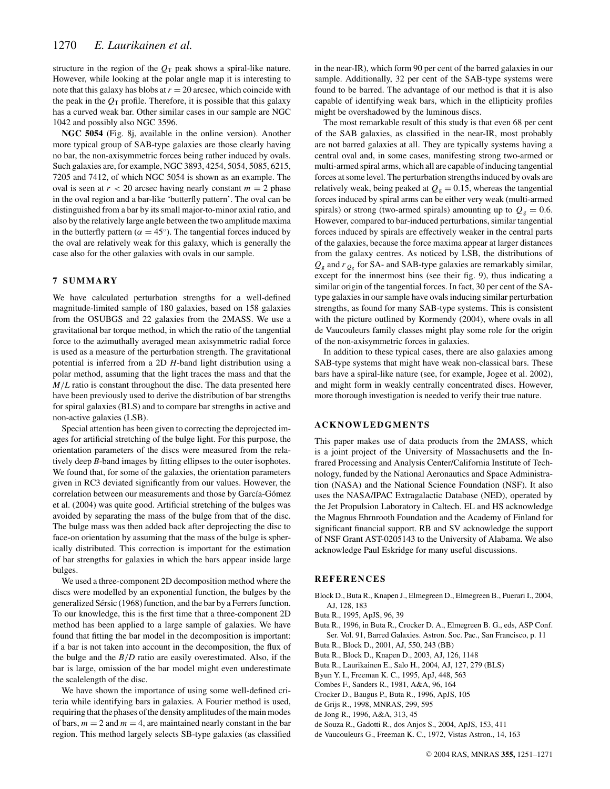structure in the region of the  $Q_T$  peak shows a spiral-like nature. However, while looking at the polar angle map it is interesting to note that this galaxy has blobs at  $r = 20$  arcsec, which coincide with the peak in the  $Q_T$  profile. Therefore, it is possible that this galaxy has a curved weak bar. Other similar cases in our sample are NGC 1042 and possibly also NGC 3596.

**NGC 5054** (Fig. 8j, available in the online version). Another more typical group of SAB-type galaxies are those clearly having no bar, the non-axisymmetric forces being rather induced by ovals. Such galaxies are, for example, NGC 3893, 4254, 5054, 5085, 6215, 7205 and 7412, of which NGC 5054 is shown as an example. The oval is seen at  $r < 20$  arcsec having nearly constant  $m = 2$  phase in the oval region and a bar-like 'butterfly pattern'. The oval can be distinguished from a bar by its small major-to-minor axial ratio, and also by the relatively large angle between the two amplitude maxima in the butterfly pattern ( $\alpha = 45^{\circ}$ ). The tangential forces induced by the oval are relatively weak for this galaxy, which is generally the case also for the other galaxies with ovals in our sample.

#### **7 SUMMARY**

We have calculated perturbation strengths for a well-defined magnitude-limited sample of 180 galaxies, based on 158 galaxies from the OSUBGS and 22 galaxies from the 2MASS. We use a gravitational bar torque method, in which the ratio of the tangential force to the azimuthally averaged mean axisymmetric radial force is used as a measure of the perturbation strength. The gravitational potential is inferred from a 2D *H*-band light distribution using a polar method, assuming that the light traces the mass and that the *M*/*L* ratio is constant throughout the disc. The data presented here have been previously used to derive the distribution of bar strengths for spiral galaxies (BLS) and to compare bar strengths in active and non-active galaxies (LSB).

Special attention has been given to correcting the deprojected images for artificial stretching of the bulge light. For this purpose, the orientation parameters of the discs were measured from the relatively deep *B*-band images by fitting ellipses to the outer isophotes. We found that, for some of the galaxies, the orientation parameters given in RC3 deviated significantly from our values. However, the correlation between our measurements and those by García-Gómez et al. (2004) was quite good. Artificial stretching of the bulges was avoided by separating the mass of the bulge from that of the disc. The bulge mass was then added back after deprojecting the disc to face-on orientation by assuming that the mass of the bulge is spherically distributed. This correction is important for the estimation of bar strengths for galaxies in which the bars appear inside large bulges.

We used a three-component 2D decomposition method where the discs were modelled by an exponential function, the bulges by the generalized Sérsic (1968) function, and the bar by a Ferrers function. To our knowledge, this is the first time that a three-component 2D method has been applied to a large sample of galaxies. We have found that fitting the bar model in the decomposition is important: if a bar is not taken into account in the decomposition, the flux of the bulge and the *B*/*D* ratio are easily overestimated. Also, if the bar is large, omission of the bar model might even underestimate the scalelength of the disc.

We have shown the importance of using some well-defined criteria while identifying bars in galaxies. A Fourier method is used, requiring that the phases of the density amplitudes of the main modes of bars,  $m = 2$  and  $m = 4$ , are maintained nearly constant in the bar region. This method largely selects SB-type galaxies (as classified in the near-IR), which form 90 per cent of the barred galaxies in our sample. Additionally, 32 per cent of the SAB-type systems were found to be barred. The advantage of our method is that it is also capable of identifying weak bars, which in the ellipticity profiles might be overshadowed by the luminous discs.

The most remarkable result of this study is that even 68 per cent of the SAB galaxies, as classified in the near-IR, most probably are not barred galaxies at all. They are typically systems having a central oval and, in some cases, manifesting strong two-armed or multi-armed spiral arms, which all are capable of inducing tangential forces at some level. The perturbation strengths induced by ovals are relatively weak, being peaked at  $Q_g = 0.15$ , whereas the tangential forces induced by spiral arms can be either very weak (multi-armed spirals) or strong (two-armed spirals) amounting up to  $Q_g = 0.6$ . However, compared to bar-induced perturbations, similar tangential forces induced by spirals are effectively weaker in the central parts of the galaxies, because the force maxima appear at larger distances from the galaxy centres. As noticed by LSB, the distributions of  $Q_g$  and  $r_{Q_g}$  for SA- and SAB-type galaxies are remarkably similar, except for the innermost bins (see their fig. 9), thus indicating a similar origin of the tangential forces. In fact, 30 per cent of the SAtype galaxies in our sample have ovals inducing similar perturbation strengths, as found for many SAB-type systems. This is consistent with the picture outlined by Kormendy (2004), where ovals in all de Vaucouleurs family classes might play some role for the origin of the non-axisymmetric forces in galaxies.

In addition to these typical cases, there are also galaxies among SAB-type systems that might have weak non-classical bars. These bars have a spiral-like nature (see, for example, Jogee et al. 2002), and might form in weakly centrally concentrated discs. However, more thorough investigation is needed to verify their true nature.

## **ACKNOWLEDGMENTS**

This paper makes use of data products from the 2MASS, which is a joint project of the University of Massachusetts and the Infrared Processing and Analysis Center/California Institute of Technology, funded by the National Aeronautics and Space Administration (NASA) and the National Science Foundation (NSF). It also uses the NASA/IPAC Extragalactic Database (NED), operated by the Jet Propulsion Laboratory in Caltech. EL and HS acknowledge the Magnus Ehrnrooth Foundation and the Academy of Finland for significant financial support. RB and SV acknowledge the support of NSF Grant AST-0205143 to the University of Alabama. We also acknowledge Paul Eskridge for many useful discussions.

#### **REFERENCES**

- Block D., Buta R., Knapen J., Elmegreen D., Elmegreen B., Puerari I., 2004, AJ, 128, 183
- Buta R., 1995, ApJS, 96, 39
- Buta R., 1996, in Buta R., Crocker D. A., Elmegreen B. G., eds, ASP Conf. Ser. Vol. 91, Barred Galaxies. Astron. Soc. Pac., San Francisco, p. 11
- Buta R., Block D., 2001, AJ, 550, 243 (BB)
- Buta R., Block D., Knapen D., 2003, AJ, 126, 1148
- Buta R., Laurikainen E., Salo H., 2004, AJ, 127, 279 (BLS)
- Byun Y. I., Freeman K. C., 1995, ApJ, 448, 563
- Combes F., Sanders R., 1981, A&A, 96, 164
- Crocker D., Baugus P., Buta R., 1996, ApJS, 105
- de Grijs R., 1998, MNRAS, 299, 595
- de Jong R., 1996, A&A, 313, 45
- de Souza R., Gadotti R., dos Anjos S., 2004, ApJS, 153, 411
- de Vaucouleurs G., Freeman K. C., 1972, Vistas Astron., 14, 163